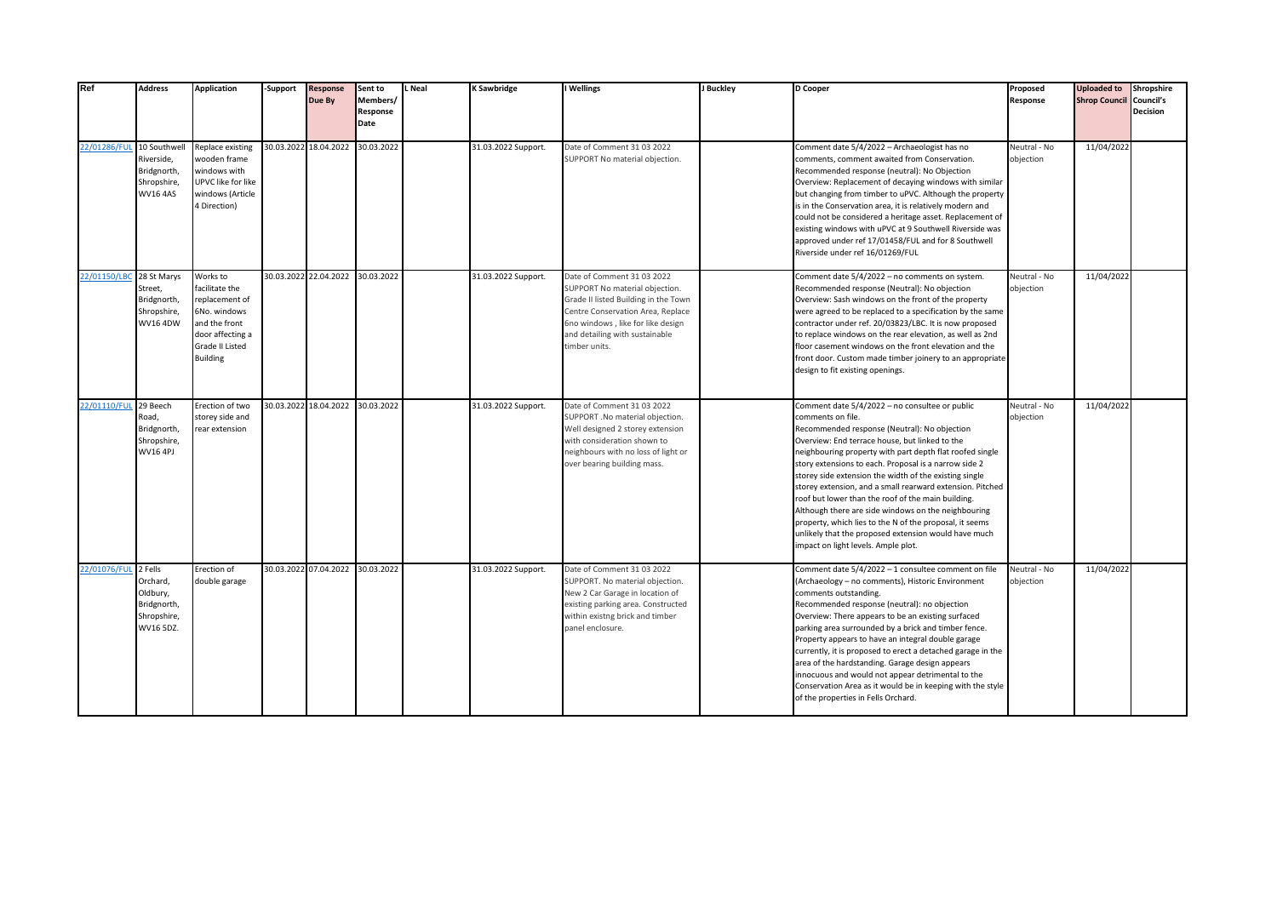| Ref                       | <b>Address</b>                                                  | <b>Application</b>                                                                                                                      | -Support | <b>Response</b><br>Due By        | Sent to<br>Members/<br>Response<br>Date | L Neal | K Sawbridge         | I Wellings                                                                                                                                                                                                                        | J Buckley | D Cooper                                                                                                                                                                                                                                                                                                                                                                                                                                                                                                                                                                                                                                                                                 | Proposed<br>Response      | <b>Uploaded to</b><br><b>Shrop Council Council's</b> | Shropshire<br><b>Decision</b> |
|---------------------------|-----------------------------------------------------------------|-----------------------------------------------------------------------------------------------------------------------------------------|----------|----------------------------------|-----------------------------------------|--------|---------------------|-----------------------------------------------------------------------------------------------------------------------------------------------------------------------------------------------------------------------------------|-----------|------------------------------------------------------------------------------------------------------------------------------------------------------------------------------------------------------------------------------------------------------------------------------------------------------------------------------------------------------------------------------------------------------------------------------------------------------------------------------------------------------------------------------------------------------------------------------------------------------------------------------------------------------------------------------------------|---------------------------|------------------------------------------------------|-------------------------------|
| 22/01286/FUL 10 Southwell | Riverside,<br>Bridgnorth,<br>Shropshire,<br><b>WV16 4AS</b>     | Replace existing<br>wooden frame<br>windows with<br>UPVC like for like<br>windows (Article<br>4 Direction)                              |          | 30.03.2022 18.04.2022            | 30.03.2022                              |        | 31.03.2022 Support. | Date of Comment 31 03 2022<br>SUPPORT No material objection.                                                                                                                                                                      |           | Comment date 5/4/2022 - Archaeologist has no<br>comments, comment awaited from Conservation.<br>Recommended response (neutral): No Objection<br>Overview: Replacement of decaying windows with similar<br>but changing from timber to uPVC. Although the property<br>is in the Conservation area, it is relatively modern and<br>could not be considered a heritage asset. Replacement of<br>existing windows with uPVC at 9 Southwell Riverside was<br>approved under ref 17/01458/FUL and for 8 Southwell<br>Riverside under ref 16/01269/FUL                                                                                                                                          | Neutral - No<br>objection | 11/04/2022                                           |                               |
| 22/01150/LBC 28 St Marys  | Street,<br>Bridgnorth,<br>Shropshire,<br><b>WV16 4DW</b>        | Works to<br>facilitate the<br>replacement of<br>6No. windows<br>and the front<br>door affecting a<br>Grade II Listed<br><b>Building</b> |          | 30.03.2022 22.04.2022 30.03.2022 |                                         |        | 31.03.2022 Support. | Date of Comment 31 03 2022<br>SUPPORT No material objection.<br>Grade II listed Building in the Town<br>Centre Conservation Area, Replace<br>6no windows, like for like design<br>and detailing with sustainable<br>timber units. |           | Comment date 5/4/2022 - no comments on system.<br>Recommended response (Neutral): No objection<br>Overview: Sash windows on the front of the property<br>were agreed to be replaced to a specification by the same<br>contractor under ref. 20/03823/LBC. It is now proposed<br>to replace windows on the rear elevation, as well as 2nd<br>floor casement windows on the front elevation and the<br>front door. Custom made timber joinery to an appropriate<br>design to fit existing openings.                                                                                                                                                                                        | Neutral - No<br>objection | 11/04/2022                                           |                               |
| 22/01110/FUI              | 29 Beech<br>Road,<br>Bridgnorth,<br>Shropshire,<br>WV16 4PJ     | Erection of two<br>storey side and<br>rear extension                                                                                    |          | 30.03.2022 18.04.2022 30.03.2022 |                                         |        | 31.03.2022 Support. | Date of Comment 31 03 2022<br>SUPPORT .No material objection.<br>Well designed 2 storey extension<br>with consideration shown to<br>neighbours with no loss of light or<br>over bearing building mass.                            |           | Comment date 5/4/2022 - no consultee or public<br>comments on file.<br>Recommended response (Neutral): No objection<br>Overview: End terrace house, but linked to the<br>neighbouring property with part depth flat roofed single<br>story extensions to each. Proposal is a narrow side 2<br>storey side extension the width of the existing single<br>storey extension, and a small rearward extension. Pitched<br>roof but lower than the roof of the main building.<br>Although there are side windows on the neighbouring<br>property, which lies to the N of the proposal, it seems<br>unlikely that the proposed extension would have much<br>impact on light levels. Ample plot. | Neutral - No<br>objection | 11/04/2022                                           |                               |
| 22/01076/FUL 2 Fells      | Orchard,<br>Oldbury,<br>Bridgnorth,<br>Shropshire,<br>WV16 5DZ. | Erection of<br>double garage                                                                                                            |          | 30.03.2022 07.04.2022 30.03.2022 |                                         |        | 31.03.2022 Support. | Date of Comment 31 03 2022<br>SUPPORT. No material objection.<br>New 2 Car Garage in location of<br>existing parking area. Constructed<br>within existng brick and timber<br>panel enclosure.                                     |           | Comment date 5/4/2022 - 1 consultee comment on file<br>(Archaeology - no comments), Historic Environment<br>comments outstanding.<br>Recommended response (neutral): no objection<br>Overview: There appears to be an existing surfaced<br>parking area surrounded by a brick and timber fence.<br>Property appears to have an integral double garage<br>currently, it is proposed to erect a detached garage in the<br>area of the hardstanding. Garage design appears<br>innocuous and would not appear detrimental to the<br>Conservation Area as it would be in keeping with the style<br>of the properties in Fells Orchard.                                                        | Neutral - No<br>objection | 11/04/2022                                           |                               |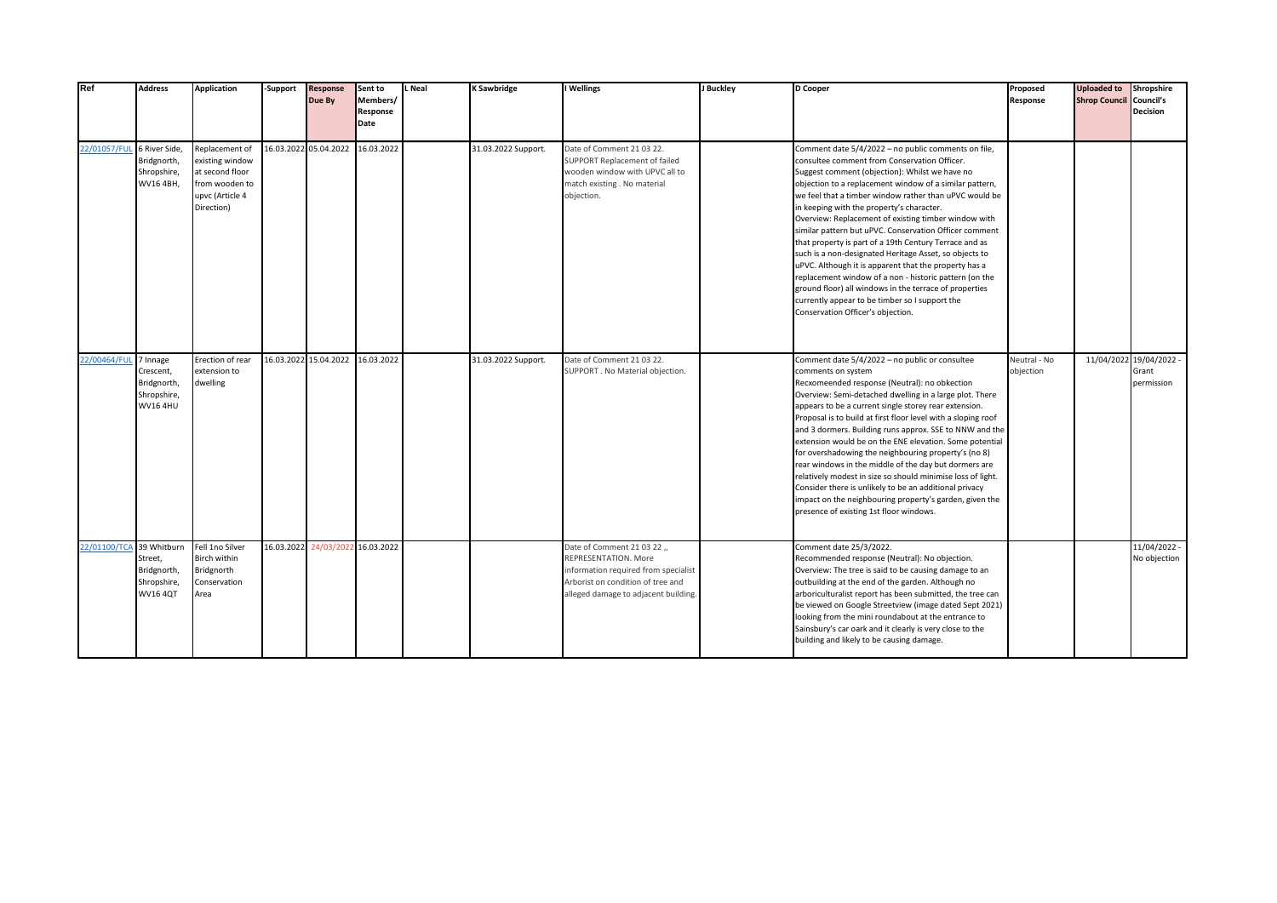| Ref                        | <b>Address</b>                                                         | <b>Application</b>                                                                                      | -Support   | <b>Response</b><br>Due By        | Sent to<br>Members/<br>Response<br>Date | L Neal | K Sawbridge         | I Wellings                                                                                                                                                               | J Buckley | D Cooper                                                                                                                                                                                                                                                                                                                                                                                                                                                                                                                                                                                                                                                                                                                                                                                                                          | Proposed<br>Response      | <b>Uploaded to</b><br><b>Shrop Council Council's</b> | Shropshire<br><b>Decision</b>                  |
|----------------------------|------------------------------------------------------------------------|---------------------------------------------------------------------------------------------------------|------------|----------------------------------|-----------------------------------------|--------|---------------------|--------------------------------------------------------------------------------------------------------------------------------------------------------------------------|-----------|-----------------------------------------------------------------------------------------------------------------------------------------------------------------------------------------------------------------------------------------------------------------------------------------------------------------------------------------------------------------------------------------------------------------------------------------------------------------------------------------------------------------------------------------------------------------------------------------------------------------------------------------------------------------------------------------------------------------------------------------------------------------------------------------------------------------------------------|---------------------------|------------------------------------------------------|------------------------------------------------|
| 22/01057/FUL 6 River Side, | Bridgnorth,<br>Shropshire,<br>WV16 4BH,                                | Replacement of<br>existing window<br>at second floor<br>from wooden to<br>upvc (Article 4<br>Direction) |            | 16.03.2022 05.04.2022 16.03.2022 |                                         |        | 31.03.2022 Support. | Date of Comment 21 03 22.<br>SUPPORT Replacement of failed<br>wooden window with UPVC all to<br>match existing . No material<br>objection.                               |           | Comment date 5/4/2022 - no public comments on file,<br>consultee comment from Conservation Officer.<br>Suggest comment (objection): Whilst we have no<br>objection to a replacement window of a similar pattern,<br>we feel that a timber window rather than uPVC would be<br>in keeping with the property's character.<br>Overview: Replacement of existing timber window with<br>similar pattern but uPVC. Conservation Officer comment<br>that property is part of a 19th Century Terrace and as<br>such is a non-designated Heritage Asset, so objects to<br>uPVC. Although it is apparent that the property has a<br>replacement window of a non - historic pattern (on the<br>ground floor) all windows in the terrace of properties<br>currently appear to be timber so I support the<br>Conservation Officer's objection. |                           |                                                      |                                                |
| 22/00464/FUL               | 7 Innage<br>Crescent,<br>Bridgnorth,<br>Shropshire,<br><b>WV16 4HU</b> | Erection of rear<br>extension to<br>dwelling                                                            |            | 16.03.2022 15.04.2022            | 16.03.2022                              |        | 31.03.2022 Support. | Date of Comment 21 03 22.<br>SUPPORT . No Material objection.                                                                                                            |           | Comment date 5/4/2022 - no public or consultee<br>comments on system<br>Recxomeended response (Neutral): no obkection<br>Overview: Semi-detached dwelling in a large plot. There<br>appears to be a current single storey rear extension.<br>Proposal is to build at first floor level with a sloping roof<br>and 3 dormers. Building runs approx. SSE to NNW and the<br>extension would be on the ENE elevation. Some potential<br>for overshadowing the neighbouring property's (no 8)<br>rear windows in the middle of the day but dormers are<br>relatively modest in size so should minimise loss of light.<br>Consider there is unlikely to be an additional privacy<br>impact on the neighbouring property's garden, given the<br>presence of existing 1st floor windows.                                                  | Neutral - No<br>objection |                                                      | 11/04/2022 19/04/2022 -<br>Grant<br>permission |
| 22/01100/TCA 39 Whitburn   | Street,<br>Bridgnorth,<br>Shropshire,<br><b>WV16 4QT</b>               | Fell 1no Silver<br>Birch within<br>Bridgnorth<br>Conservation<br>Area                                   | 16.03.2022 | 24/03/202                        | 2 16.03.2022                            |        |                     | Date of Comment 21 03 22 ,,<br>REPRESENTATION. More<br>information required from specialist<br>Arborist on condition of tree and<br>alleged damage to adjacent building. |           | Comment date 25/3/2022.<br>Recommended response (Neutral): No objection.<br>Overview: The tree is said to be causing damage to an<br>outbuilding at the end of the garden. Although no<br>arboriculturalist report has been submitted, the tree can<br>be viewed on Google Streetview (image dated Sept 2021)<br>looking from the mini roundabout at the entrance to<br>Sainsbury's car oark and it clearly is very close to the<br>building and likely to be causing damage.                                                                                                                                                                                                                                                                                                                                                     |                           |                                                      | 11/04/2022 -<br>No objection                   |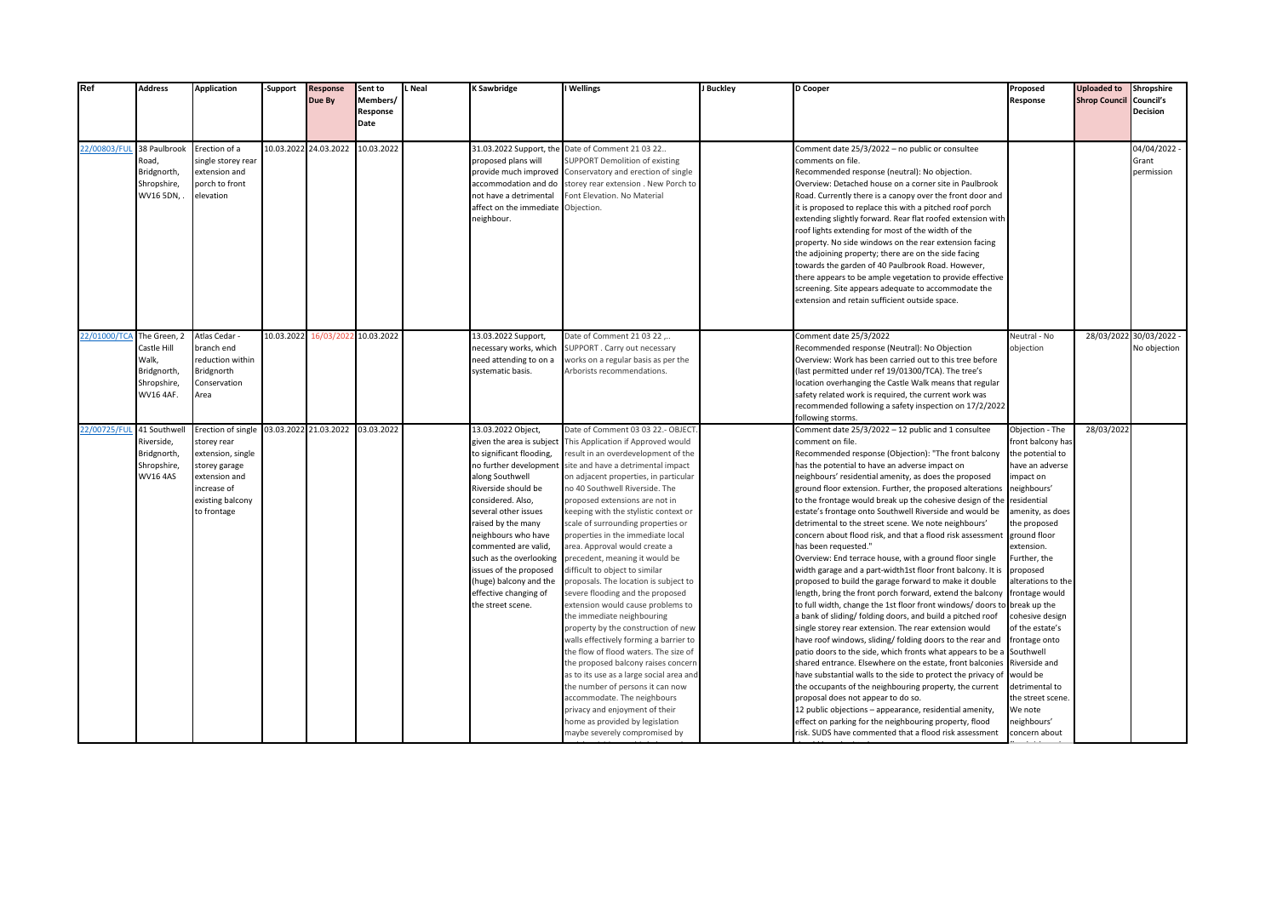| Ref          | <b>Address</b>                                                                  | <b>Application</b>                                                                                                                         | -Support              | Response<br>Due By | Sent to<br>Members/<br>Response<br>Date | Neal | <b>K Sawbridge</b>                                                                                                                                                                                                                                                                                                                                                                             | I Wellings                                                                                                                                                                                                                                                                                                                                                                                                                                                                                                                                                                                                                                                                                                                                                                                                                                                                                                                                                                                                                       | J Buckley | D Cooper                                                                                                                                                                                                                                                                                                                                                                                                                                                                                                                                                                                                                                                                                                                                                                                                                                                                                                                                                                                                                                                                                                                                                                                                                                                                                                                                                                                                                                                                                                                                                   | Proposed<br>Response                                                                                                                                                                                                                                                                                                                                                                                                                                            | <b>Uploaded to</b><br><b>Shrop Council Council's</b> | Shropshire<br><b>Decision</b>           |
|--------------|---------------------------------------------------------------------------------|--------------------------------------------------------------------------------------------------------------------------------------------|-----------------------|--------------------|-----------------------------------------|------|------------------------------------------------------------------------------------------------------------------------------------------------------------------------------------------------------------------------------------------------------------------------------------------------------------------------------------------------------------------------------------------------|----------------------------------------------------------------------------------------------------------------------------------------------------------------------------------------------------------------------------------------------------------------------------------------------------------------------------------------------------------------------------------------------------------------------------------------------------------------------------------------------------------------------------------------------------------------------------------------------------------------------------------------------------------------------------------------------------------------------------------------------------------------------------------------------------------------------------------------------------------------------------------------------------------------------------------------------------------------------------------------------------------------------------------|-----------|------------------------------------------------------------------------------------------------------------------------------------------------------------------------------------------------------------------------------------------------------------------------------------------------------------------------------------------------------------------------------------------------------------------------------------------------------------------------------------------------------------------------------------------------------------------------------------------------------------------------------------------------------------------------------------------------------------------------------------------------------------------------------------------------------------------------------------------------------------------------------------------------------------------------------------------------------------------------------------------------------------------------------------------------------------------------------------------------------------------------------------------------------------------------------------------------------------------------------------------------------------------------------------------------------------------------------------------------------------------------------------------------------------------------------------------------------------------------------------------------------------------------------------------------------------|-----------------------------------------------------------------------------------------------------------------------------------------------------------------------------------------------------------------------------------------------------------------------------------------------------------------------------------------------------------------------------------------------------------------------------------------------------------------|------------------------------------------------------|-----------------------------------------|
| 22/00803/FUL | 38 Paulbrook<br>Road,<br>Bridgnorth,<br>Shropshire,<br>WV16 5DN,                | Erection of a<br>single storey rear<br>extension and<br>porch to front<br>elevation                                                        | 10.03.2022 24.03.2022 |                    | 10.03.2022                              |      | 31.03.2022 Support, the<br>proposed plans will<br>provide much improved<br>accommodation and do<br>not have a detrimental<br>affect on the immediate<br>eighbour.                                                                                                                                                                                                                              | Date of Comment 21 03 22<br><b>SUPPORT Demolition of existing</b><br>Conservatory and erection of single<br>storey rear extension . New Porch to<br>Font Elevation. No Material<br>Objection.                                                                                                                                                                                                                                                                                                                                                                                                                                                                                                                                                                                                                                                                                                                                                                                                                                    |           | Comment date 25/3/2022 - no public or consultee<br>comments on file.<br>Recommended response (neutral): No objection.<br>Overview: Detached house on a corner site in Paulbrook<br>Road. Currently there is a canopy over the front door and<br>it is proposed to replace this with a pitched roof porch<br>extending slightly forward. Rear flat roofed extension with<br>roof lights extending for most of the width of the<br>property. No side windows on the rear extension facing<br>the adjoining property; there are on the side facing<br>towards the garden of 40 Paulbrook Road. However,<br>there appears to be ample vegetation to provide effective<br>screening. Site appears adequate to accommodate the<br>extension and retain sufficient outside space.                                                                                                                                                                                                                                                                                                                                                                                                                                                                                                                                                                                                                                                                                                                                                                                 |                                                                                                                                                                                                                                                                                                                                                                                                                                                                 |                                                      | 04/04/2022 -<br>Grant<br>permission     |
| 22/01000/TCA | The Green, 2<br>Castle Hill<br>Walk,<br>Bridgnorth,<br>Shropshire,<br>WV16 4AF. | Atlas Cedar<br>branch end<br>reduction within<br>Bridgnorth<br>Conservation<br>Area                                                        | 10.03.2022            | 16/03/202          | 10.03.2022                              |      | 13.03.2022 Support,<br>ecessary works, which<br>need attending to on a<br>systematic basis.                                                                                                                                                                                                                                                                                                    | Date of Comment 21 03 22<br>SUPPORT. Carry out necessary<br>works on a regular basis as per the<br>Arborists recommendations.                                                                                                                                                                                                                                                                                                                                                                                                                                                                                                                                                                                                                                                                                                                                                                                                                                                                                                    |           | Comment date 25/3/2022<br>Recommended response (Neutral): No Objection<br>Overview: Work has been carried out to this tree before<br>(last permitted under ref 19/01300/TCA). The tree's<br>location overhanging the Castle Walk means that regular<br>safety related work is required, the current work was<br>recommended following a safety inspection on 17/2/2022<br>following storms.                                                                                                                                                                                                                                                                                                                                                                                                                                                                                                                                                                                                                                                                                                                                                                                                                                                                                                                                                                                                                                                                                                                                                                | Neutral - No<br>objection                                                                                                                                                                                                                                                                                                                                                                                                                                       |                                                      | 28/03/2022 30/03/2022 -<br>No objection |
| 22/00725/FUL | 41 Southwel<br>Riverside,<br>Bridgnorth,<br>Shropshire,<br><b>WV16 4AS</b>      | Erection of single<br>storey rear<br>extension, single<br>storey garage<br>extension and<br>increase of<br>existing balcony<br>to frontage | 03.03.2022 21.03.2022 |                    | 03.03.2022                              |      | 13.03.2022 Object,<br>given the area is subject<br>to significant flooding,<br>no further development<br>along Southwell<br>Riverside should be<br>considered. Also,<br>several other issues<br>raised by the many<br>neighbours who have<br>commented are valid,<br>such as the overlooking<br>issues of the proposed<br>(huge) balcony and the<br>effective changing of<br>the street scene. | Date of Comment 03 03 22.- OBJECT<br>This Application if Approved would<br>result in an overdevelopment of the<br>site and have a detrimental impact<br>on adjacent properties, in particular<br>no 40 Southwell Riverside. The<br>proposed extensions are not in<br>keeping with the stylistic context or<br>scale of surrounding properties or<br>properties in the immediate local<br>area. Approval would create a<br>precedent, meaning it would be<br>difficult to object to similar<br>proposals. The location is subject to<br>severe flooding and the proposed<br>extension would cause problems to<br>the immediate neighbouring<br>property by the construction of new<br>walls effectively forming a barrier to<br>the flow of flood waters. The size of<br>the proposed balcony raises concerr<br>as to its use as a large social area and<br>the number of persons it can now<br>accommodate. The neighbours<br>privacy and enjoyment of their<br>home as provided by legislation<br>maybe severely compromised by |           | Comment date 25/3/2022 - 12 public and 1 consultee<br>comment on file.<br>Recommended response (Objection): "The front balcony<br>has the potential to have an adverse impact on<br>neighbours' residential amenity, as does the proposed<br>ground floor extension. Further, the proposed alterations<br>to the frontage would break up the cohesive design of the<br>estate's frontage onto Southwell Riverside and would be<br>detrimental to the street scene. We note neighbours'<br>concern about flood risk, and that a flood risk assessment<br>has been requested."<br>Overview: End terrace house, with a ground floor single<br>width garage and a part-width1st floor front balcony. It is<br>proposed to build the garage forward to make it double<br>length, bring the front porch forward, extend the balcony<br>to full width, change the 1st floor front windows/doors t<br>a bank of sliding/ folding doors, and build a pitched roof<br>single storey rear extension. The rear extension would<br>have roof windows, sliding/ folding doors to the rear and<br>patio doors to the side, which fronts what appears to be a<br>shared entrance. Elsewhere on the estate, front balconies<br>have substantial walls to the side to protect the privacy of<br>the occupants of the neighbouring property, the current<br>proposal does not appear to do so.<br>12 public objections - appearance, residential amenity,<br>effect on parking for the neighbouring property, flood<br>risk. SUDS have commented that a flood risk assessment | Objection - The<br>front balcony has<br>the potential to<br>have an adverse<br>impact on<br>neighbours'<br>residential<br>amenity, as does<br>the proposed<br>ground floor<br>extension.<br>Further, the<br>proposed<br>alterations to the<br>frontage would<br>break up the<br>cohesive design<br>of the estate's<br>frontage onto<br>Southwell<br>Riverside and<br>would be<br>detrimental to<br>the street scene.<br>We note<br>neighbours'<br>concern about | 28/03/2022                                           |                                         |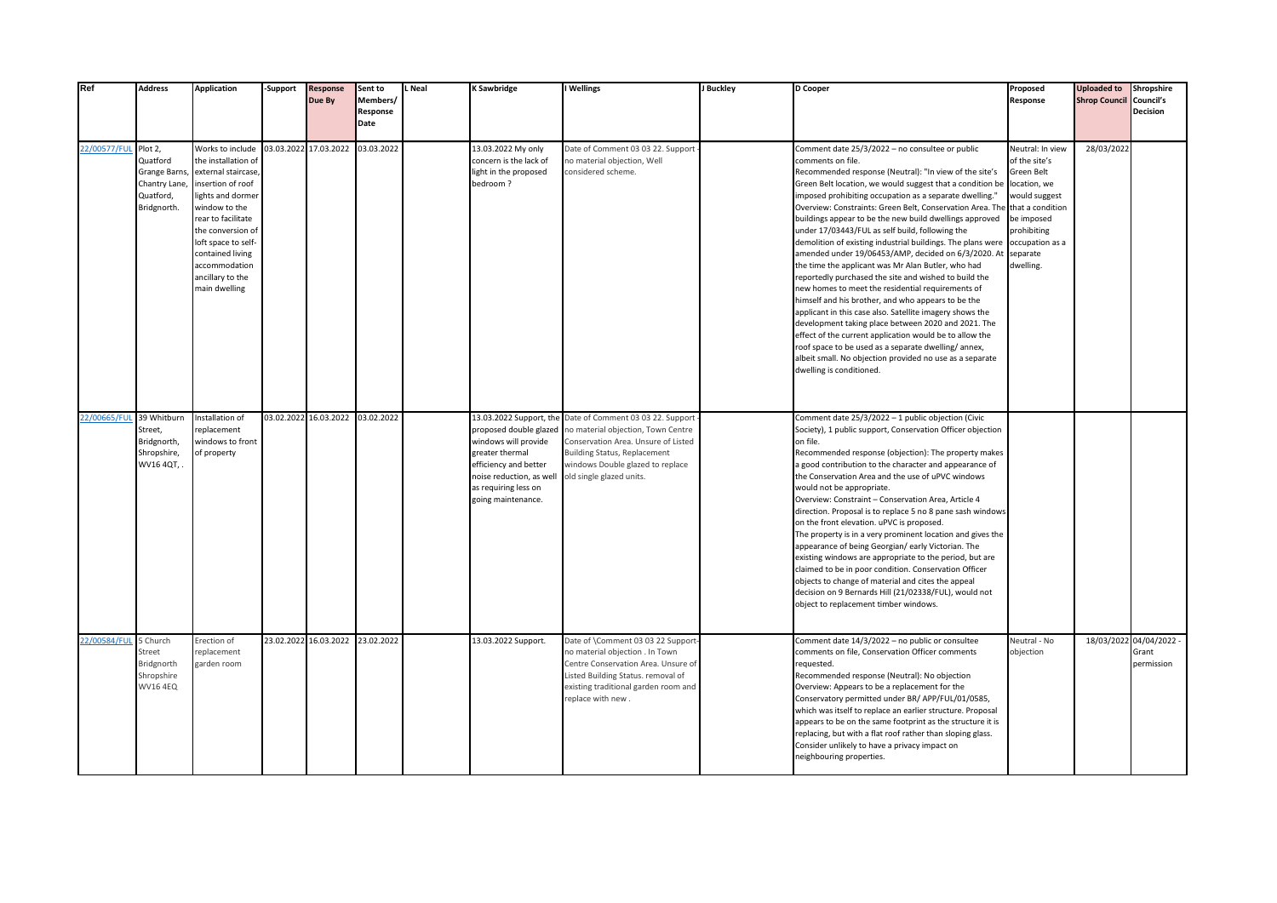| Ref          | <b>Address</b>                                                                         | <b>Application</b>                                                                                                                                                                                                                                                   | -Support              | <b>Response</b><br>Due By | Sent to<br>Members/<br>Response<br>Date | L Neal | <b>K Sawbridge</b>                                                                                                                                                                              | I Wellings                                                                                                                                                                                                            | J Buckley | D Cooper                                                                                                                                                                                                                                                                                                                                                                                                                                                                                                                                                                                                                                                                                                                                                                                                                                                                                                                                                                                                                                                                                                       | Proposed<br>Response                                                                                                                                                                 | <b>Uploaded to</b><br><b>Shrop Council Council's</b> | Shropshire<br><b>Decision</b>                  |
|--------------|----------------------------------------------------------------------------------------|----------------------------------------------------------------------------------------------------------------------------------------------------------------------------------------------------------------------------------------------------------------------|-----------------------|---------------------------|-----------------------------------------|--------|-------------------------------------------------------------------------------------------------------------------------------------------------------------------------------------------------|-----------------------------------------------------------------------------------------------------------------------------------------------------------------------------------------------------------------------|-----------|----------------------------------------------------------------------------------------------------------------------------------------------------------------------------------------------------------------------------------------------------------------------------------------------------------------------------------------------------------------------------------------------------------------------------------------------------------------------------------------------------------------------------------------------------------------------------------------------------------------------------------------------------------------------------------------------------------------------------------------------------------------------------------------------------------------------------------------------------------------------------------------------------------------------------------------------------------------------------------------------------------------------------------------------------------------------------------------------------------------|--------------------------------------------------------------------------------------------------------------------------------------------------------------------------------------|------------------------------------------------------|------------------------------------------------|
| 22/00577/FUI | Plot 2,<br>Quatford<br><b>Grange Barns</b><br>Chantry Lane<br>Quatford,<br>Bridgnorth. | Works to include<br>the installation of<br>external staircase<br>insertion of roof<br>lights and dormer<br>window to the<br>rear to facilitate<br>the conversion of<br>loft space to self-<br>contained living<br>accommodation<br>ancillary to the<br>main dwelling | 03.03.2022 17.03.2022 |                           | 03.03.2022                              |        | 13.03.2022 My only<br>concern is the lack of<br>light in the proposed<br>bedroom?                                                                                                               | Date of Comment 03 03 22. Support<br>no material objection, Well<br>considered scheme.                                                                                                                                |           | Comment date 25/3/2022 - no consultee or public<br>comments on file.<br>Recommended response (Neutral): "In view of the site's<br>Green Belt location, we would suggest that a condition be<br>imposed prohibiting occupation as a separate dwelling."<br>Overview: Constraints: Green Belt, Conservation Area. The<br>buildings appear to be the new build dwellings approved<br>under 17/03443/FUL as self build, following the<br>demolition of existing industrial buildings. The plans were<br>amended under 19/06453/AMP, decided on 6/3/2020. At<br>the time the applicant was Mr Alan Butler, who had<br>reportedly purchased the site and wished to build the<br>new homes to meet the residential requirements of<br>himself and his brother, and who appears to be the<br>applicant in this case also. Satellite imagery shows the<br>development taking place between 2020 and 2021. The<br>effect of the current application would be to allow the<br>roof space to be used as a separate dwelling/annex,<br>albeit small. No objection provided no use as a separate<br>dwelling is conditioned. | Neutral: In view<br>of the site's<br><b>Green Belt</b><br>location, we<br>would suggest<br>that a condition<br>be imposed<br>prohibiting<br>occupation as a<br>separate<br>dwelling. | 28/03/2022                                           |                                                |
| 22/00665/FUI | 39 Whitburn<br>Street,<br>Bridgnorth,<br>Shropshire,<br>WV16 4QT,                      | nstallation of<br>replacement<br>windows to front<br>of property                                                                                                                                                                                                     | 03.02.2022 16.03.2022 |                           | 03.02.2022                              |        | 13.03.2022 Support, the<br>proposed double glazed<br>windows will provide<br>greater thermal<br>efficiency and better<br>noise reduction, as well<br>as requiring less on<br>going maintenance. | Date of Comment 03 03 22. Support<br>no material objection, Town Centre<br>Conservation Area. Unsure of Listed<br><b>Building Status, Replacement</b><br>windows Double glazed to replace<br>old single glazed units. |           | Comment date 25/3/2022 - 1 public objection (Civic<br>Society), 1 public support, Conservation Officer objection<br>on file.<br>Recommended response (objection): The property makes<br>a good contribution to the character and appearance of<br>the Conservation Area and the use of uPVC windows<br>would not be appropriate.<br>Overview: Constraint - Conservation Area, Article 4<br>direction. Proposal is to replace 5 no 8 pane sash windows<br>on the front elevation. uPVC is proposed.<br>The property is in a very prominent location and gives the<br>appearance of being Georgian/ early Victorian. The<br>existing windows are appropriate to the period, but are<br>claimed to be in poor condition. Conservation Officer<br>objects to change of material and cites the appeal<br>decision on 9 Bernards Hill (21/02338/FUL), would not<br>object to replacement timber windows.                                                                                                                                                                                                             |                                                                                                                                                                                      |                                                      |                                                |
| 22/00584/FUL | 5 Church<br>Street<br>Bridgnorth<br>Shropshire<br><b>WV16 4EQ</b>                      | Erection of<br>replacement<br>garden room                                                                                                                                                                                                                            |                       | 23.02.2022 16.03.2022     | 23.02.2022                              |        | 13.03.2022 Support.                                                                                                                                                                             | Date of \Comment 03 03 22 Support<br>no material objection . In Town<br>Centre Conservation Area. Unsure of<br>Listed Building Status. removal of<br>existing traditional garden room and<br>replace with new.        |           | Comment date 14/3/2022 - no public or consultee<br>comments on file, Conservation Officer comments<br>requested.<br>Recommended response (Neutral): No objection<br>Overview: Appears to be a replacement for the<br>Conservatory permitted under BR/ APP/FUL/01/0585,<br>which was itself to replace an earlier structure. Proposal<br>appears to be on the same footprint as the structure it is<br>replacing, but with a flat roof rather than sloping glass.<br>Consider unlikely to have a privacy impact on<br>neighbouring properties.                                                                                                                                                                                                                                                                                                                                                                                                                                                                                                                                                                  | Neutral - No<br>objection                                                                                                                                                            |                                                      | 18/03/2022 04/04/2022 -<br>Grant<br>permission |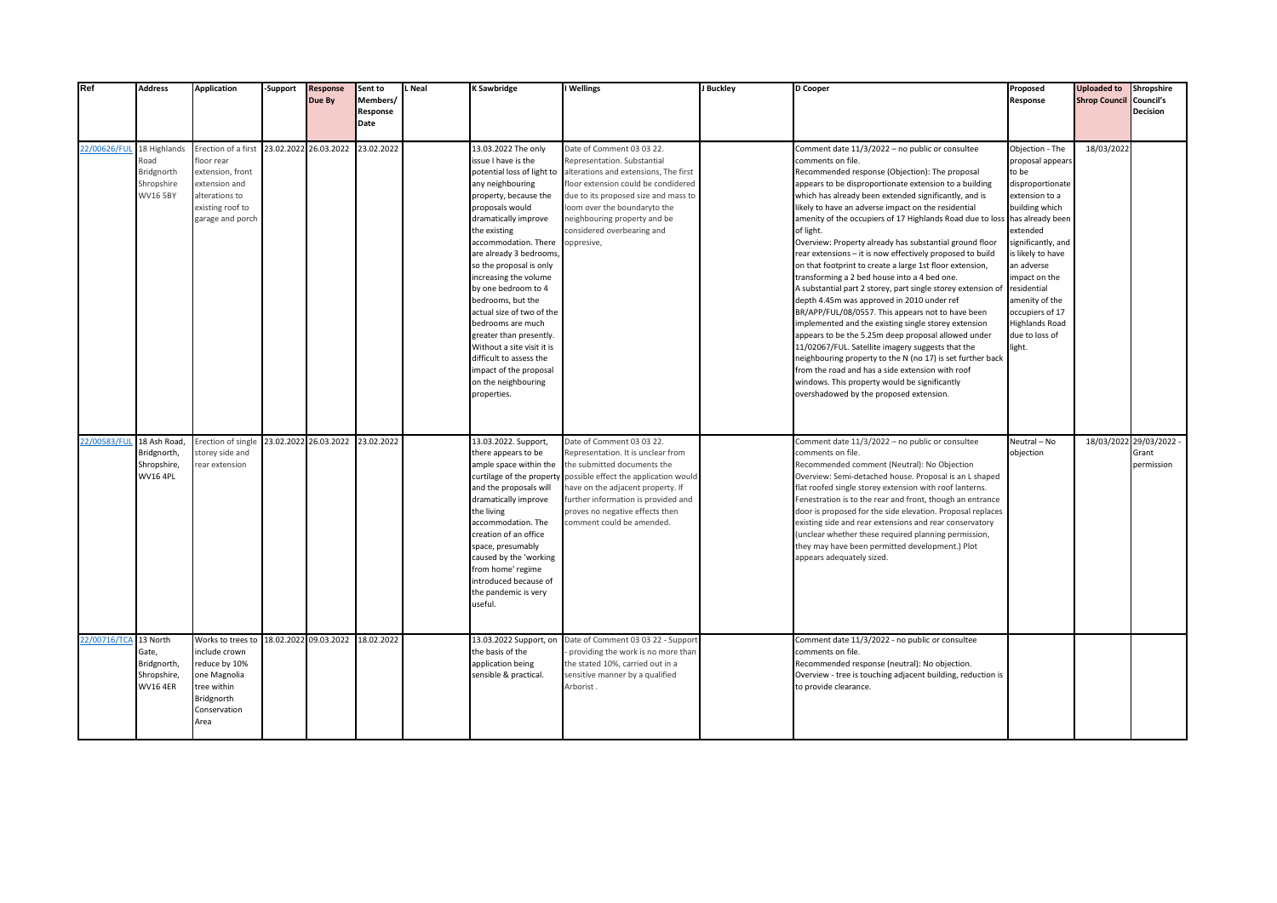| Ref                       | <b>Address</b>                                                | <b>Application</b>                                                                                                               | -Support | <b>Response</b><br>Due By        | Sent to<br>Members/<br>Response<br>Date | L Neal | <b>K Sawbridge</b>                                                                                                                                                                                                                                                                                                                                                                                                                                                                                                                       | I Wellings                                                                                                                                                                                                                                                                                   | J Buckley | D Cooper                                                                                                                                                                                                                                                                                                                                                                                                                                                                                                                                                                                                                                                                                                                                                                                                                                                                                                                                                                                                                                                                                                                                                            | Proposed<br>Response                                                                                                                                                                                                                                                                                                    | <b>Uploaded to</b><br><b>Shrop Council Council's</b> | Shropshire<br><b>Decision</b>                  |
|---------------------------|---------------------------------------------------------------|----------------------------------------------------------------------------------------------------------------------------------|----------|----------------------------------|-----------------------------------------|--------|------------------------------------------------------------------------------------------------------------------------------------------------------------------------------------------------------------------------------------------------------------------------------------------------------------------------------------------------------------------------------------------------------------------------------------------------------------------------------------------------------------------------------------------|----------------------------------------------------------------------------------------------------------------------------------------------------------------------------------------------------------------------------------------------------------------------------------------------|-----------|---------------------------------------------------------------------------------------------------------------------------------------------------------------------------------------------------------------------------------------------------------------------------------------------------------------------------------------------------------------------------------------------------------------------------------------------------------------------------------------------------------------------------------------------------------------------------------------------------------------------------------------------------------------------------------------------------------------------------------------------------------------------------------------------------------------------------------------------------------------------------------------------------------------------------------------------------------------------------------------------------------------------------------------------------------------------------------------------------------------------------------------------------------------------|-------------------------------------------------------------------------------------------------------------------------------------------------------------------------------------------------------------------------------------------------------------------------------------------------------------------------|------------------------------------------------------|------------------------------------------------|
| 22/00626/FUL 18 Highlands | Road<br>Bridgnorth<br>Shropshire<br><b>WV16 5BY</b>           | Erection of a first<br>floor rear<br>extension, front<br>extension and<br>alterations to<br>existing roof to<br>garage and porch |          | 23.02.2022 26.03.2022            | 23.02.2022                              |        | 13.03.2022 The only<br>issue I have is the<br>potential loss of light to<br>any neighbouring<br>property, because the<br>proposals would<br>dramatically improve<br>the existing<br>accommodation. There<br>are already 3 bedrooms,<br>so the proposal is only<br>ncreasing the volume<br>by one bedroom to 4<br>bedrooms, but the<br>actual size of two of the<br>bedrooms are much<br>greater than presently.<br>Without a site visit it is<br>difficult to assess the<br>impact of the proposal<br>on the neighbouring<br>properties. | Date of Comment 03 03 22.<br>Representation. Substantial<br>alterations and extensions, The first<br>floor extension could be condidered<br>due to its proposed size and mass to<br>loom over the boundaryto the<br>neighbouring property and be<br>considered overbearing and<br>oppresive, |           | Comment date 11/3/2022 - no public or consultee<br>comments on file.<br>Recommended response (Objection): The proposal<br>appears to be disproportionate extension to a building<br>which has already been extended significantly, and is<br>likely to have an adverse impact on the residential<br>amenity of the occupiers of 17 Highlands Road due to loss<br>of light.<br>Overview: Property already has substantial ground floor<br>rear extensions - it is now effectively proposed to build<br>on that footprint to create a large 1st floor extension,<br>transforming a 2 bed house into a 4 bed one.<br>A substantial part 2 storey, part single storey extension of<br>depth 4.45m was approved in 2010 under ref<br>BR/APP/FUL/08/0557. This appears not to have been<br>implemented and the existing single storey extension<br>appears to be the 5.25m deep proposal allowed under<br>11/02067/FUL. Satellite imagery suggests that the<br>neighbouring property to the N (no 17) is set further back<br>from the road and has a side extension with roof<br>windows. This property would be significantly<br>overshadowed by the proposed extension. | Objection - The<br>proposal appears<br>to be<br>disproportionate<br>extension to a<br>building which<br>has already been<br>extended<br>significantly, and<br>is likely to have<br>an adverse<br>impact on the<br>residential<br>amenity of the<br>occupiers of 17<br><b>Highlands Road</b><br>due to loss of<br>light. | 18/03/2022                                           |                                                |
| 22/00583/FUL              | 18 Ash Road.<br>Bridgnorth,<br>Shropshire,<br><b>WV16 4PL</b> | Erection of single<br>storey side and<br>rear extension                                                                          |          | 23.02.2022 26.03.2022 23.02.2022 |                                         |        | 13.03.2022. Support,<br>there appears to be<br>ample space within the<br>curtilage of the property<br>and the proposals will<br>dramatically improve<br>the living<br>accommodation. The<br>creation of an office<br>space, presumably<br>caused by the 'working<br>from home' regime<br>ntroduced because of<br>the pandemic is very<br>useful.                                                                                                                                                                                         | Date of Comment 03 03 22.<br>Representation. It is unclear from<br>the submitted documents the<br>possible effect the application would<br>have on the adjacent property. If<br>further information is provided and<br>proves no negative effects then<br>comment could be amended.          |           | Comment date 11/3/2022 - no public or consultee<br>comments on file.<br>Recommended comment (Neutral): No Objection<br>Overview: Semi-detached house. Proposal is an L shaped<br>flat roofed single storey extension with roof lanterns.<br>Fenestration is to the rear and front, though an entrance<br>door is proposed for the side elevation. Proposal replaces<br>existing side and rear extensions and rear conservatory<br>(unclear whether these required planning permission,<br>they may have been permitted development.) Plot<br>appears adequately sized.                                                                                                                                                                                                                                                                                                                                                                                                                                                                                                                                                                                              | Neutral - No<br>objection                                                                                                                                                                                                                                                                                               |                                                      | 18/03/2022 29/03/2022 -<br>Grant<br>permission |
| 22/00716/TCA 13 North     | Gate,<br>Bridgnorth,<br>Shropshire,<br><b>WV16 4ER</b>        | Works to trees to<br>include crown<br>reduce by 10%<br>one Magnolia<br>tree within<br>Bridgnorth<br>Conservation<br>Area         |          | 18.02.2022 09.03.2022            | 18.02.2022                              |        | 13.03.2022 Support, on<br>the basis of the<br>application being<br>sensible & practical.                                                                                                                                                                                                                                                                                                                                                                                                                                                 | Date of Comment 03 03 22 - Support<br>providing the work is no more than<br>the stated 10%, carried out in a<br>sensitive manner by a qualified<br>Arborist.                                                                                                                                 |           | Comment date 11/3/2022 - no public or consultee<br>comments on file.<br>Recommended response (neutral): No objection.<br>Overview - tree is touching adjacent building, reduction is<br>to provide clearance.                                                                                                                                                                                                                                                                                                                                                                                                                                                                                                                                                                                                                                                                                                                                                                                                                                                                                                                                                       |                                                                                                                                                                                                                                                                                                                         |                                                      |                                                |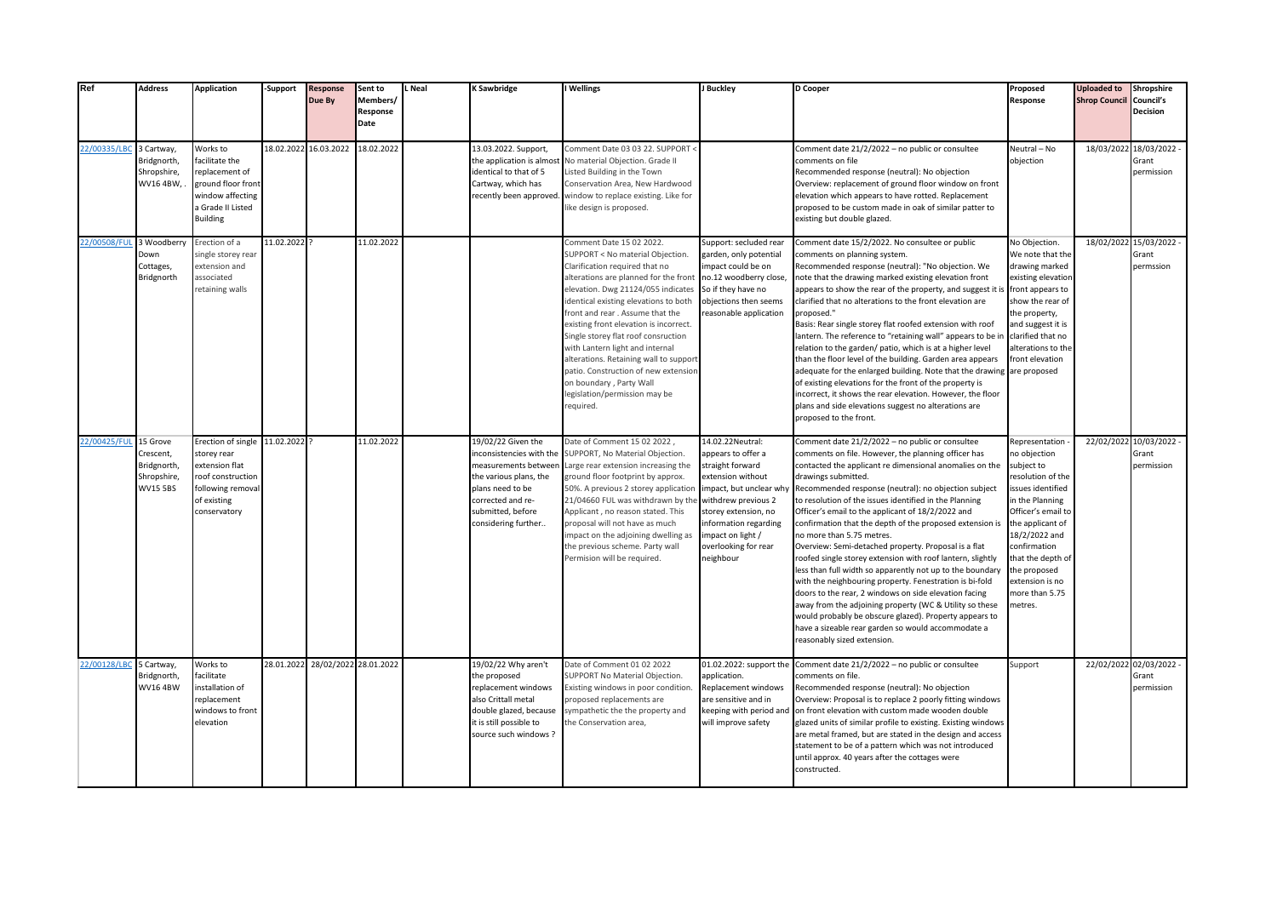| Ref                     | <b>Address</b>                                                   | <b>Application</b>                                                                                                             | <b>Support</b> | <b>Response</b><br>Due By        | Sent to<br>Members/<br>Response<br>Date | L Neal | K Sawbridge                                                                                                                                                                          | I Wellings                                                                                                                                                                                                                                                                                                                                                                                                                                                                                                                              | J Buckley                                                                                                                                                                                                             | D Cooper                                                                                                                                                                                                                                                                                                                                                                                                                                                                                                                                                                                                                                                                                                                                                                                                                                                                                                                                                                  | Proposed<br>Response                                                                                                                                                                                                                                                      | <b>Uploaded to</b><br><b>Shrop Council</b> | Shropshire<br>Council's<br><b>Decision</b>     |
|-------------------------|------------------------------------------------------------------|--------------------------------------------------------------------------------------------------------------------------------|----------------|----------------------------------|-----------------------------------------|--------|--------------------------------------------------------------------------------------------------------------------------------------------------------------------------------------|-----------------------------------------------------------------------------------------------------------------------------------------------------------------------------------------------------------------------------------------------------------------------------------------------------------------------------------------------------------------------------------------------------------------------------------------------------------------------------------------------------------------------------------------|-----------------------------------------------------------------------------------------------------------------------------------------------------------------------------------------------------------------------|---------------------------------------------------------------------------------------------------------------------------------------------------------------------------------------------------------------------------------------------------------------------------------------------------------------------------------------------------------------------------------------------------------------------------------------------------------------------------------------------------------------------------------------------------------------------------------------------------------------------------------------------------------------------------------------------------------------------------------------------------------------------------------------------------------------------------------------------------------------------------------------------------------------------------------------------------------------------------|---------------------------------------------------------------------------------------------------------------------------------------------------------------------------------------------------------------------------------------------------------------------------|--------------------------------------------|------------------------------------------------|
| 22/00335/LBC            | 3 Cartway,<br>Bridgnorth,<br>Shropshire,<br>WV16 4BW,            | Works to<br>facilitate the<br>replacement of<br>ground floor front<br>window affecting<br>a Grade II Listed<br><b>Building</b> | 18.02.2022     | 16.03.2022                       | 18.02.2022                              |        | 13.03.2022. Support,<br>the application is almos<br>identical to that of 5<br>Cartway, which has<br>recently been approved.                                                          | Comment Date 03 03 22. SUPPORT <<br>No material Objection. Grade II<br>Listed Building in the Town<br>Conservation Area, New Hardwood<br>window to replace existing. Like for<br>like design is proposed.                                                                                                                                                                                                                                                                                                                               |                                                                                                                                                                                                                       | Comment date 21/2/2022 - no public or consultee<br>comments on file<br>Recommended response (neutral): No objection<br>Overview: replacement of ground floor window on front<br>elevation which appears to have rotted. Replacement<br>proposed to be custom made in oak of similar patter to<br>existing but double glazed.                                                                                                                                                                                                                                                                                                                                                                                                                                                                                                                                                                                                                                              | Neutral - No<br>objection                                                                                                                                                                                                                                                 |                                            | 18/03/2022 18/03/2022 -<br>Grant<br>permission |
| 22/00508/FL             | 3 Woodberry<br>Down<br>Cottages,<br>Bridgnorth                   | Erection of a<br>single storey rear<br>extension and<br>associated<br>retaining walls                                          | 11.02.2022     |                                  | 11.02.2022                              |        |                                                                                                                                                                                      | Comment Date 15 02 2022.<br>SUPPORT < No material Objection.<br>Clarification required that no<br>alterations are planned for the front<br>elevation. Dwg 21124/055 indicates<br>identical existing elevations to both<br>front and rear. Assume that the<br>existing front elevation is incorrect.<br>Single storey flat roof consruction<br>with Lantern light and internal<br>alterations. Retaining wall to support<br>vatio. Construction of new extensior<br>on boundary, Party Wall<br>egislation/permission may be<br>required. | Support: secluded rear<br>garden, only potential<br>impact could be on<br>no.12 woodberry close,<br>So if they have no<br>objections then seems<br>reasonable application                                             | Comment date 15/2/2022. No consultee or public<br>comments on planning system.<br>Recommended response (neutral): "No objection. We<br>note that the drawing marked existing elevation front<br>appears to show the rear of the property, and suggest it is<br>clarified that no alterations to the front elevation are<br>proposed."<br>Basis: Rear single storey flat roofed extension with roof<br>lantern. The reference to "retaining wall" appears to be ir<br>relation to the garden/ patio, which is at a higher level<br>than the floor level of the building. Garden area appears<br>adequate for the enlarged building. Note that the drawing are proposed<br>of existing elevations for the front of the property is<br>incorrect, it shows the rear elevation. However, the floor<br>plans and side elevations suggest no alterations are<br>proposed to the front.                                                                                          | No Objection.<br>We note that the<br>drawing marked<br>existing elevation<br>front appears to<br>show the rear of<br>the property,<br>and suggest it is<br>clarified that no<br>alterations to the<br>front elevation                                                     |                                            | 18/02/2022 15/03/2022 -<br>Grant<br>permssion  |
| 22/00425/FUL 15 Grove   | Crescent,<br>Bridgnorth,<br><b>Shropshire</b><br><b>WV15 5BS</b> | Erection of single<br>storey rear<br>extension flat<br>roof construction<br>following removal<br>of existing<br>conservatory   | 11.02.2022     |                                  | 11.02.2022                              |        | 19/02/22 Given the<br>nconsistencies with the<br>measurements between<br>the various plans, the<br>plans need to be<br>corrected and re-<br>submitted, before<br>considering further | Date of Comment 15 02 2022.<br>SUPPORT, No Material Objection.<br>Large rear extension increasing the<br>ground floor footprint by approx.<br>50%. A previous 2 storey application<br>21/04660 FUL was withdrawn by the withdrew previous 2<br>Applicant, no reason stated. This<br>proposal will not have as much<br>mpact on the adjoining dwelling as<br>the previous scheme. Party wall<br>Permision will be required.                                                                                                              | 14.02.22Neutral:<br>appears to offer a<br>straight forward<br>extension without<br>impact, but unclear why<br>storey extension, no<br>information regarding<br>impact on light /<br>overlooking for rear<br>neighbour | Comment date 21/2/2022 - no public or consultee<br>comments on file. However, the planning officer has<br>contacted the applicant re dimensional anomalies on the<br>drawings submitted.<br>Recommended response (neutral): no objection subject<br>to resolution of the issues identified in the Planning<br>Officer's email to the applicant of 18/2/2022 and<br>confirmation that the depth of the proposed extension is<br>no more than 5.75 metres.<br>Overview: Semi-detached property. Proposal is a flat<br>roofed single storey extension with roof lantern, slightly<br>less than full width so apparently not up to the boundary<br>with the neighbouring property. Fenestration is bi-fold<br>doors to the rear, 2 windows on side elevation facing<br>away from the adjoining property (WC & Utility so these<br>would probably be obscure glazed). Property appears to<br>have a sizeable rear garden so would accommodate a<br>reasonably sized extension. | Representation<br>no objection<br>subject to<br>resolution of the<br>issues identified<br>in the Planning<br>Officer's email to<br>the applicant of<br>18/2/2022 and<br>confirmation<br>that the depth of<br>the proposed<br>extension is no<br>more than 5.75<br>metres. |                                            | 22/02/2022 10/03/2022 -<br>Grant<br>permission |
| 22/00128/LBC 5 Cartway, | Bridgnorth,<br><b>WV164BW</b>                                    | Works to<br>facilitate<br>installation of<br>replacement<br>windows to front<br>elevation                                      |                | 28.01.2022 28/02/2022 28.01.2022 |                                         |        | 19/02/22 Why aren't<br>the proposed<br>eplacement windows<br>also Crittall metal<br>double glazed, because<br>it is still possible to<br>source such windows?                        | Date of Comment 01 02 2022<br>SUPPORT No Material Objection.<br>Existing windows in poor condition<br>proposed replacements are<br>sympathetic the the property and<br>the Conservation area,                                                                                                                                                                                                                                                                                                                                           | 01.02.2022: support the<br>application.<br>Replacement windows<br>are sensitive and in<br>keeping with period and<br>will improve safety                                                                              | Comment date 21/2/2022 - no public or consultee<br>comments on file.<br>Recommended response (neutral): No objection<br>Overview: Proposal is to replace 2 poorly fitting windows<br>on front elevation with custom made wooden double<br>glazed units of similar profile to existing. Existing windows<br>are metal framed, but are stated in the design and access<br>statement to be of a pattern which was not introduced<br>until approx. 40 years after the cottages were<br>constructed.                                                                                                                                                                                                                                                                                                                                                                                                                                                                           | Support                                                                                                                                                                                                                                                                   |                                            | 22/02/2022 02/03/2022 -<br>Grant<br>permission |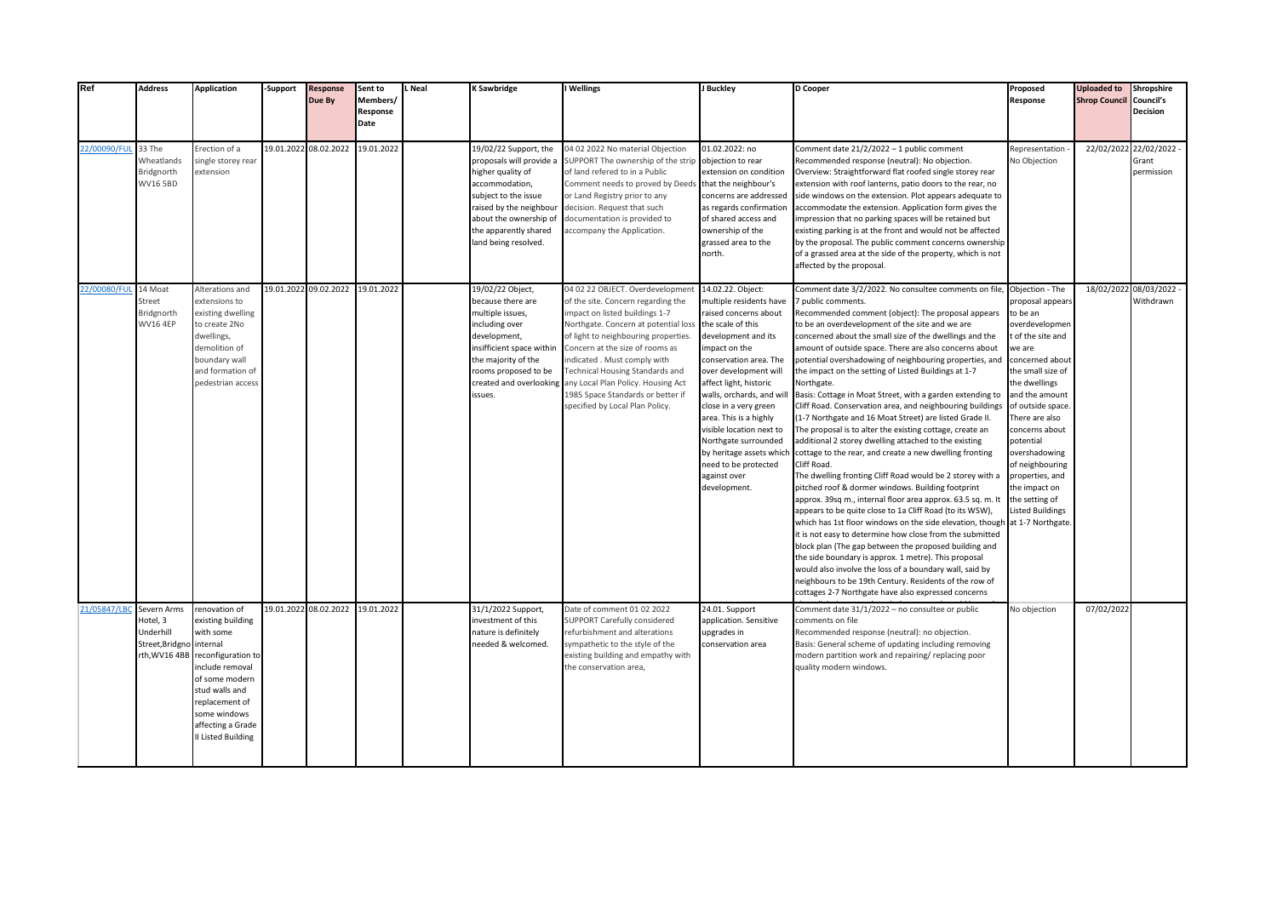| Ref          | <b>Address</b>                                                   | <b>Application</b>                                                                                                                                                                                                     | -Support | <b>Response</b><br>Due By | Sent to<br>Members/<br>Response<br>Date | L Neal | K Sawbridge                                                                                                                                                                                                            | I Wellings                                                                                                                                                                                                                                                                                                                                                                                                                         | J Buckley                                                                                                                                                                                                                                                                                                                                                                                                         | D Cooper                                                                                                                                                                                                                                                                                                                                                                                                                                                                                                                                                                                                                                                                                                                                                                                                                                                                                                                                                                                                                                                                                                                                                                                                                                                                                                                                                                                                                                                                                       | Proposed<br>Response                                                                                                                                                                                                                                                                                                                                                                       | <b>Uploaded to</b><br><b>Shrop Council Council's</b> | Shropshire<br><b>Decision</b>                  |
|--------------|------------------------------------------------------------------|------------------------------------------------------------------------------------------------------------------------------------------------------------------------------------------------------------------------|----------|---------------------------|-----------------------------------------|--------|------------------------------------------------------------------------------------------------------------------------------------------------------------------------------------------------------------------------|------------------------------------------------------------------------------------------------------------------------------------------------------------------------------------------------------------------------------------------------------------------------------------------------------------------------------------------------------------------------------------------------------------------------------------|-------------------------------------------------------------------------------------------------------------------------------------------------------------------------------------------------------------------------------------------------------------------------------------------------------------------------------------------------------------------------------------------------------------------|------------------------------------------------------------------------------------------------------------------------------------------------------------------------------------------------------------------------------------------------------------------------------------------------------------------------------------------------------------------------------------------------------------------------------------------------------------------------------------------------------------------------------------------------------------------------------------------------------------------------------------------------------------------------------------------------------------------------------------------------------------------------------------------------------------------------------------------------------------------------------------------------------------------------------------------------------------------------------------------------------------------------------------------------------------------------------------------------------------------------------------------------------------------------------------------------------------------------------------------------------------------------------------------------------------------------------------------------------------------------------------------------------------------------------------------------------------------------------------------------|--------------------------------------------------------------------------------------------------------------------------------------------------------------------------------------------------------------------------------------------------------------------------------------------------------------------------------------------------------------------------------------------|------------------------------------------------------|------------------------------------------------|
| 22/00090/FUI | 33 The<br>Wheatlands<br>Bridgnorth<br><b>WV16 5BD</b>            | Erection of a<br>ingle storey rear<br>extension                                                                                                                                                                        |          | 19.01.2022 08.02.2022     | 19.01.2022                              |        | 19/02/22 Support, the<br>proposals will provide a<br>higher quality of<br>accommodation,<br>subject to the issue<br>raised by the neighbour<br>about the ownership of<br>the apparently shared<br>land being resolved. | 04 02 2022 No material Objection<br>SUPPORT The ownership of the strip<br>of land refered to in a Public<br>Comment needs to proved by Deeds that the neighbour's<br>or Land Registry prior to any<br>decision. Request that such<br>documentation is provided to<br>accompany the Application.                                                                                                                                    | 01.02.2022: no<br>objection to rear<br>extension on condition<br>concerns are addressed<br>as regards confirmation<br>of shared access and<br>ownership of the<br>grassed area to the<br>north.                                                                                                                                                                                                                   | Comment date 21/2/2022 - 1 public comment<br>Recommended response (neutral): No objection.<br>Overview: Straightforward flat roofed single storey rear<br>extension with roof lanterns, patio doors to the rear, no<br>side windows on the extension. Plot appears adequate to<br>accommodate the extension. Application form gives the<br>mpression that no parking spaces will be retained but<br>existing parking is at the front and would not be affected<br>by the proposal. The public comment concerns ownership<br>of a grassed area at the side of the property, which is not<br>affected by the proposal.                                                                                                                                                                                                                                                                                                                                                                                                                                                                                                                                                                                                                                                                                                                                                                                                                                                                           | Representation<br>No Objection                                                                                                                                                                                                                                                                                                                                                             |                                                      | 22/02/2022 22/02/2022 -<br>Grant<br>permission |
| 22/00080/FUL | 14 Moat<br>Street<br>Bridgnorth<br><b>WV16 4EP</b>               | Alterations and<br>extensions to<br>existing dwelling<br>to create 2No<br>dwellings,<br>demolition of<br>boundary wall<br>and formation of<br>pedestrian access                                                        |          | 19.01.2022 09.02.2022     | 19.01.2022                              |        | 19/02/22 Object,<br>because there are<br>multiple issues,<br>including over<br>development,<br>insifficient space within<br>the majority of the<br>rooms proposed to be<br>created and overlooking<br>issues.          | 04 02 22 OBJECT. Overdevelopment<br>of the site. Concern regarding the<br>mpact on listed buildings 1-7<br>Northgate. Concern at potential loss the scale of this<br>of light to neighbouring properties.<br>Concern at the size of rooms as<br>ndicated. Must comply with<br><b>Technical Housing Standards and</b><br>any Local Plan Policy. Housing Act<br>1985 Space Standards or better if<br>specified by Local Plan Policy. | 14.02.22. Object:<br>nultiple residents have<br>raised concerns about<br>development and its<br>mpact on the<br>conservation area. The<br>over development will<br>affect light, historic<br>walls, orchards, and will<br>close in a very green<br>area. This is a highly<br>visible location next to<br>Northgate surrounded<br>by heritage assets which<br>need to be protected<br>against over<br>development. | Comment date 3/2/2022. No consultee comments on file,<br>public comments.<br>Recommended comment (object): The proposal appears<br>to be an overdevelopment of the site and we are<br>concerned about the small size of the dwellings and the<br>amount of outside space. There are also concerns about<br>ootential overshadowing of neighbouring properties, and<br>the impact on the setting of Listed Buildings at 1-7<br>Northgate.<br>Basis: Cottage in Moat Street, with a garden extending to<br>Cliff Road. Conservation area, and neighbouring buildings<br>1-7 Northgate and 16 Moat Street) are listed Grade II.<br>The proposal is to alter the existing cottage, create an<br>additional 2 storey dwelling attached to the existing<br>cottage to the rear, and create a new dwelling fronting<br>Cliff Road.<br>The dwelling fronting Cliff Road would be 2 storey with a<br>pitched roof & dormer windows. Building footprint<br>approx. 39sq m., internal floor area approx. 63.5 sq. m. It<br>appears to be quite close to 1a Cliff Road (to its WSW),<br>which has 1st floor windows on the side elevation, though<br>it is not easy to determine how close from the submitted<br>block plan (The gap between the proposed building and<br>the side boundary is approx. 1 metre). This proposal<br>would also involve the loss of a boundary wall, said by<br>neighbours to be 19th Century. Residents of the row of<br>cottages 2-7 Northgate have also expressed concerns | Objection - The<br>proposal appears<br>to be an<br>overdevelopmen<br>t of the site and<br>we are<br>concerned about<br>the small size of<br>the dwellings<br>and the amount<br>of outside space.<br>There are also<br>concerns about<br>potential<br>overshadowing<br>of neighbouring<br>properties, and<br>the impact on<br>the setting of<br><b>Listed Buildings</b><br>at 1-7 Northgate |                                                      | 18/02/2022 08/03/2022 -<br>Withdrawn           |
| 21/05847/LB  | Severn Arms<br>Hotel, 3<br>Underhill<br>Street, Bridgno internal | renovation of<br>existing building<br>with some<br>rth, WV16 4BB reconfiguration to<br>include removal<br>of some modern<br>stud walls and<br>replacement of<br>some windows<br>affecting a Grade<br>I Listed Building |          | 19.01.2022 08.02.2022     | 19.01.2022                              |        | 31/1/2022 Support,<br>investment of this<br>nature is definitely<br>needed & welcomed.                                                                                                                                 | Date of comment 01 02 2022<br><b>SUPPORT Carefully considered</b><br>refurbishment and alterations<br>sympathetic to the style of the<br>existing building and empathy with<br>the conservation area,                                                                                                                                                                                                                              | 24.01. Support<br>application. Sensitive<br>upgrades in<br>conservation area                                                                                                                                                                                                                                                                                                                                      | Comment date 31/1/2022 - no consultee or public<br>comments on file<br>Recommended response (neutral): no objection.<br>Basis: General scheme of updating including removing<br>modern partition work and repairing/ replacing poor<br>quality modern windows.                                                                                                                                                                                                                                                                                                                                                                                                                                                                                                                                                                                                                                                                                                                                                                                                                                                                                                                                                                                                                                                                                                                                                                                                                                 | No objection                                                                                                                                                                                                                                                                                                                                                                               | 07/02/2022                                           |                                                |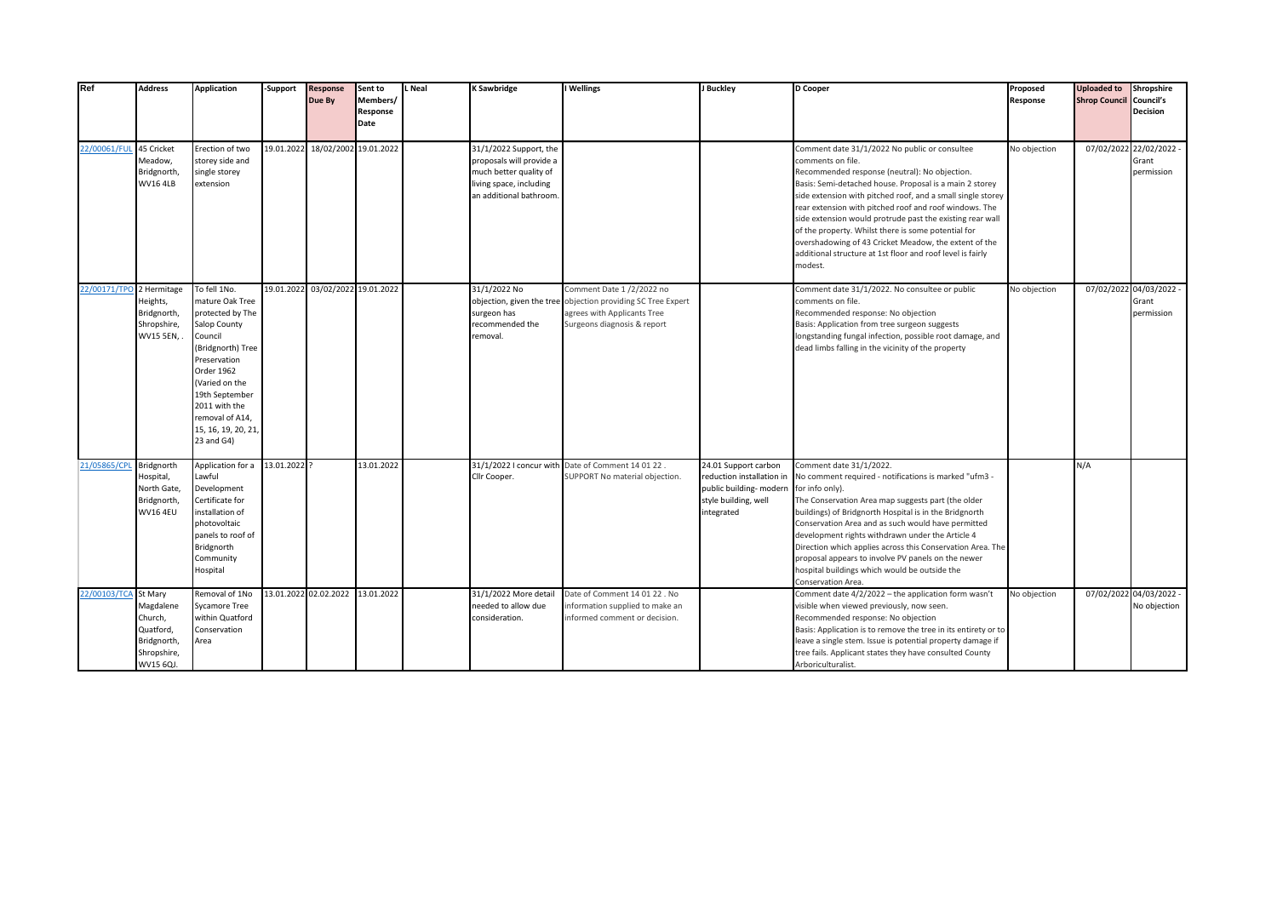| Ref                      | <b>Address</b>                                                               | <b>Application</b>                                                                                                                                                                                                                             | -Support   | <b>Response</b><br>Due By        | Sent to<br>Members/<br>Response | Neal | <b>K Sawbridge</b>                                                                                                                 | I Wellings                                                                                                                                             | J Buckley                                                                                                          | <b>D</b> Cooper                                                                                                                                                                                                                                                                                                                                                                                                                                                                                                                                               | Proposed<br>Response | <b>Uploaded to</b><br><b>Shrop Council Council's</b> | Shropshire<br><b>Decision</b>                  |
|--------------------------|------------------------------------------------------------------------------|------------------------------------------------------------------------------------------------------------------------------------------------------------------------------------------------------------------------------------------------|------------|----------------------------------|---------------------------------|------|------------------------------------------------------------------------------------------------------------------------------------|--------------------------------------------------------------------------------------------------------------------------------------------------------|--------------------------------------------------------------------------------------------------------------------|---------------------------------------------------------------------------------------------------------------------------------------------------------------------------------------------------------------------------------------------------------------------------------------------------------------------------------------------------------------------------------------------------------------------------------------------------------------------------------------------------------------------------------------------------------------|----------------------|------------------------------------------------------|------------------------------------------------|
|                          |                                                                              |                                                                                                                                                                                                                                                |            |                                  | Date                            |      |                                                                                                                                    |                                                                                                                                                        |                                                                                                                    |                                                                                                                                                                                                                                                                                                                                                                                                                                                                                                                                                               |                      |                                                      |                                                |
| 22/00061/FUL             | 45 Cricket<br>Meadow,<br>Bridgnorth,<br><b>WV16 4LB</b>                      | Erection of two<br>storey side and<br>single storey<br>extension                                                                                                                                                                               | 19.01.2022 | 18/02/2002 19.01.2022            |                                 |      | 31/1/2022 Support, the<br>proposals will provide a<br>much better quality of<br>living space, including<br>an additional bathroom. |                                                                                                                                                        |                                                                                                                    | Comment date 31/1/2022 No public or consultee<br>comments on file.<br>Recommended response (neutral): No objection.<br>Basis: Semi-detached house. Proposal is a main 2 storey<br>side extension with pitched roof, and a small single storey<br>rear extension with pitched roof and roof windows. The<br>side extension would protrude past the existing rear wall<br>of the property. Whilst there is some potential for<br>overshadowing of 43 Cricket Meadow, the extent of the<br>additional structure at 1st floor and roof level is fairly<br>modest. | No objection         |                                                      | 07/02/2022 22/02/2022 -<br>Grant<br>permission |
| 22/00171/TPO 2 Hermitage | Heights,<br>Bridgnorth,<br>Shropshire,<br><b>WV15 5EN,</b>                   | To fell 1No.<br>mature Oak Tree<br>protected by The<br>Salop County<br>Council<br>(Bridgnorth) Tree<br>Preservation<br>Order 1962<br>(Varied on the<br>19th September<br>2011 with the<br>removal of A14,<br>15, 16, 19, 20, 21,<br>23 and G4) |            | 19.01.2022 03/02/2022 19.01.2022 |                                 |      | 31/1/2022 No<br>surgeon has<br>ecommended the<br>removal.                                                                          | Comment Date 1/2/2022 no<br>objection, given the tree objection providing SC Tree Expert<br>agrees with Applicants Tree<br>Surgeons diagnosis & report |                                                                                                                    | Comment date 31/1/2022. No consultee or public<br>comments on file.<br>Recommended response: No objection<br>Basis: Application from tree surgeon suggests<br>longstanding fungal infection, possible root damage, and<br>dead limbs falling in the vicinity of the property                                                                                                                                                                                                                                                                                  | No objection         | 07/02/202                                            | 04/03/2022 -<br>Grant<br>permission            |
| 21/05865/CPL             | Bridgnorth<br>Hospital,<br>North Gate,<br>Bridgnorth,<br><b>WV16 4EU</b>     | Application for a<br>Lawful<br>Development<br>Certificate for<br>installation of<br>photovoltaic<br>panels to roof of<br>Bridgnorth<br>Community<br>Hospital                                                                                   | 13.01.2022 |                                  | 13.01.2022                      |      | 31/1/2022 I concur with<br>Cllr Cooper.                                                                                            | Date of Comment 14 01 22.<br>SUPPORT No material objection.                                                                                            | 24.01 Support carbon<br>reduction installation in<br>public building- modern<br>style building, well<br>integrated | Comment date 31/1/2022.<br>No comment required - notifications is marked "ufm3 -<br>for info only).<br>The Conservation Area map suggests part (the older<br>buildings) of Bridgnorth Hospital is in the Bridgnorth<br>Conservation Area and as such would have permitted<br>development rights withdrawn under the Article 4<br>Direction which applies across this Conservation Area. The<br>proposal appears to involve PV panels on the newer<br>hospital buildings which would be outside the<br>Conservation Area.                                      |                      | N/A                                                  |                                                |
| 22/00103/TCA St Mary     | Magdalene<br>Church,<br>Quatford,<br>Bridgnorth,<br>Shropshire,<br>WV15 6QJ. | Removal of 1No<br><b>Sycamore Tree</b><br>within Quatford<br>Conservation<br>Area                                                                                                                                                              |            | 13.01.2022 02.02.2022            | 13.01.2022                      |      | 31/1/2022 More detail<br>needed to allow due<br>consideration.                                                                     | Date of Comment 14 01 22. No<br>information supplied to make an<br>informed comment or decision.                                                       |                                                                                                                    | Comment date 4/2/2022 - the application form wasn't<br>visible when viewed previously, now seen.<br>Recommended response: No objection<br>Basis: Application is to remove the tree in its entirety or to<br>leave a single stem. Issue is potential property damage if<br>tree fails. Applicant states they have consulted County<br>Arboriculturalist.                                                                                                                                                                                                       | No objection         |                                                      | 07/02/2022 04/03/2022 -<br>No objection        |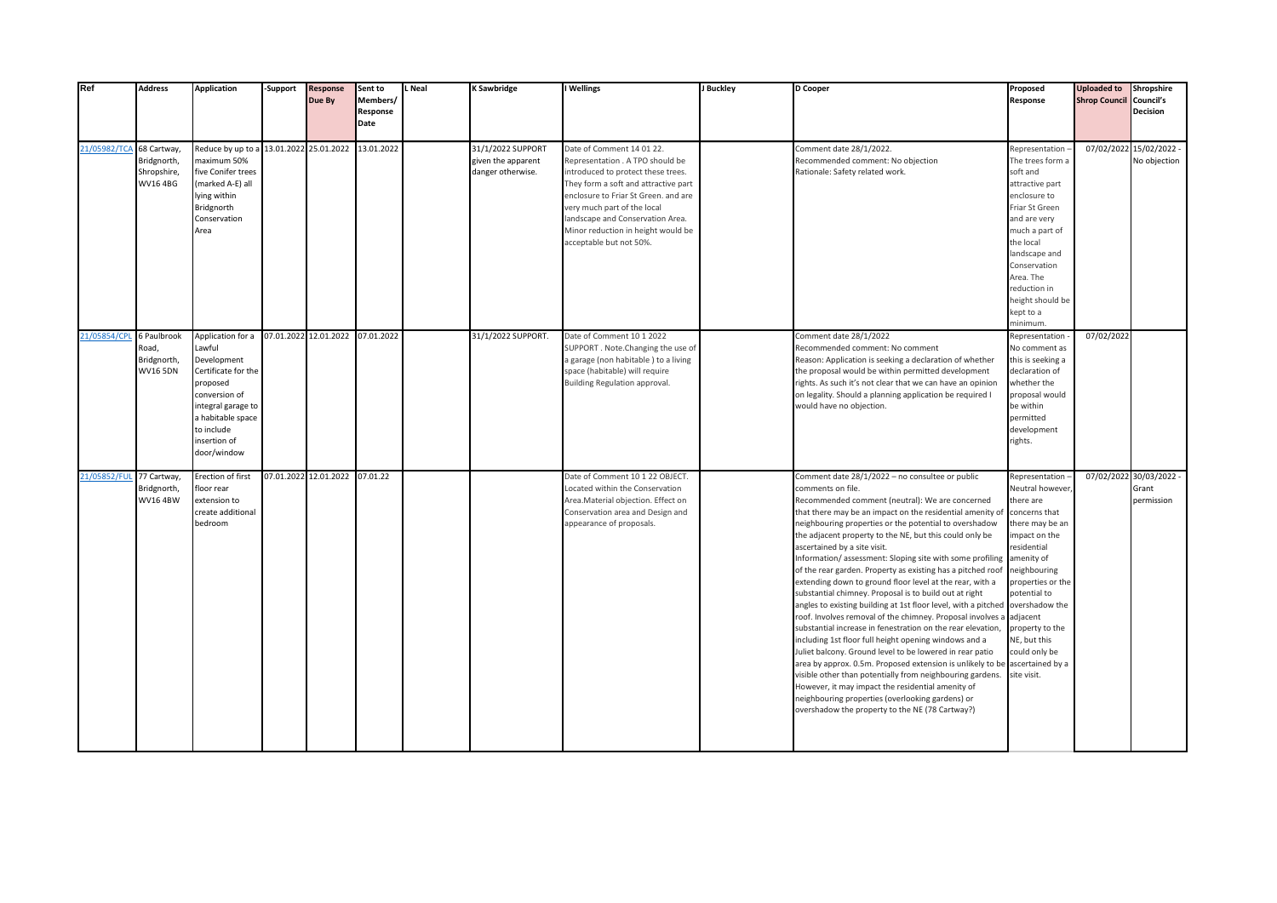| Ref          | <b>Address</b>                                         | <b>Application</b>                                                                                                                                                                     | -Support              | <b>Response</b><br>Due By      | Sent to<br>Members/ | Neal | <b>K Sawbridge</b>                                           | I Wellings                                                                                                                                                                                                                                                                                                              | J Buckley | D Cooper                                                                                                                                                                                                                                                                                                                                                                                                                                                                                                                                                                                                                                                                                                                                                                                                                                                                                                                                                                                                                                                                                                                                                                                                                      | Proposed<br>Response                                                                                                                                                                                                                                                          | <b>Uploaded to</b><br><b>Shrop Council Council's</b> | Shropshire                                     |
|--------------|--------------------------------------------------------|----------------------------------------------------------------------------------------------------------------------------------------------------------------------------------------|-----------------------|--------------------------------|---------------------|------|--------------------------------------------------------------|-------------------------------------------------------------------------------------------------------------------------------------------------------------------------------------------------------------------------------------------------------------------------------------------------------------------------|-----------|-------------------------------------------------------------------------------------------------------------------------------------------------------------------------------------------------------------------------------------------------------------------------------------------------------------------------------------------------------------------------------------------------------------------------------------------------------------------------------------------------------------------------------------------------------------------------------------------------------------------------------------------------------------------------------------------------------------------------------------------------------------------------------------------------------------------------------------------------------------------------------------------------------------------------------------------------------------------------------------------------------------------------------------------------------------------------------------------------------------------------------------------------------------------------------------------------------------------------------|-------------------------------------------------------------------------------------------------------------------------------------------------------------------------------------------------------------------------------------------------------------------------------|------------------------------------------------------|------------------------------------------------|
|              |                                                        |                                                                                                                                                                                        |                       |                                | Response<br>Date    |      |                                                              |                                                                                                                                                                                                                                                                                                                         |           |                                                                                                                                                                                                                                                                                                                                                                                                                                                                                                                                                                                                                                                                                                                                                                                                                                                                                                                                                                                                                                                                                                                                                                                                                               |                                                                                                                                                                                                                                                                               |                                                      | Decision                                       |
| 21/05982/TCA | 68 Cartway,<br>Bridgnorth,<br>Shropshire,<br>WV16 4BG  | Reduce by up to a<br>maximum 50%<br>five Conifer trees<br>(marked A-E) all<br>lying within<br>Bridgnorth<br>Conservation<br>Area                                                       | 13.01.2022 25.01.2022 |                                | 13.01.2022          |      | 31/1/2022 SUPPORT<br>given the apparent<br>danger otherwise. | Date of Comment 14 01 22.<br>Representation . A TPO should be<br>introduced to protect these trees.<br>They form a soft and attractive part<br>enclosure to Friar St Green. and are<br>very much part of the local<br>landscape and Conservation Area.<br>Minor reduction in height would be<br>acceptable but not 50%. |           | Comment date 28/1/2022.<br>Recommended comment: No objection<br>Rationale: Safety related work.                                                                                                                                                                                                                                                                                                                                                                                                                                                                                                                                                                                                                                                                                                                                                                                                                                                                                                                                                                                                                                                                                                                               | Representation -<br>The trees form a<br>soft and<br>attractive part<br>enclosure to<br>Friar St Green<br>and are very<br>much a part of<br>the local<br>landscape and<br>Conservation<br>Area. The<br>reduction in<br>height should be<br>kept to a<br>minimum.               |                                                      | 07/02/2022 15/02/2022 -<br>No objection        |
| 21/05854/CPL | 6 Paulbrook<br>Road,<br>Bridgnorth,<br><b>WV16 5DN</b> | Application for a<br>Lawful<br>Development<br>Certificate for the<br>proposed<br>conversion of<br>integral garage to<br>a habitable space<br>to include<br>insertion of<br>door/window |                       | 07.01.2022 12.01.2022          | 07.01.2022          |      | 31/1/2022 SUPPORT.                                           | Date of Comment 10 1 2022<br>SUPPORT. Note. Changing the use of<br>a garage (non habitable) to a living<br>space (habitable) will require<br>Building Regulation approval.                                                                                                                                              |           | Comment date 28/1/2022<br>Recommended comment: No comment<br>Reason: Application is seeking a declaration of whether<br>the proposal would be within permitted development<br>rights. As such it's not clear that we can have an opinion<br>on legality. Should a planning application be required I<br>would have no objection.                                                                                                                                                                                                                                                                                                                                                                                                                                                                                                                                                                                                                                                                                                                                                                                                                                                                                              | Representation<br>No comment as<br>this is seeking a<br>declaration of<br>whether the<br>proposal would<br>be within<br>permitted<br>development<br>rights.                                                                                                                   | 07/02/2022                                           |                                                |
| 21/05852/FUI | 77 Cartway,<br>Bridgnorth,<br><b>WV16 4BW</b>          | Erection of first<br>floor rear<br>extension to<br>create additional<br>bedroom                                                                                                        |                       | 07.01.2022 12.01.2022 07.01.22 |                     |      |                                                              | Date of Comment 10 1 22 OBJECT.<br>Located within the Conservation<br>Area.Material objection. Effect on<br>Conservation area and Design and<br>appearance of proposals.                                                                                                                                                |           | Comment date 28/1/2022 - no consultee or public<br>comments on file.<br>Recommended comment (neutral): We are concerned<br>that there may be an impact on the residential amenity of<br>neighbouring properties or the potential to overshadow<br>the adjacent property to the NE, but this could only be<br>ascertained by a site visit.<br>Information/assessment: Sloping site with some profiling<br>of the rear garden. Property as existing has a pitched roof<br>extending down to ground floor level at the rear, with a<br>substantial chimney. Proposal is to build out at right<br>angles to existing building at 1st floor level, with a pitched overshadow the<br>roof. Involves removal of the chimney. Proposal involves a adjacent<br>substantial increase in fenestration on the rear elevation,<br>including 1st floor full height opening windows and a<br>Juliet balcony. Ground level to be lowered in rear patio<br>area by approx. 0.5m. Proposed extension is unlikely to be<br>visible other than potentially from neighbouring gardens.<br>However, it may impact the residential amenity of<br>neighbouring properties (overlooking gardens) or<br>overshadow the property to the NE (78 Cartway?) | Representation<br>Neutral however.<br>there are<br>concerns that<br>there may be an<br>impact on the<br>residential<br>amenity of<br>neighbouring<br>properties or the<br>potential to<br>property to the<br>NE, but this<br>could only be<br>ascertained by a<br>site visit. |                                                      | 07/02/2022 30/03/2022 -<br>Grant<br>permission |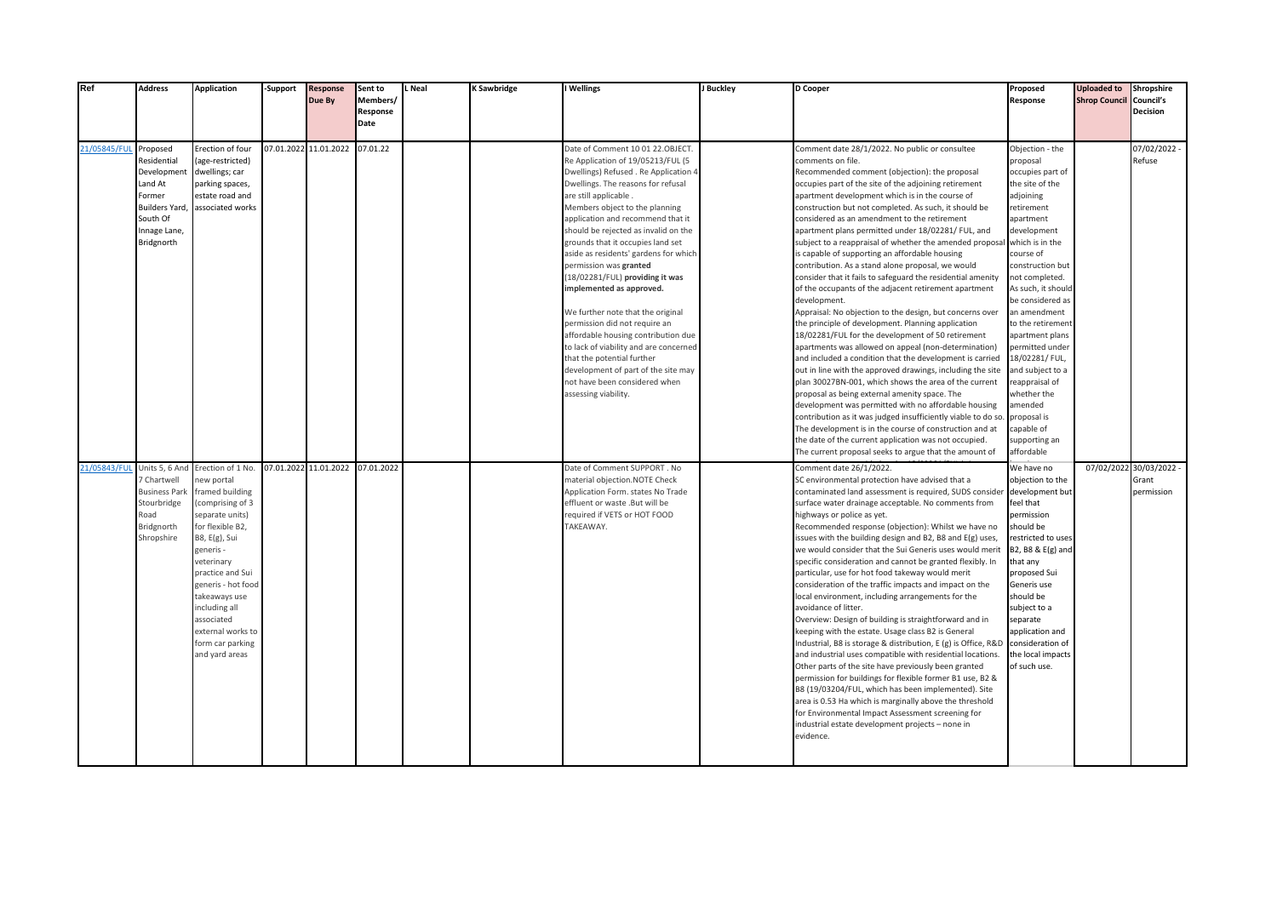| Ref         | <b>Address</b>                                                                                                               | <b>Application</b>                                                                                                                                                                                                                                                                                            | -Support | <b>Response</b><br>Due By | Sent to<br>Members/<br>Response<br>Date | L Neal | K Sawbridge | I Wellings                                                                                                                                                                                                                                                                                                                                                                                                                                                                                                                                                                                                                                                                                                                                             | J Buckley | D Cooper                                                                                                                                                                                                                                                                                                                                                                                                                                                                                                                                                                                                                                                                                                                                                                                                                                                                                                                                                                                                                                                                                                                                                                                                                                                                                                                                                                                                                                                                            | Proposed<br>Response                                                                                                                                                                                                                                                                                                                                                                                                                                               | <b>Uploaded to</b><br><b>Shrop Council Council's</b> | Shropshire<br><b>Decision</b>                  |
|-------------|------------------------------------------------------------------------------------------------------------------------------|---------------------------------------------------------------------------------------------------------------------------------------------------------------------------------------------------------------------------------------------------------------------------------------------------------------|----------|---------------------------|-----------------------------------------|--------|-------------|--------------------------------------------------------------------------------------------------------------------------------------------------------------------------------------------------------------------------------------------------------------------------------------------------------------------------------------------------------------------------------------------------------------------------------------------------------------------------------------------------------------------------------------------------------------------------------------------------------------------------------------------------------------------------------------------------------------------------------------------------------|-----------|-------------------------------------------------------------------------------------------------------------------------------------------------------------------------------------------------------------------------------------------------------------------------------------------------------------------------------------------------------------------------------------------------------------------------------------------------------------------------------------------------------------------------------------------------------------------------------------------------------------------------------------------------------------------------------------------------------------------------------------------------------------------------------------------------------------------------------------------------------------------------------------------------------------------------------------------------------------------------------------------------------------------------------------------------------------------------------------------------------------------------------------------------------------------------------------------------------------------------------------------------------------------------------------------------------------------------------------------------------------------------------------------------------------------------------------------------------------------------------------|--------------------------------------------------------------------------------------------------------------------------------------------------------------------------------------------------------------------------------------------------------------------------------------------------------------------------------------------------------------------------------------------------------------------------------------------------------------------|------------------------------------------------------|------------------------------------------------|
| 21/05845/FU | Proposed<br>Residential<br>Developmen<br>Land At<br>Former<br><b>Builders Yard</b><br>South Of<br>Innage Lane,<br>Bridgnorth | Erection of four<br>(age-restricted)<br>dwellings; car<br>parking spaces,<br>estate road and<br>associated works                                                                                                                                                                                              |          | 07.01.2022 11.01.2022     | 07.01.22                                |        |             | Date of Comment 10 01 22.OBJECT.<br>Re Application of 19/05213/FUL (5<br>Dwellings) Refused . Re Application 4<br>Dwellings. The reasons for refusal<br>are still applicable.<br>Members object to the planning<br>application and recommend that it<br>should be rejected as invalid on the<br>grounds that it occupies land set<br>aside as residents' gardens for which<br>permission was granted<br>18/02281/FUL) providing it was<br>mplemented as approved.<br>We further note that the original<br>permission did not require an<br>affordable housing contribution due<br>to lack of viability and are concerned<br>that the potential further<br>development of part of the site may<br>not have been considered when<br>assessing viability. |           | Comment date 28/1/2022. No public or consultee<br>comments on file.<br>Recommended comment (objection): the proposal<br>occupies part of the site of the adjoining retirement<br>apartment development which is in the course of<br>construction but not completed. As such, it should be<br>considered as an amendment to the retirement<br>apartment plans permitted under 18/02281/ FUL, and<br>subject to a reappraisal of whether the amended proposal<br>s capable of supporting an affordable housing<br>contribution. As a stand alone proposal, we would<br>consider that it fails to safeguard the residential amenity<br>of the occupants of the adjacent retirement apartment<br>development.<br>Appraisal: No objection to the design, but concerns over<br>the principle of development. Planning application<br>18/02281/FUL for the development of 50 retirement<br>apartments was allowed on appeal (non-determination)<br>and included a condition that the development is carried<br>out in line with the approved drawings, including the site<br>plan 30027BN-001, which shows the area of the current<br>proposal as being external amenity space. The<br>development was permitted with no affordable housing<br>contribution as it was judged insufficiently viable to do so.<br>The development is in the course of construction and at<br>the date of the current application was not occupied.<br>The current proposal seeks to argue that the amount of | Objection - the<br>proposal<br>occupies part of<br>the site of the<br>adjoining<br>retirement<br>apartment<br>development<br>which is in the<br>course of<br>construction but<br>not completed.<br>As such, it should<br>be considered as<br>an amendment<br>to the retirement<br>apartment plans<br>permitted under<br>18/02281/ FUL,<br>and subject to a<br>reappraisal of<br>whether the<br>amended<br>proposal is<br>capable of<br>supporting an<br>affordable |                                                      | 07/02/2022 -<br>Refuse                         |
| 21/05843/FU | Units 5, 6 And<br>7 Chartwell<br><b>Business Park</b><br>Stourbridge<br>Road<br>Bridgnorth<br>Shropshire                     | Erection of 1 No.<br>ew portal<br>framed building<br>(comprising of 3<br>separate units)<br>for flexible B2,<br>B8, E(g), Sui<br>generis -<br>veterinary<br>practice and Sui<br>generis - hot food<br>takeaways use<br>including all<br>associated<br>external works to<br>form car parking<br>and yard areas |          | 07.01.2022 11.01.2022     | 07.01.2022                              |        |             | Date of Comment SUPPORT . No<br>material objection.NOTE Check<br>Application Form. states No Trade<br>effluent or waste .But will be<br>equired if VETS or HOT FOOD<br>TAKEAWAY.                                                                                                                                                                                                                                                                                                                                                                                                                                                                                                                                                                       |           | Comment date 26/1/2022.<br>SC environmental protection have advised that a<br>contaminated land assessment is required, SUDS consider<br>surface water drainage acceptable. No comments from<br>highways or police as yet.<br>Recommended response (objection): Whilst we have no<br>issues with the building design and B2, B8 and E(g) uses,<br>we would consider that the Sui Generis uses would merit<br>specific consideration and cannot be granted flexibly. In<br>particular, use for hot food takeway would merit<br>consideration of the traffic impacts and impact on the<br>local environment, including arrangements for the<br>avoidance of litter.<br>Overview: Design of building is straightforward and in<br>keeping with the estate. Usage class B2 is General<br>Industrial, B8 is storage & distribution, E (g) is Office, R&D<br>and industrial uses compatible with residential locations.<br>Other parts of the site have previously been granted<br>permission for buildings for flexible former B1 use, B2 &<br>B8 (19/03204/FUL, which has been implemented). Site<br>area is 0.53 Ha which is marginally above the threshold<br>for Environmental Impact Assessment screening for<br>industrial estate development projects - none in<br>evidence.                                                                                                                                                                                                      | We have no<br>objection to the<br>development but<br>feel that<br>permission<br>should be<br>restricted to uses<br>B2, B8 & E(g) and<br>that any<br>proposed Sui<br>Generis use<br>should be<br>subject to a<br>separate<br>application and<br>consideration of<br>the local impacts<br>of such use.                                                                                                                                                               |                                                      | 07/02/2022 30/03/2022 -<br>Grant<br>permission |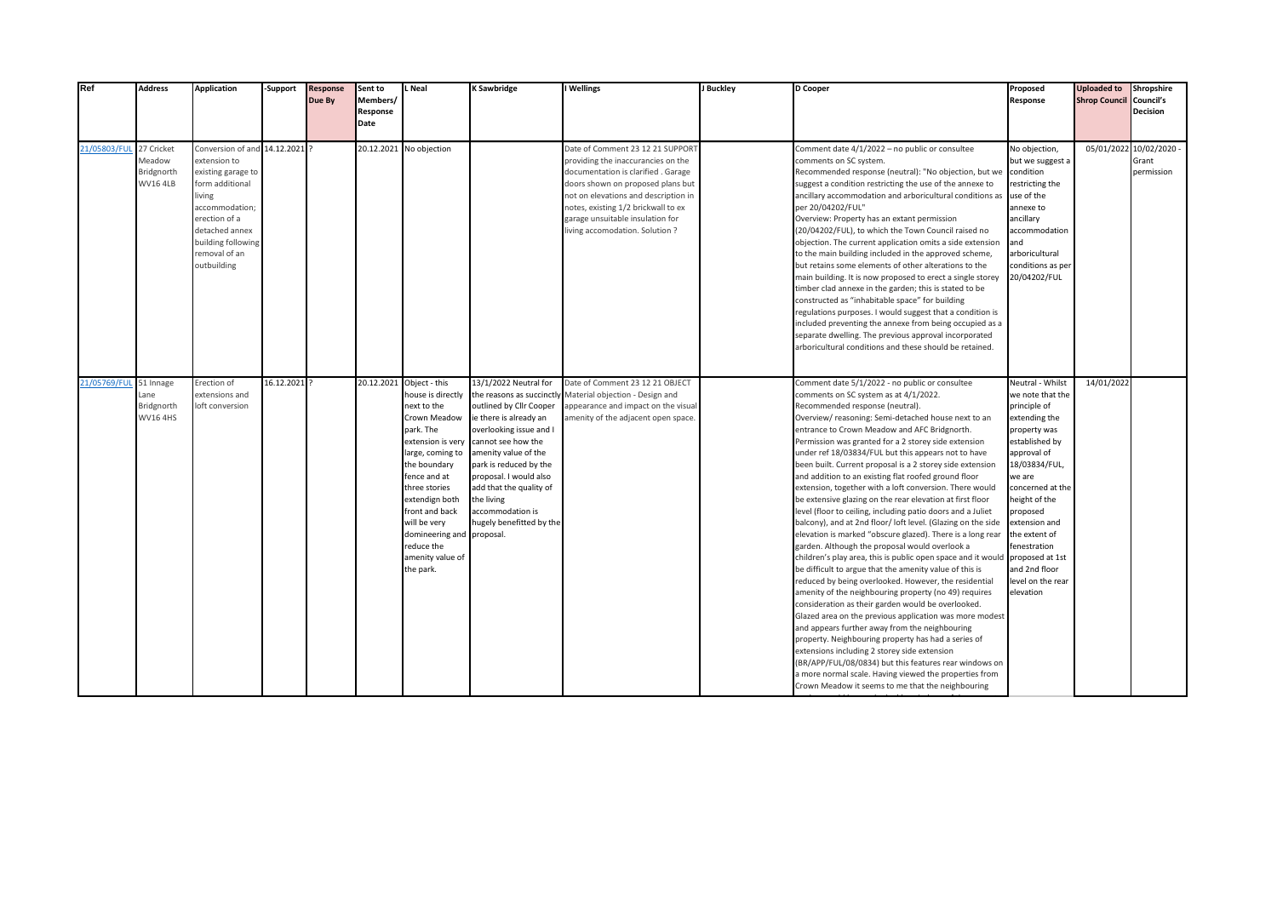| Ref          | <b>Address</b>                                        | <b>Application</b>                                                                                                                                                                                           | -Support     | <b>Response</b><br>Due By | Sent to<br>Members/<br>Response<br>Date | . Neal                                                                                                                                                                                                                                                                                                              | <b>K Sawbridge</b>                                                                                                                                                                                                                                                                                                            | I Wellings                                                                                                                                                                                                                                                                                             | J Buckley | D Cooper                                                                                                                                                                                                                                                                                                                                                                                                                                                                                                                                                                                                                                                                                                                                                                                                                                                                                                                                                                                                                                                                                                                                                                                                                                                                                                                                                                                                                                                                                                                                    | Proposed<br>Response                                                                                                                                                                                                                                                                                                       | <b>Uploaded to</b><br><b>Shrop Council</b> | Shropshire<br>Council's<br><b>Decision</b>     |
|--------------|-------------------------------------------------------|--------------------------------------------------------------------------------------------------------------------------------------------------------------------------------------------------------------|--------------|---------------------------|-----------------------------------------|---------------------------------------------------------------------------------------------------------------------------------------------------------------------------------------------------------------------------------------------------------------------------------------------------------------------|-------------------------------------------------------------------------------------------------------------------------------------------------------------------------------------------------------------------------------------------------------------------------------------------------------------------------------|--------------------------------------------------------------------------------------------------------------------------------------------------------------------------------------------------------------------------------------------------------------------------------------------------------|-----------|---------------------------------------------------------------------------------------------------------------------------------------------------------------------------------------------------------------------------------------------------------------------------------------------------------------------------------------------------------------------------------------------------------------------------------------------------------------------------------------------------------------------------------------------------------------------------------------------------------------------------------------------------------------------------------------------------------------------------------------------------------------------------------------------------------------------------------------------------------------------------------------------------------------------------------------------------------------------------------------------------------------------------------------------------------------------------------------------------------------------------------------------------------------------------------------------------------------------------------------------------------------------------------------------------------------------------------------------------------------------------------------------------------------------------------------------------------------------------------------------------------------------------------------------|----------------------------------------------------------------------------------------------------------------------------------------------------------------------------------------------------------------------------------------------------------------------------------------------------------------------------|--------------------------------------------|------------------------------------------------|
| 21/05803/FUI | 27 Cricket<br>Meadow<br>Bridgnorth<br><b>WV16 4LB</b> | Conversion of and 14.12.2021 ?<br>extension to<br>existing garage to<br>form additional<br>living<br>accommodation;<br>erection of a<br>detached annex<br>building following<br>removal of an<br>outbuilding |              |                           |                                         | 20.12.2021 No objection                                                                                                                                                                                                                                                                                             |                                                                                                                                                                                                                                                                                                                               | Date of Comment 23 12 21 SUPPORT<br>providing the inaccurancies on the<br>documentation is clarified. Garage<br>doors shown on proposed plans but<br>not on elevations and description in<br>notes, existing 1/2 brickwall to ex<br>garage unsuitable insulation for<br>living accomodation. Solution? |           | Comment date 4/1/2022 - no public or consultee<br>comments on SC system.<br>Recommended response (neutral): "No objection, but we<br>suggest a condition restricting the use of the annexe to<br>ancillary accommodation and arboricultural conditions as<br>per 20/04202/FUL"<br>Overview: Property has an extant permission<br>(20/04202/FUL), to which the Town Council raised no<br>objection. The current application omits a side extension<br>to the main building included in the approved scheme,<br>but retains some elements of other alterations to the<br>main building. It is now proposed to erect a single storey<br>timber clad annexe in the garden; this is stated to be<br>constructed as "inhabitable space" for building<br>regulations purposes. I would suggest that a condition is<br>included preventing the annexe from being occupied as a<br>separate dwelling. The previous approval incorporated<br>arboricultural conditions and these should be retained.                                                                                                                                                                                                                                                                                                                                                                                                                                                                                                                                                  | No objection,<br>but we suggest a<br>condition<br>restricting the<br>use of the<br>annexe to<br>ancillary<br>accommodation<br>and<br>arboricultural<br>conditions as per<br>20/04202/FUL                                                                                                                                   |                                            | 05/01/2022 10/02/2020 -<br>Grant<br>permission |
| 21/05769/FL  | 51 Innage<br>Lane<br>Bridgnorth<br><b>WV16 4HS</b>    | Erection of<br>extensions and<br>loft conversion                                                                                                                                                             | 16.12.2021 ? |                           |                                         | 20.12.2021 Object - this<br>house is directly<br>next to the<br>Crown Meadow<br>park. The<br>extension is very<br>large, coming to<br>the boundary<br>fence and at<br>three stories<br>extendign both<br>front and back<br>will be very<br>domineering and proposal.<br>reduce the<br>amenity value of<br>the park. | 13/1/2022 Neutral for<br>the reasons as succinctly<br>outlined by Cllr Cooper<br>ie there is already an<br>overlooking issue and I<br>cannot see how the<br>amenity value of the<br>park is reduced by the<br>proposal. I would also<br>add that the quality of<br>the living<br>accommodation is<br>hugely benefitted by the | Date of Comment 23 12 21 OBJECT<br>Material objection - Design and<br>appearance and impact on the visual<br>amenity of the adjacent open space.                                                                                                                                                       |           | Comment date 5/1/2022 - no public or consultee<br>comments on SC system as at 4/1/2022.<br>Recommended response (neutral).<br>Overview/reasoning: Semi-detached house next to an<br>entrance to Crown Meadow and AFC Bridgnorth.<br>Permission was granted for a 2 storey side extension<br>under ref 18/03834/FUL but this appears not to have<br>been built. Current proposal is a 2 storey side extension<br>and addition to an existing flat roofed ground floor<br>extension, together with a loft conversion. There would<br>be extensive glazing on the rear elevation at first floor<br>level (floor to ceiling, including patio doors and a Juliet<br>balcony), and at 2nd floor/ loft level. (Glazing on the side<br>elevation is marked "obscure glazed). There is a long rear<br>garden. Although the proposal would overlook a<br>children's play area, this is public open space and it would<br>be difficult to argue that the amenity value of this is<br>reduced by being overlooked. However, the residential<br>amenity of the neighbouring property (no 49) requires<br>consideration as their garden would be overlooked.<br>Glazed area on the previous application was more modest<br>and appears further away from the neighbouring<br>property. Neighbouring property has had a series of<br>extensions including 2 storey side extension<br>(BR/APP/FUL/08/0834) but this features rear windows on<br>a more normal scale. Having viewed the properties from<br>Crown Meadow it seems to me that the neighbouring | Neutral - Whilst<br>we note that the<br>principle of<br>extending the<br>property was<br>established by<br>approval of<br>18/03834/FUL,<br>we are<br>concerned at the<br>height of the<br>proposed<br>extension and<br>the extent of<br>fenestration<br>proposed at 1st<br>and 2nd floor<br>level on the rear<br>elevation | 14/01/2022                                 |                                                |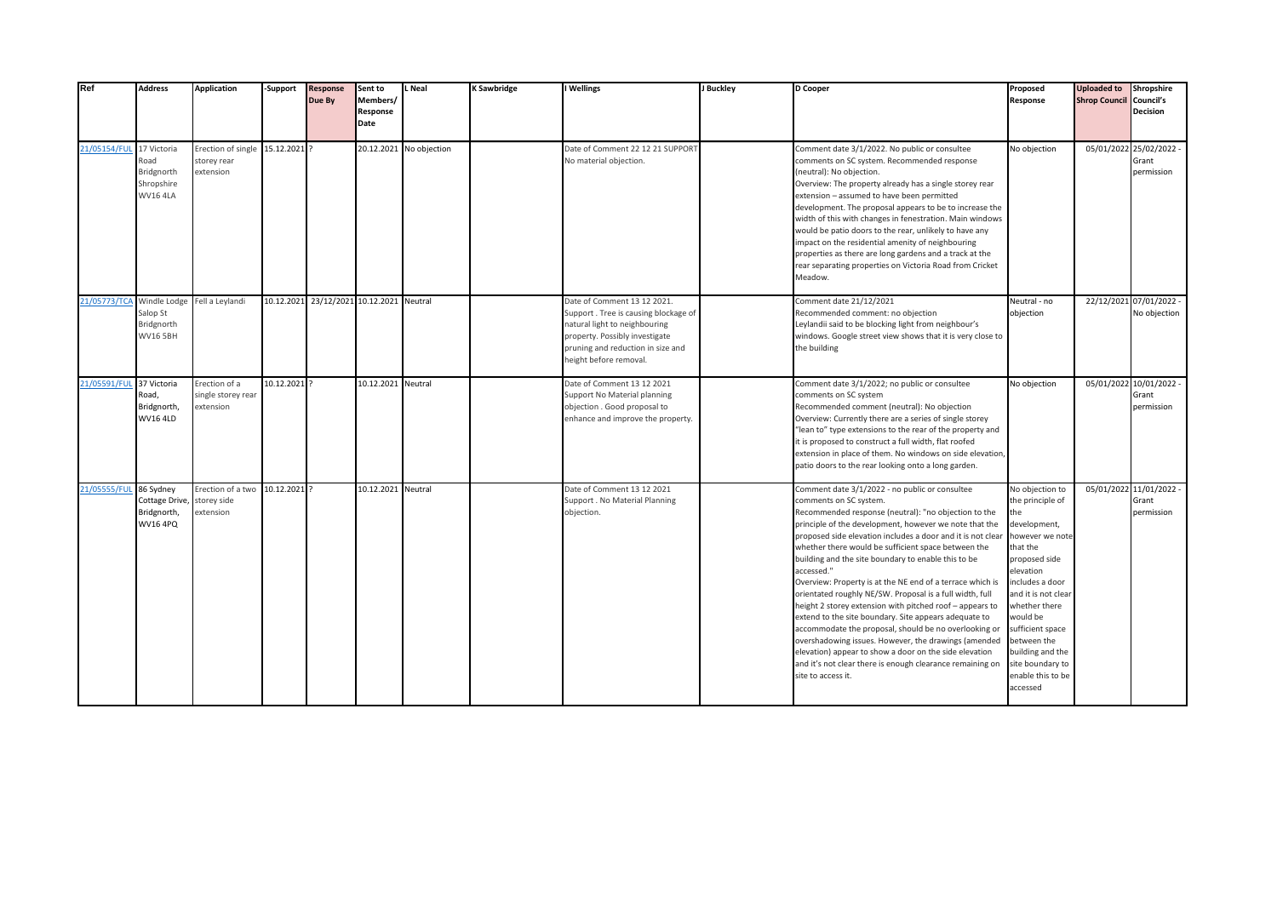| Ref                      | <b>Address</b>                                                                         | <b>Application</b>                               | -Support     | <b>Response</b><br>Due By                | Sent to<br>Members/<br>Response<br>Date | L Neal                  | K Sawbridge | I Wellings                                                                                                                                                                                            | J Buckley | D Cooper                                                                                                                                                                                                                                                                                                                                                                                                                                                                                                                                                                                                                                                                                                                                                                                                                                                                                          | Proposed<br>Response                                                                                                                                                                                                                                                                                       | <b>Uploaded to</b><br><b>Shrop Council Council's</b> | Shropshire<br><b>Decision</b>                  |
|--------------------------|----------------------------------------------------------------------------------------|--------------------------------------------------|--------------|------------------------------------------|-----------------------------------------|-------------------------|-------------|-------------------------------------------------------------------------------------------------------------------------------------------------------------------------------------------------------|-----------|---------------------------------------------------------------------------------------------------------------------------------------------------------------------------------------------------------------------------------------------------------------------------------------------------------------------------------------------------------------------------------------------------------------------------------------------------------------------------------------------------------------------------------------------------------------------------------------------------------------------------------------------------------------------------------------------------------------------------------------------------------------------------------------------------------------------------------------------------------------------------------------------------|------------------------------------------------------------------------------------------------------------------------------------------------------------------------------------------------------------------------------------------------------------------------------------------------------------|------------------------------------------------------|------------------------------------------------|
| 21/05154/FUL 17 Victoria | Road<br>Bridgnorth<br>Shropshire<br><b>WV16 4LA</b>                                    | Erection of single<br>storey rear<br>extension   | 15.12.2021 ? |                                          |                                         | 20.12.2021 No objection |             | Date of Comment 22 12 21 SUPPORT<br>No material objection.                                                                                                                                            |           | Comment date 3/1/2022. No public or consultee<br>comments on SC system. Recommended response<br>neutral): No objection.<br>Overview: The property already has a single storey rear<br>extension - assumed to have been permitted<br>development. The proposal appears to be to increase the<br>width of this with changes in fenestration. Main windows<br>would be patio doors to the rear, unlikely to have any<br>impact on the residential amenity of neighbouring<br>properties as there are long gardens and a track at the<br>rear separating properties on Victoria Road from Cricket<br>Meadow.                                                                                                                                                                                                                                                                                          | No objection                                                                                                                                                                                                                                                                                               |                                                      | 05/01/2022 25/02/2022 -<br>Grant<br>permission |
|                          | 21/05773/TCA Windle Lodge Fell a Leylandi<br>Salop St<br>Bridgnorth<br><b>WV16 5BH</b> |                                                  |              | 10.12.2021 23/12/2021 10.12.2021 Neutral |                                         |                         |             | Date of Comment 13 12 2021.<br>Support. Tree is causing blockage of<br>natural light to neighbouring<br>property. Possibly investigate<br>pruning and reduction in size and<br>height before removal. |           | Comment date 21/12/2021<br>Recommended comment: no objection<br>Leylandii said to be blocking light from neighbour's<br>windows. Google street view shows that it is very close to<br>the building                                                                                                                                                                                                                                                                                                                                                                                                                                                                                                                                                                                                                                                                                                | Neutral - no<br>objection                                                                                                                                                                                                                                                                                  |                                                      | 22/12/2021 07/01/2022 -<br>No objection        |
| 21/05591/FL              | 37 Victoria<br>Road,<br>Bridgnorth,<br><b>WV16 4LD</b>                                 | Erection of a<br>single storey rear<br>extension | 10.12.2021 ? |                                          | 10.12.2021 Neutral                      |                         |             | Date of Comment 13 12 2021<br>Support No Material planning<br>objection . Good proposal to<br>enhance and improve the property.                                                                       |           | Comment date 3/1/2022; no public or consultee<br>comments on SC system<br>Recommended comment (neutral): No objection<br>Overview: Currently there are a series of single storey<br>"lean to" type extensions to the rear of the property and<br>it is proposed to construct a full width, flat roofed<br>extension in place of them. No windows on side elevation,<br>patio doors to the rear looking onto a long garden.                                                                                                                                                                                                                                                                                                                                                                                                                                                                        | No objection                                                                                                                                                                                                                                                                                               | 05/01/2022                                           | 2 10/01/2022 -<br>Grant<br>permission          |
| 21/05555/FUL 86 Sydney   | Cottage Drive,<br>Bridgnorth,<br><b>WV16 4PQ</b>                                       | Erection of a two<br>storey side<br>extension    | 10.12.2021 ? |                                          | 10.12.2021 Neutral                      |                         |             | Date of Comment 13 12 2021<br>Support . No Material Planning<br>objection.                                                                                                                            |           | Comment date 3/1/2022 - no public or consultee<br>comments on SC system.<br>Recommended response (neutral): "no objection to the<br>principle of the development, however we note that the<br>proposed side elevation includes a door and it is not clear<br>whether there would be sufficient space between the<br>building and the site boundary to enable this to be<br>accessed."<br>Overview: Property is at the NE end of a terrace which is<br>orientated roughly NE/SW. Proposal is a full width, full<br>height 2 storey extension with pitched roof - appears to<br>extend to the site boundary. Site appears adequate to<br>accommodate the proposal, should be no overlooking or<br>overshadowing issues. However, the drawings (amended<br>elevation) appear to show a door on the side elevation<br>and it's not clear there is enough clearance remaining on<br>site to access it. | No objection to<br>the principle of<br>the<br>development,<br>however we note<br>that the<br>proposed side<br>elevation<br>includes a door<br>and it is not clear<br>whether there<br>would be<br>sufficient space<br>between the<br>building and the<br>site boundary to<br>enable this to be<br>accessed |                                                      | 05/01/2022 11/01/2022 -<br>Grant<br>permission |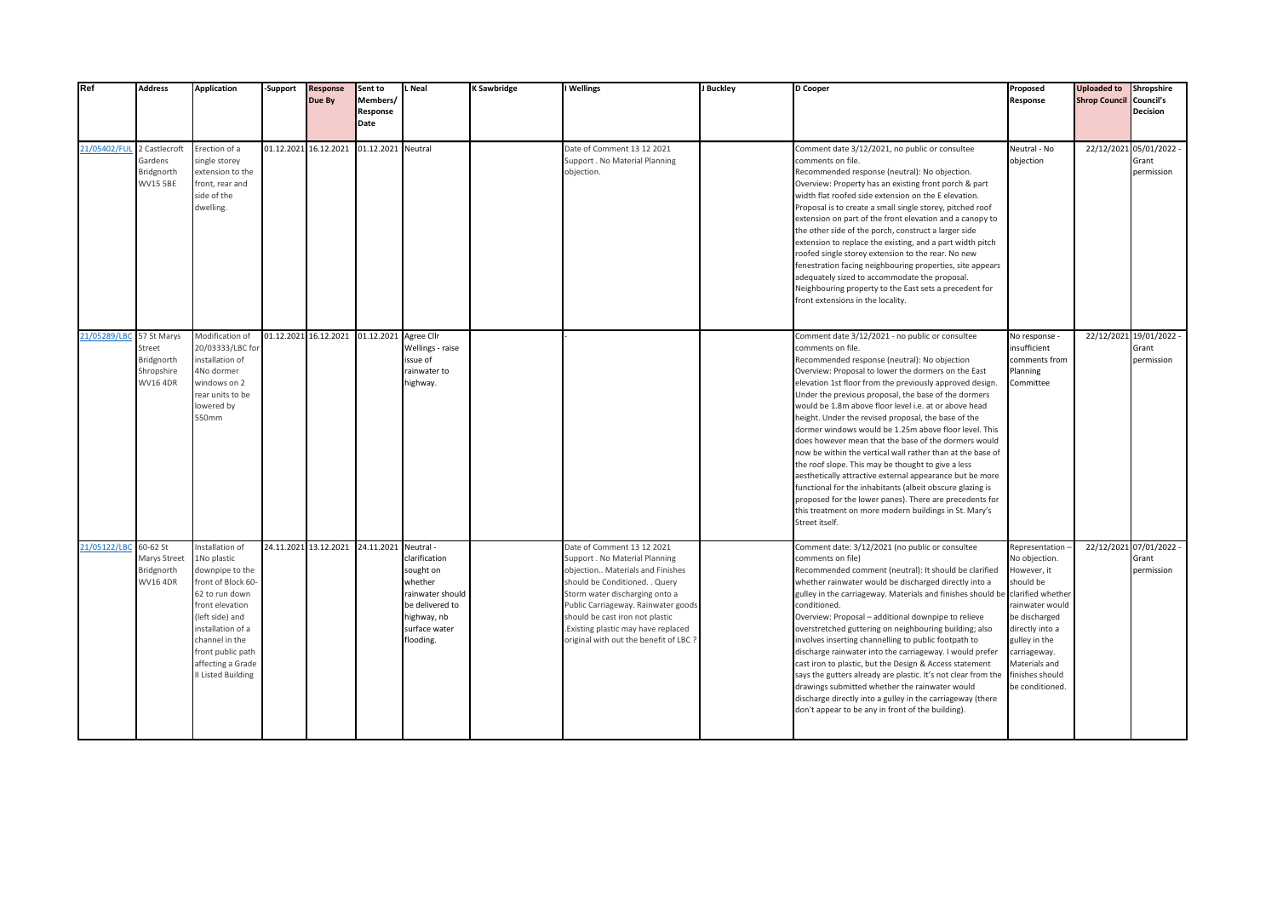| Ref                      | <b>Address</b>                                            | <b>Application</b>                                                                                                                                                                                                                     | -Support              | <b>Response</b><br>Due By | Sent to<br>Members/<br>Response<br>Date | Neal                                                                                                                      | <b>K Sawbridge</b> | I Wellings                                                                                                                                                                                                                                                                                                                    | J Buckley | D Cooper                                                                                                                                                                                                                                                                                                                                                                                                                                                                                                                                                                                                                                                                                                                                                                                                                                                                                                            | Proposed<br>Response                                                                                                                                                                                                              | <b>Uploaded to</b><br><b>Shrop Council Council's</b> | Shropshire<br>Decision                         |
|--------------------------|-----------------------------------------------------------|----------------------------------------------------------------------------------------------------------------------------------------------------------------------------------------------------------------------------------------|-----------------------|---------------------------|-----------------------------------------|---------------------------------------------------------------------------------------------------------------------------|--------------------|-------------------------------------------------------------------------------------------------------------------------------------------------------------------------------------------------------------------------------------------------------------------------------------------------------------------------------|-----------|---------------------------------------------------------------------------------------------------------------------------------------------------------------------------------------------------------------------------------------------------------------------------------------------------------------------------------------------------------------------------------------------------------------------------------------------------------------------------------------------------------------------------------------------------------------------------------------------------------------------------------------------------------------------------------------------------------------------------------------------------------------------------------------------------------------------------------------------------------------------------------------------------------------------|-----------------------------------------------------------------------------------------------------------------------------------------------------------------------------------------------------------------------------------|------------------------------------------------------|------------------------------------------------|
| 21/05402/FUL             | 2 Castlecroft<br>Gardens<br>Bridgnorth<br><b>WV15 5BE</b> | Erection of a<br>single storey<br>extension to the<br>front, rear and<br>side of the<br>dwelling.                                                                                                                                      | 01.12.2021 16.12.2021 |                           | 01.12.2021 Neutral                      |                                                                                                                           |                    | Date of Comment 13 12 2021<br>Support . No Material Planning<br>objection.                                                                                                                                                                                                                                                    |           | Comment date 3/12/2021, no public or consultee<br>comments on file.<br>Recommended response (neutral): No objection.<br>Overview: Property has an existing front porch & part<br>width flat roofed side extension on the E elevation.<br>Proposal is to create a small single storey, pitched roof<br>extension on part of the front elevation and a canopy to<br>the other side of the porch, construct a larger side<br>extension to replace the existing, and a part width pitch<br>roofed single storey extension to the rear. No new<br>fenestration facing neighbouring properties, site appears<br>adequately sized to accommodate the proposal.<br>Neighbouring property to the East sets a precedent for<br>front extensions in the locality.                                                                                                                                                              | Neutral - No<br>objection                                                                                                                                                                                                         |                                                      | 22/12/2021 05/01/2022 -<br>Grant<br>permission |
| 21/05289/LBC 57 St Marys | Street<br>Bridgnorth<br>Shropshire<br><b>WV16 4DR</b>     | Modification of<br>20/03333/LBC for<br>installation of<br>4No dormer<br>windows on 2<br>rear units to be<br>lowered by<br>550mm                                                                                                        |                       | 01.12.2021 16.12.2021     | 01.12.2021 Agree Cllr                   | Wellings - raise<br>issue of<br>rainwater to<br>highway.                                                                  |                    |                                                                                                                                                                                                                                                                                                                               |           | Comment date 3/12/2021 - no public or consultee<br>comments on file.<br>Recommended response (neutral): No objection<br>Overview: Proposal to lower the dormers on the East<br>elevation 1st floor from the previously approved design.<br>Under the previous proposal, the base of the dormers<br>would be 1.8m above floor level i.e. at or above head<br>height. Under the revised proposal, the base of the<br>dormer windows would be 1.25m above floor level. This<br>does however mean that the base of the dormers would<br>now be within the vertical wall rather than at the base of<br>the roof slope. This may be thought to give a less<br>aesthetically attractive external appearance but be more<br>functional for the inhabitants (albeit obscure glazing is<br>proposed for the lower panes). There are precedents for<br>this treatment on more modern buildings in St. Mary's<br>Street itself. | No response<br>insufficient<br>comments from<br>Planning<br>Committee                                                                                                                                                             |                                                      | 22/12/2021 19/01/2022 -<br>Grant<br>permission |
| 21/05122/LBC 60-62 St    | Marys Street<br>Bridgnorth<br><b>WV16 4DR</b>             | Installation of<br>1No plastic<br>downpipe to the<br>front of Block 60-<br>62 to run down<br>front elevation<br>(left side) and<br>installation of a<br>channel in the<br>front public path<br>affecting a Grade<br>II Listed Building |                       | 24.11.2021 13.12.2021     | 24.11.2021 Neutral -                    | clarification<br>sought on<br>whether<br>rainwater should<br>be delivered to<br>highway, nb<br>surface water<br>flooding. |                    | Date of Comment 13 12 2021<br>Support . No Material Planning<br>objection Materials and Finishes<br>should be Conditioned. . Query<br>Storm water discharging onto a<br>Public Carriageway. Rainwater goods<br>should be cast iron not plastic<br>Existing plastic may have replaced<br>original with out the benefit of LBC? |           | Comment date: 3/12/2021 (no public or consultee<br>comments on file)<br>Recommended comment (neutral): It should be clarified<br>whether rainwater would be discharged directly into a<br>gulley in the carriageway. Materials and finishes should be<br>conditioned.<br>Overview: Proposal - additional downpipe to relieve<br>overstretched guttering on neighbouring building; also<br>involves inserting channelling to public footpath to<br>discharge rainwater into the carriageway. I would prefer<br>cast iron to plastic, but the Design & Access statement<br>says the gutters already are plastic. It's not clear from the<br>drawings submitted whether the rainwater would<br>discharge directly into a gulley in the carriageway (there<br>don't appear to be any in front of the building).                                                                                                         | Representation -<br>No objection.<br>However, it<br>should be<br>clarified whether<br>rainwater would<br>be discharged<br>directly into a<br>gulley in the<br>carriageway.<br>Materials and<br>finishes should<br>be conditioned. |                                                      | 22/12/2021 07/01/2022 -<br>Grant<br>permission |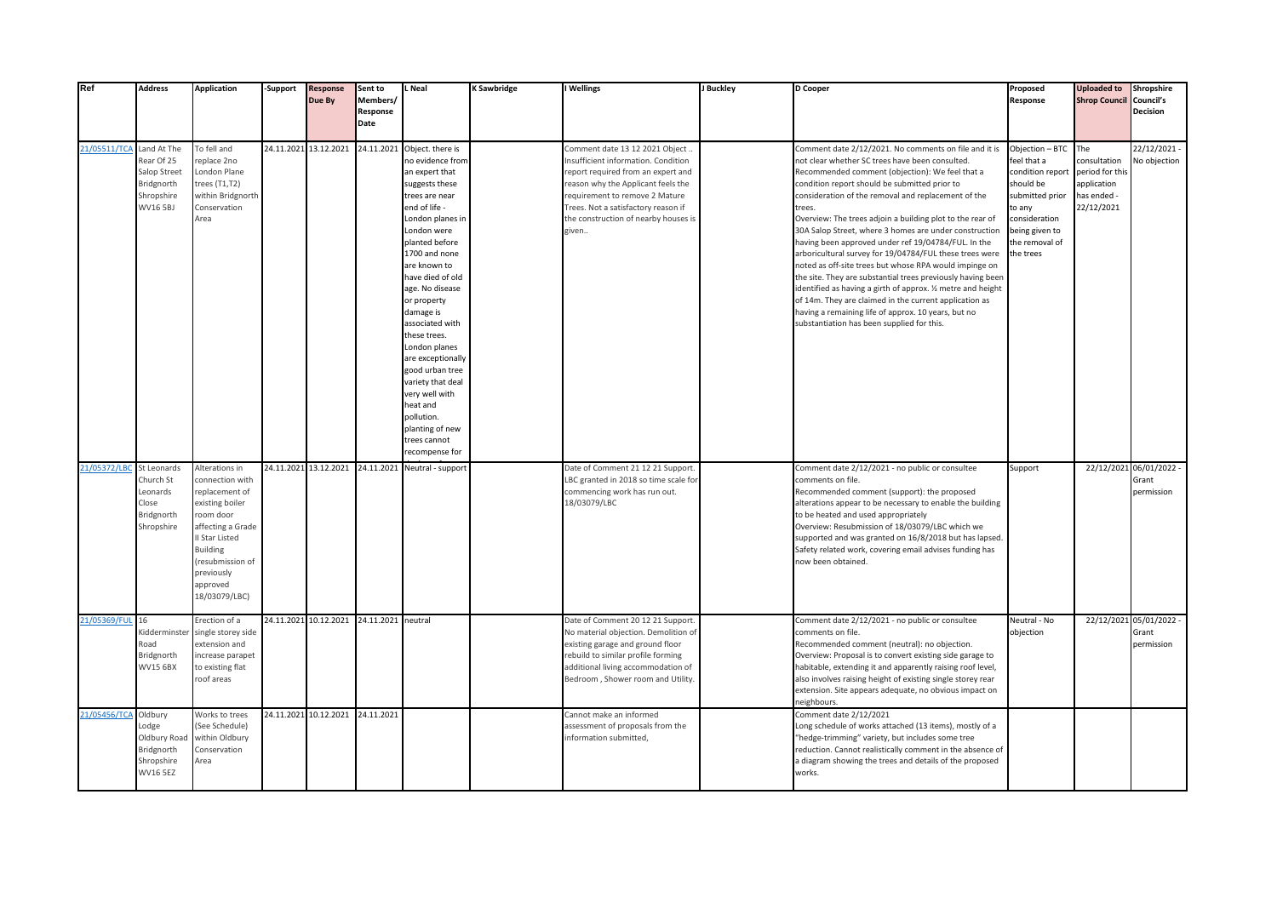| Ref                  | <b>Address</b>                                                                    | <b>Application</b>                                                                                                                                                                                    | <b>Support</b> | <b>Response</b><br>Due By                | Sent to<br>Members/<br>Response<br>Date | <b>L</b> Neal                                                                                                                                                                                                                                                                                                                                                                                                                                                                          | <b>K Sawbridge</b> | I Wellings                                                                                                                                                                                                                                                                   | J Buckley | D Cooper                                                                                                                                                                                                                                                                                                                                                                                                                                                                                                                                                                                                                                                                                                                                                                                                                                                                      | Proposed<br>Response                                                                                                                                           | <b>Uploaded to</b><br><b>Shrop Council Council's</b>                              | Shropshire<br><b>Decision</b>                  |
|----------------------|-----------------------------------------------------------------------------------|-------------------------------------------------------------------------------------------------------------------------------------------------------------------------------------------------------|----------------|------------------------------------------|-----------------------------------------|----------------------------------------------------------------------------------------------------------------------------------------------------------------------------------------------------------------------------------------------------------------------------------------------------------------------------------------------------------------------------------------------------------------------------------------------------------------------------------------|--------------------|------------------------------------------------------------------------------------------------------------------------------------------------------------------------------------------------------------------------------------------------------------------------------|-----------|-------------------------------------------------------------------------------------------------------------------------------------------------------------------------------------------------------------------------------------------------------------------------------------------------------------------------------------------------------------------------------------------------------------------------------------------------------------------------------------------------------------------------------------------------------------------------------------------------------------------------------------------------------------------------------------------------------------------------------------------------------------------------------------------------------------------------------------------------------------------------------|----------------------------------------------------------------------------------------------------------------------------------------------------------------|-----------------------------------------------------------------------------------|------------------------------------------------|
| 21/05511/TCA         | Land At The<br>Rear Of 25<br>Salop Street<br>Bridgnorth<br>Shropshire<br>WV16 5BJ | To fell and<br>replace 2no<br>London Plane<br>trees (T1,T2)<br>within Bridgnorth<br>Conservation<br>Area                                                                                              |                | 24.11.2021 13.12.2021                    | 24.11.2021                              | Object. there is<br>no evidence from<br>an expert that<br>suggests these<br>trees are near<br>end of life -<br>London planes in<br>London were<br>planted before<br>1700 and none<br>are known to<br>have died of old<br>age. No disease<br>or property<br>damage is<br>associated with<br>these trees.<br>London planes<br>are exceptionally<br>good urban tree<br>variety that deal<br>very well with<br>heat and<br>pollution.<br>planting of new<br>trees cannot<br>recompense for |                    | Comment date 13 12 2021 Object.<br>Insufficient information. Condition<br>report required from an expert and<br>reason why the Applicant feels the<br>requirement to remove 2 Mature<br>Frees. Not a satisfactory reason if<br>the construction of nearby houses is<br>given |           | Comment date 2/12/2021. No comments on file and it is<br>not clear whether SC trees have been consulted.<br>Recommended comment (objection): We feel that a<br>condition report should be submitted prior to<br>consideration of the removal and replacement of the<br>rees.<br>Overview: The trees adjoin a building plot to the rear of<br>30A Salop Street, where 3 homes are under construction<br>having been approved under ref 19/04784/FUL. In the<br>arboricultural survey for 19/04784/FUL these trees were<br>noted as off-site trees but whose RPA would impinge on<br>the site. They are substantial trees previously having been<br>identified as having a girth of approx. 1/2 metre and height<br>of 14m. They are claimed in the current application as<br>having a remaining life of approx. 10 years, but no<br>substantiation has been supplied for this. | Objection - BTC<br>feel that a<br>condition report<br>should be<br>submitted prior<br>to any<br>consideration<br>being given to<br>the removal of<br>the trees | The<br>consultation<br>period for this<br>application<br>as ended -<br>22/12/2021 | 22/12/2021-<br>No objection                    |
| 21/05372/LBC         | St Leonards<br>Church St<br>Leonards<br>Close<br>Bridgnorth<br>Shropshire         | Alterations in<br>connection with<br>replacement of<br>existing boiler<br>room door<br>affecting a Grade<br>II Star Listed<br>Building<br>(resubmission of<br>previously<br>approved<br>18/03079/LBC) |                |                                          |                                         | 24.11.2021 13.12.2021 24.11.2021 Neutral - support                                                                                                                                                                                                                                                                                                                                                                                                                                     |                    | Date of Comment 21 12 21 Support.<br>LBC granted in 2018 so time scale for<br>commencing work has run out.<br>18/03079/LBC                                                                                                                                                   |           | Comment date 2/12/2021 - no public or consultee<br>comments on file.<br>Recommended comment (support): the proposed<br>alterations appear to be necessary to enable the building<br>to be heated and used appropriately<br>Overview: Resubmission of 18/03079/LBC which we<br>supported and was granted on 16/8/2018 but has lapsed.<br>Safety related work, covering email advises funding has<br>now been obtained                                                                                                                                                                                                                                                                                                                                                                                                                                                          | Support                                                                                                                                                        |                                                                                   | 22/12/2021 06/01/2022 -<br>Grant<br>permission |
| 21/05369/FUL 16      | Kidderminste<br>Road<br>Bridgnorth<br><b>WV15 6BX</b>                             | Erection of a<br>single storey side<br>extension and<br>increase parapet<br>to existing flat<br>roof areas                                                                                            |                | 24.11.2021 10.12.2021 24.11.2021 neutral |                                         |                                                                                                                                                                                                                                                                                                                                                                                                                                                                                        |                    | Date of Comment 20 12 21 Support.<br>No material objection. Demolition of<br>existing garage and ground floor<br>rebuild to similar profile forming<br>additional living accommodation of<br>Bedroom, Shower room and Utility.                                               |           | Comment date 2/12/2021 - no public or consultee<br>comments on file.<br>Recommended comment (neutral): no objection.<br>Overview: Proposal is to convert existing side garage to<br>habitable, extending it and apparently raising roof level,<br>also involves raising height of existing single storey rear<br>extension. Site appears adequate, no obvious impact on<br>neighbours.                                                                                                                                                                                                                                                                                                                                                                                                                                                                                        | Neutral - No<br>objection                                                                                                                                      |                                                                                   | 22/12/2021 05/01/2022 -<br>Grant<br>permission |
| 21/05456/TCA Oldbury | Lodge<br>Oldbury Road<br>Bridgnorth<br>Shropshire<br><b>WV16 5EZ</b>              | Works to trees<br>(See Schedule)<br>within Oldbury<br>Conservation<br>Area                                                                                                                            |                | 24.11.2021 10.12.2021 24.11.2021         |                                         |                                                                                                                                                                                                                                                                                                                                                                                                                                                                                        |                    | Cannot make an informed<br>assessment of proposals from the<br>information submitted,                                                                                                                                                                                        |           | Comment date 2/12/2021<br>Long schedule of works attached (13 items), mostly of a<br>'hedge-trimming" variety, but includes some tree<br>reduction. Cannot realistically comment in the absence of<br>a diagram showing the trees and details of the proposed<br>works.                                                                                                                                                                                                                                                                                                                                                                                                                                                                                                                                                                                                       |                                                                                                                                                                |                                                                                   |                                                |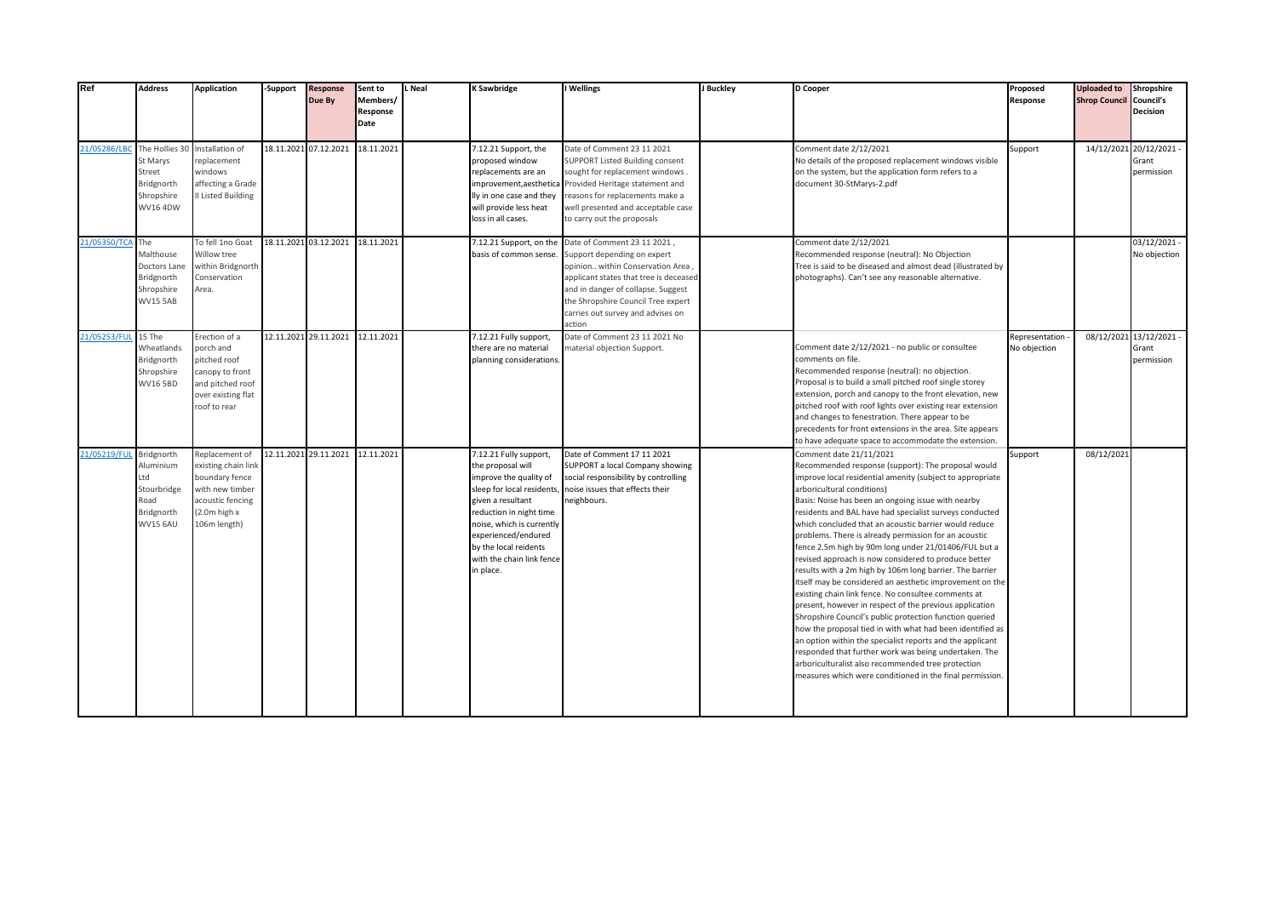| Ref                                         | <b>Address</b>                                                                         | <b>Application</b>                                                                                                                  | -Support | <b>Response</b><br>Due By | Sent to<br>Members/<br>Response<br>Date | L Neal | K Sawbridge                                                                                                                                                                                                                                                               | I Wellings                                                                                                                                                                                                                                                          | J Buckley | D Cooper                                                                                                                                                                                                                                                                                                                                                                                                                                                                                                                                                                                                                                                                                                                                                                                                                                                                                                                                                                                                                                                                                                                             | Proposed<br>Response           | <b>Uploaded to</b><br><b>Shrop Council Council's</b> | Shropshire<br><b>Decision</b>                  |
|---------------------------------------------|----------------------------------------------------------------------------------------|-------------------------------------------------------------------------------------------------------------------------------------|----------|---------------------------|-----------------------------------------|--------|---------------------------------------------------------------------------------------------------------------------------------------------------------------------------------------------------------------------------------------------------------------------------|---------------------------------------------------------------------------------------------------------------------------------------------------------------------------------------------------------------------------------------------------------------------|-----------|--------------------------------------------------------------------------------------------------------------------------------------------------------------------------------------------------------------------------------------------------------------------------------------------------------------------------------------------------------------------------------------------------------------------------------------------------------------------------------------------------------------------------------------------------------------------------------------------------------------------------------------------------------------------------------------------------------------------------------------------------------------------------------------------------------------------------------------------------------------------------------------------------------------------------------------------------------------------------------------------------------------------------------------------------------------------------------------------------------------------------------------|--------------------------------|------------------------------------------------------|------------------------------------------------|
| 21/05286/LBC The Hollies 30 Installation of | St Marys<br>Street<br>Bridgnorth<br>Shropshire<br><b>WV16 4DW</b>                      | replacement<br>windows<br>affecting a Grade<br>II Listed Building                                                                   |          | 18.11.2021 07.12.2021     | 18.11.2021                              |        | 12.21 Support, the<br>proposed window<br>replacements are an<br>improvement, aesthetica<br>lly in one case and they<br>will provide less heat<br>loss in all cases.                                                                                                       | Date of Comment 23 11 2021<br><b>SUPPORT Listed Building consent</b><br>sought for replacement windows.<br>Provided Heritage statement and<br>reasons for replacements make a<br>well presented and acceptable case<br>to carry out the proposals                   |           | Comment date 2/12/2021<br>No details of the proposed replacement windows visible<br>on the system, but the application form refers to a<br>document 30-StMarys-2.pdf                                                                                                                                                                                                                                                                                                                                                                                                                                                                                                                                                                                                                                                                                                                                                                                                                                                                                                                                                                 | Support                        |                                                      | 14/12/2021 20/12/2021 -<br>Grant<br>permission |
| 21/05350/TCA The                            | Malthouse<br>Doctors Lane<br>Bridgnorth<br>Shropshire<br><b>WV15 5AB</b>               | To fell 1no Goat<br>Willow tree<br>within Bridgnorth<br>Conservation<br>Area.                                                       |          | 18.11.2021 03.12.2021     | 18.11.2021                              |        | 7.12.21 Support, on the<br>basis of common sense.                                                                                                                                                                                                                         | Date of Comment 23 11 2021,<br>Support depending on expert<br>opinion within Conservation Area<br>applicant states that tree is deceased<br>and in danger of collapse. Suggest<br>the Shropshire Council Tree expert<br>carries out survey and advises on<br>action |           | Comment date 2/12/2021<br>Recommended response (neutral): No Objection<br>Tree is said to be diseased and almost dead (illustrated by<br>photographs). Can't see any reasonable alternative.                                                                                                                                                                                                                                                                                                                                                                                                                                                                                                                                                                                                                                                                                                                                                                                                                                                                                                                                         |                                |                                                      | 03/12/2021 -<br>No objection                   |
| 21/05253/FUL 15 The                         | Wheatlands<br>Bridgnorth<br>Shropshire<br><b>WV165BD</b>                               | Erection of a<br>porch and<br>pitched roof<br>canopy to front<br>and pitched roof<br>over existing flat<br>roof to rear             |          | 12.11.2021 29.11.2021     | 12.11.2021                              |        | 7.12.21 Fully support,<br>there are no material<br>planning considerations                                                                                                                                                                                                | Date of Comment 23 11 2021 No<br>material objection Support.                                                                                                                                                                                                        |           | Comment date 2/12/2021 - no public or consultee<br>comments on file.<br>Recommended response (neutral): no objection.<br>Proposal is to build a small pitched roof single storey<br>extension, porch and canopy to the front elevation, new<br>pitched roof with roof lights over existing rear extension<br>and changes to fenestration. There appear to be<br>precedents for front extensions in the area. Site appears<br>to have adequate space to accommodate the extension.                                                                                                                                                                                                                                                                                                                                                                                                                                                                                                                                                                                                                                                    | Representation<br>No objection |                                                      | 08/12/2021 13/12/2021 -<br>Grant<br>permission |
| 21/05219/FUL                                | Bridgnorth<br>Aluminium<br>Ltd<br>Stourbridge<br>Road<br>Bridgnorth<br><b>WV15 6AU</b> | Replacement of<br>existing chain link<br>boundary fence<br>with new timber<br>acoustic fencing<br>$(2.0m)$ high $x$<br>106m length) |          | 12.11.2021 29.11.2021     | 12.11.2021                              |        | 7.12.21 Fully support,<br>the proposal will<br>improve the quality of<br>sleep for local residents,<br>given a resultant<br>reduction in night time<br>noise, which is currently<br>experienced/endured<br>by the local reidents<br>with the chain link fence<br>n place. | Date of Comment 17 11 2021<br>SUPPORT a local Company showing<br>social responsibility by controlling<br>noise issues that effects their<br>neighbours.                                                                                                             |           | Comment date 21/11/2021<br>Recommended response (support): The proposal would<br>improve local residential amenity (subject to appropriate<br>arboricultural conditions)<br>Basis: Noise has been an ongoing issue with nearby<br>residents and BAL have had specialist surveys conducted<br>which concluded that an acoustic barrier would reduce<br>problems. There is already permission for an acoustic<br>fence 2.5m high by 90m long under 21/01406/FUL but a<br>revised approach is now considered to produce better<br>results with a 2m high by 106m long barrier. The barrier<br>itself may be considered an aesthetic improvement on the<br>existing chain link fence. No consultee comments at<br>present, however in respect of the previous application<br>Shropshire Council's public protection function queried<br>how the proposal tied in with what had been identified as<br>an option within the specialist reports and the applicant<br>responded that further work was being undertaken. The<br>arboriculturalist also recommended tree protection<br>measures which were conditioned in the final permission | Support                        | 08/12/2021                                           |                                                |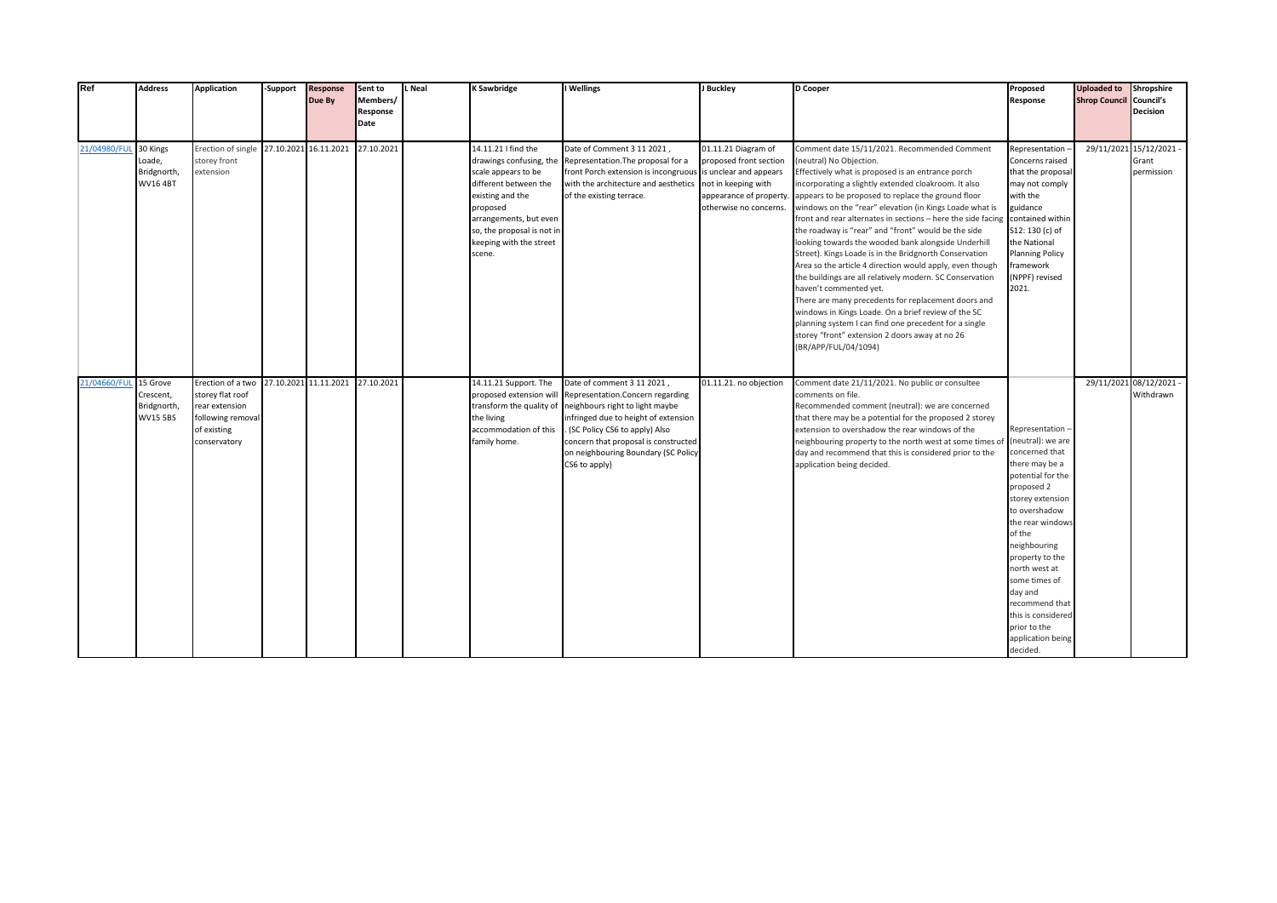| Ref                   | <b>Address</b>                                          | <b>Application</b>                                                                                          | -Support | <b>Response</b><br>Due By | Sent to<br>Members/ | Neal | <b>K Sawbridge</b>                                                                                                                                                                                                          | I Wellings                                                                                                                                                                                                                                                                   | J Buckley                                                                                                                 | D Cooper                                                                                                                                                                                                                                                                                                                                                                                                                                                                                                                                                                                                                                                                                                                                                                                                                                                                                                                                         | Proposed<br>Response                                                                                                                                                                                                                                                                                                               | <b>Uploaded to</b><br><b>Shrop Council Council's</b> | Shropshire                                     |
|-----------------------|---------------------------------------------------------|-------------------------------------------------------------------------------------------------------------|----------|---------------------------|---------------------|------|-----------------------------------------------------------------------------------------------------------------------------------------------------------------------------------------------------------------------------|------------------------------------------------------------------------------------------------------------------------------------------------------------------------------------------------------------------------------------------------------------------------------|---------------------------------------------------------------------------------------------------------------------------|--------------------------------------------------------------------------------------------------------------------------------------------------------------------------------------------------------------------------------------------------------------------------------------------------------------------------------------------------------------------------------------------------------------------------------------------------------------------------------------------------------------------------------------------------------------------------------------------------------------------------------------------------------------------------------------------------------------------------------------------------------------------------------------------------------------------------------------------------------------------------------------------------------------------------------------------------|------------------------------------------------------------------------------------------------------------------------------------------------------------------------------------------------------------------------------------------------------------------------------------------------------------------------------------|------------------------------------------------------|------------------------------------------------|
|                       |                                                         |                                                                                                             |          |                           | Response<br>Date    |      |                                                                                                                                                                                                                             |                                                                                                                                                                                                                                                                              |                                                                                                                           |                                                                                                                                                                                                                                                                                                                                                                                                                                                                                                                                                                                                                                                                                                                                                                                                                                                                                                                                                  |                                                                                                                                                                                                                                                                                                                                    |                                                      | <b>Decision</b>                                |
| 21/04980/FUL 30 Kings | Loade,<br>Bridgnorth,<br><b>WV16 4BT</b>                | Erection of single 27.10.2021 16.11.2021<br>storey front<br>extension                                       |          |                           | 27.10.2021          |      | 14.11.21 I find the<br>drawings confusing, the<br>scale appears to be<br>different between the<br>existing and the<br>proposed<br>arrangements, but even<br>so, the proposal is not in<br>keeping with the street<br>scene. | Date of Comment 3 11 2021,<br>Representation. The proposal for a<br>front Porch extension is incongruous is unclear and appears<br>with the architecture and aesthetics<br>of the existing terrace.                                                                          | 01.11.21 Diagram of<br>proposed front section<br>not in keeping with<br>appearance of property.<br>otherwise no concerns. | Comment date 15/11/2021. Recommended Comment<br>(neutral) No Objection.<br>Effectively what is proposed is an entrance porch<br>incorporating a slightly extended cloakroom. It also<br>appears to be proposed to replace the ground floor<br>windows on the "rear" elevation (in Kings Loade what is<br>front and rear alternates in sections - here the side facing<br>the roadway is "rear" and "front" would be the side<br>looking towards the wooded bank alongside Underhill<br>Street). Kings Loade is in the Bridgnorth Conservation<br>Area so the article 4 direction would apply, even though<br>the buildings are all relatively modern. SC Conservation<br>haven't commented yet.<br>There are many precedents for replacement doors and<br>windows in Kings Loade. On a brief review of the SC<br>planning system I can find one precedent for a single<br>storey "front" extension 2 doors away at no 26<br>(BR/APP/FUL/04/1094) | Representation-<br>Concerns raised<br>that the proposal<br>may not comply<br>with the<br>guidance<br>contained within<br>S12: 130 (c) of<br>the National<br><b>Planning Policy</b><br>framework<br>(NPPF) revised<br>2021.                                                                                                         |                                                      | 29/11/2021 15/12/2021 -<br>Grant<br>permission |
| 21/04660/FUL          | 15 Grove<br>Crescent,<br>Bridgnorth,<br><b>WV15 5BS</b> | Erection of a two<br>storey flat roof<br>rear extension<br>following removal<br>of existing<br>conservatory |          | 27.10.2021 11.11.2021     | 27.10.2021          |      | 14.11.21 Support. The<br>proposed extension will<br>transform the quality of<br>the living<br>accommodation of this<br>family home.                                                                                         | Date of comment 3 11 2021,<br>Representation.Concern regarding<br>neighbours right to light maybe<br>infringed due to height of extension<br>. (SC Policy CS6 to apply) Also<br>concern that proposal is constructed<br>on neighbouring Boundary (SC Policy<br>CS6 to apply} | 01.11.21. no objection                                                                                                    | Comment date 21/11/2021. No public or consultee<br>comments on file.<br>Recommended comment (neutral): we are concerned<br>that there may be a potential for the proposed 2 storey<br>extension to overshadow the rear windows of the<br>neighbouring property to the north west at some times of (neutral): we are<br>day and recommend that this is considered prior to the<br>application being decided.                                                                                                                                                                                                                                                                                                                                                                                                                                                                                                                                      | Representation-<br>concerned that<br>there may be a<br>potential for the<br>proposed 2<br>storey extension<br>to overshadow<br>the rear windows<br>of the<br>neighbouring<br>property to the<br>north west at<br>some times of<br>day and<br>recommend that<br>this is considered<br>prior to the<br>application being<br>decided. | 29/11/2021 08/12/2021                                | Withdrawn                                      |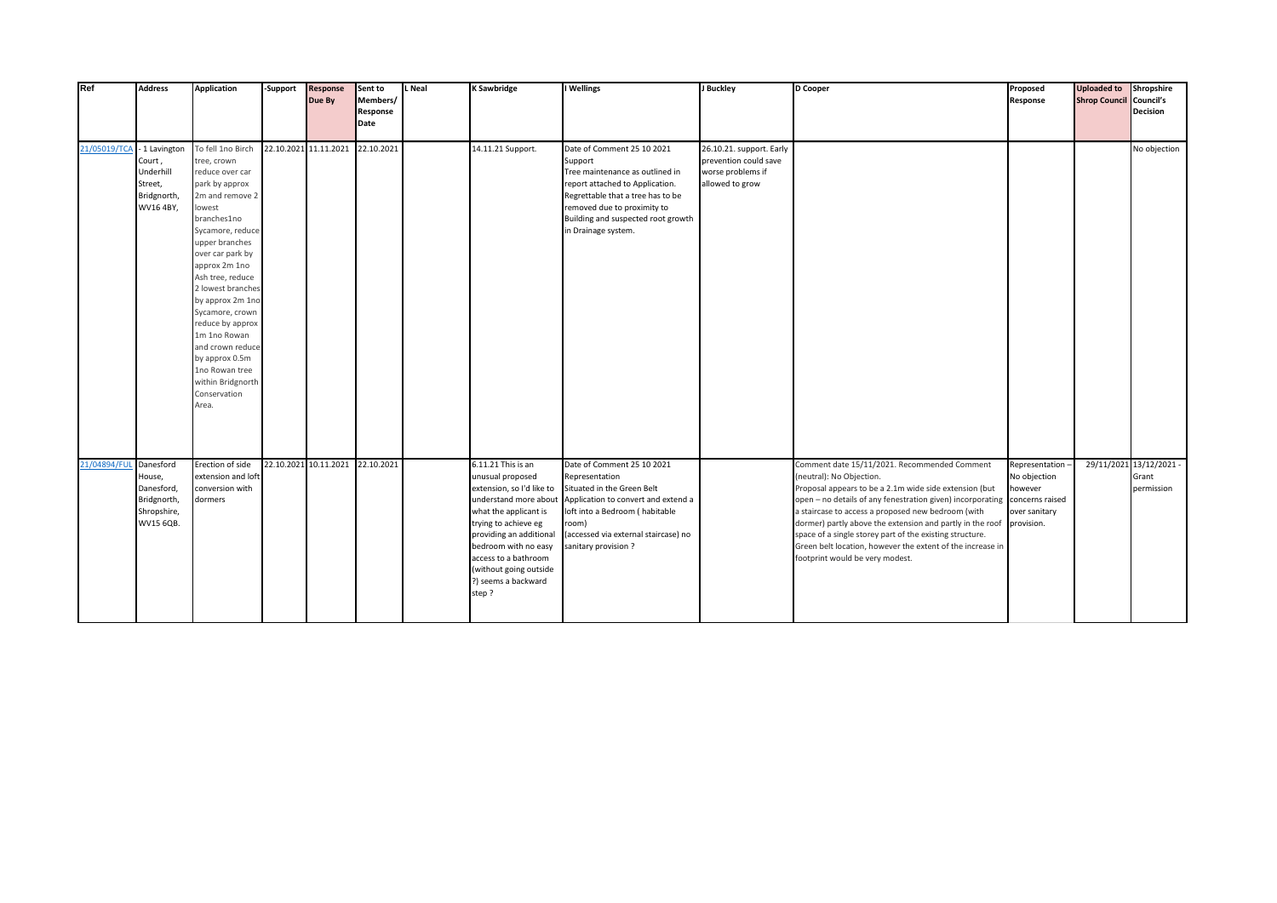| Ref                    | <b>Address</b>                                                              | <b>Application</b>                                                                                                                                                                                                                                                                                                                                                                                                     | -Support | <b>Response</b><br>Due By | Sent to<br>Members/ | L Neal | <b>K Sawbridge</b>                                                                                                                                                                                                                                                                 | I Wellings                                                                                                                                                                                                                                   | J Buckley                                                                                 | D Cooper                                                                                                                                                                                                                                                                                                                                                                                                                                                                                                    | Proposed<br>Response                                        | <b>Uploaded to</b><br><b>Shrop Council Council's</b> | Shropshire                                     |
|------------------------|-----------------------------------------------------------------------------|------------------------------------------------------------------------------------------------------------------------------------------------------------------------------------------------------------------------------------------------------------------------------------------------------------------------------------------------------------------------------------------------------------------------|----------|---------------------------|---------------------|--------|------------------------------------------------------------------------------------------------------------------------------------------------------------------------------------------------------------------------------------------------------------------------------------|----------------------------------------------------------------------------------------------------------------------------------------------------------------------------------------------------------------------------------------------|-------------------------------------------------------------------------------------------|-------------------------------------------------------------------------------------------------------------------------------------------------------------------------------------------------------------------------------------------------------------------------------------------------------------------------------------------------------------------------------------------------------------------------------------------------------------------------------------------------------------|-------------------------------------------------------------|------------------------------------------------------|------------------------------------------------|
|                        |                                                                             |                                                                                                                                                                                                                                                                                                                                                                                                                        |          |                           | Response<br>Date    |        |                                                                                                                                                                                                                                                                                    |                                                                                                                                                                                                                                              |                                                                                           |                                                                                                                                                                                                                                                                                                                                                                                                                                                                                                             |                                                             |                                                      | <b>Decision</b>                                |
|                        |                                                                             |                                                                                                                                                                                                                                                                                                                                                                                                                        |          |                           |                     |        |                                                                                                                                                                                                                                                                                    |                                                                                                                                                                                                                                              |                                                                                           |                                                                                                                                                                                                                                                                                                                                                                                                                                                                                                             |                                                             |                                                      |                                                |
| 21/05019/TCA           | - 1 Lavington<br>Court,<br>Underhill<br>Street,<br>Bridgnorth,<br>WV16 4BY, | To fell 1no Birch<br>tree, crown<br>reduce over car<br>park by approx<br>2m and remove 2<br>lowest<br>branches1no<br>Sycamore, reduce<br>upper branches<br>over car park by<br>approx 2m 1no<br>Ash tree, reduce<br>2 lowest branches<br>by approx 2m 1no<br>Sycamore, crown<br>reduce by approx<br>1m 1no Rowan<br>and crown reduce<br>by approx 0.5m<br>1no Rowan tree<br>within Bridgnorth<br>Conservation<br>Area. |          | 22.10.2021 11.11.2021     | 22.10.2021          |        | 14.11.21 Support.                                                                                                                                                                                                                                                                  | Date of Comment 25 10 2021<br>Support<br>Tree maintenance as outlined in<br>report attached to Application.<br>Regrettable that a tree has to be<br>removed due to proximity to<br>Building and suspected root growth<br>in Drainage system. | 26.10.21. support. Early<br>prevention could save<br>worse problems if<br>allowed to grow |                                                                                                                                                                                                                                                                                                                                                                                                                                                                                                             |                                                             |                                                      | No objection                                   |
| 21/04894/FUL Danesford | House,<br>Danesford,<br>Bridgnorth,<br>Shropshire,<br>WV15 6QB.             | Erection of side<br>extension and loft<br>conversion with<br>dormers                                                                                                                                                                                                                                                                                                                                                   |          | 22.10.2021 10.11.2021     | 22.10.2021          |        | 6.11.21 This is an<br>unusual proposed<br>extension, so I'd like to<br>understand more about<br>what the applicant is<br>trying to achieve eg<br>providing an additional<br>bedroom with no easy<br>access to a bathroom<br>(without going outside<br>?) seems a backward<br>step? | Date of Comment 25 10 2021<br>Representation<br>Situated in the Green Belt<br>Application to convert and extend a<br>loft into a Bedroom (habitable<br>room)<br>(accessed via external staircase) no<br>sanitary provision?                  |                                                                                           | Comment date 15/11/2021. Recommended Comment<br>(neutral): No Objection.<br>Proposal appears to be a 2.1m wide side extension (but<br>open - no details of any fenestration given) incorporating concerns raised<br>a staircase to access a proposed new bedroom (with<br>dormer) partly above the extension and partly in the roof provision.<br>space of a single storey part of the existing structure.<br>Green belt location, however the extent of the increase in<br>footprint would be very modest. | Representation-<br>No objection<br>however<br>over sanitary |                                                      | 29/11/2021 13/12/2021 -<br>Grant<br>permission |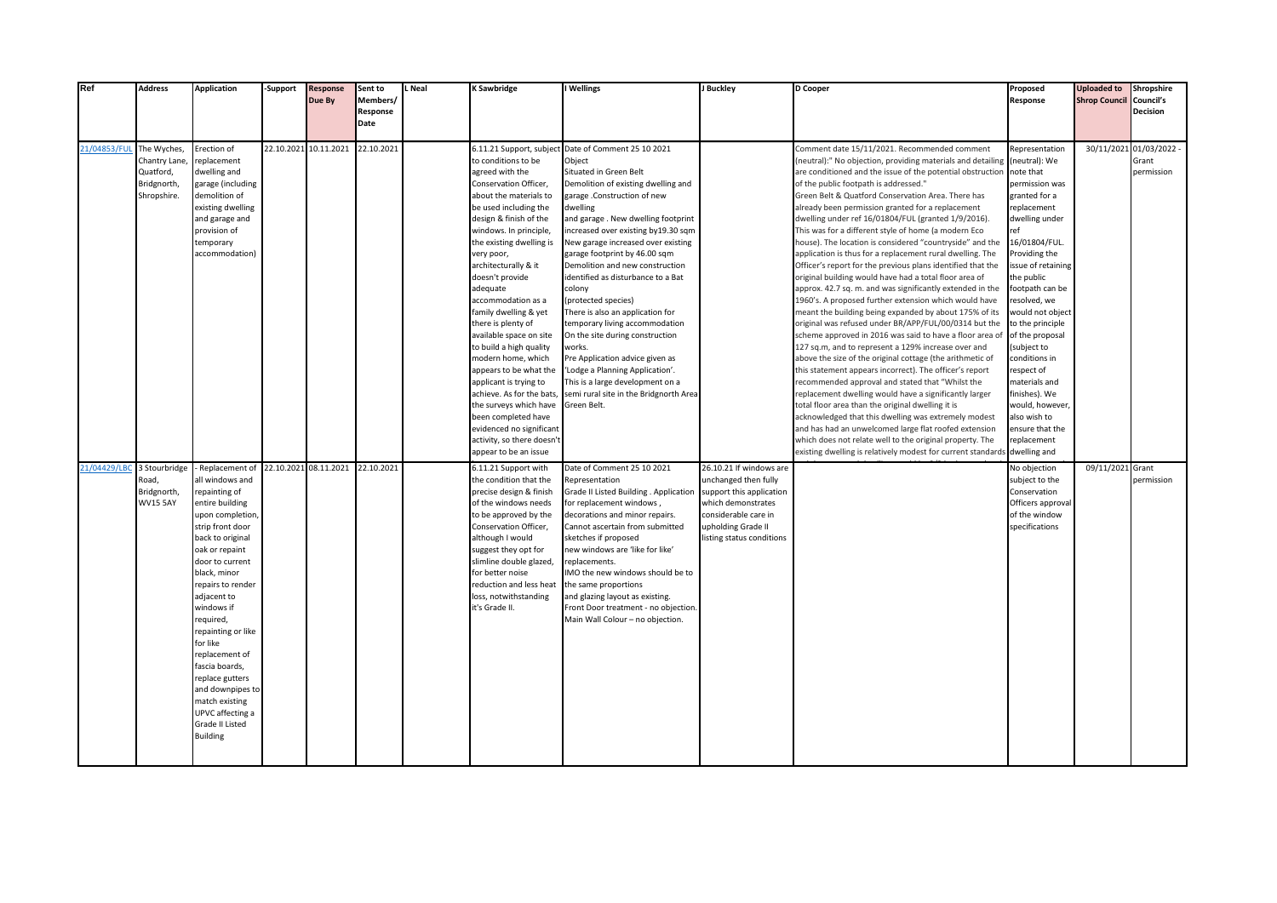| Ref          | <b>Address</b>  | <b>Application</b>              | -Support   | <b>Response</b>       | Sent to              | L Neal | K Sawbridge                                 | I Wellings                                        | J Buckley                | <b>D</b> Cooper                                                                                                     | Proposed                      | <b>Uploaded to</b>             | Shropshire              |
|--------------|-----------------|---------------------------------|------------|-----------------------|----------------------|--------|---------------------------------------------|---------------------------------------------------|--------------------------|---------------------------------------------------------------------------------------------------------------------|-------------------------------|--------------------------------|-------------------------|
|              |                 |                                 |            | Due By                | Members/<br>Response |        |                                             |                                                   |                          |                                                                                                                     | Response                      | <b>Shrop Council Council's</b> | <b>Decision</b>         |
|              |                 |                                 |            |                       | Date                 |        |                                             |                                                   |                          |                                                                                                                     |                               |                                |                         |
|              |                 |                                 |            |                       |                      |        |                                             |                                                   |                          |                                                                                                                     |                               |                                |                         |
| 21/04853/FU  | The Wyches,     | Erection of                     | 22.10.2021 | 10.11.2021            | 22.10.2021           |        | 6.11.21 Support, subject                    | Date of Comment 25 10 2021                        |                          | Comment date 15/11/2021. Recommended comment                                                                        | Representation                |                                | 30/11/2021 01/03/2022 - |
|              | Chantry Lane    | replacement                     |            |                       |                      |        | to conditions to be                         | Object                                            |                          | neutral):" No objection, providing materials and detailing                                                          | (neutral): We                 |                                | Grant                   |
|              | Quatford,       | dwelling and                    |            |                       |                      |        | agreed with the                             | Situated in Green Belt                            |                          | are conditioned and the issue of the potential obstruction                                                          | note that                     |                                | permission              |
|              | Bridgnorth,     | garage (including               |            |                       |                      |        | Conservation Officer,                       | Demolition of existing dwelling and               |                          | of the public footpath is addressed."                                                                               | permission was                |                                |                         |
|              | Shropshire.     | demolition of                   |            |                       |                      |        | about the materials to                      | garage .Construction of new                       |                          | Green Belt & Quatford Conservation Area. There has                                                                  | granted for a                 |                                |                         |
|              |                 | existing dwelling               |            |                       |                      |        | be used including the                       | dwelling                                          |                          | already been permission granted for a replacement                                                                   | replacement                   |                                |                         |
|              |                 | and garage and                  |            |                       |                      |        | design & finish of the                      | and garage. New dwelling footprint                |                          | dwelling under ref 16/01804/FUL (granted 1/9/2016).                                                                 | dwelling under                |                                |                         |
|              |                 | provision of                    |            |                       |                      |        | windows. In principle,                      | ncreased over existing by19.30 sqm                |                          | This was for a different style of home (a modern Eco                                                                | ref                           |                                |                         |
|              |                 | temporary                       |            |                       |                      |        | the existing dwelling is                    | New garage increased over existing                |                          | house). The location is considered "countryside" and the                                                            | 16/01804/FUL.                 |                                |                         |
|              |                 | accommodation)                  |            |                       |                      |        | very poor,                                  | garage footprint by 46.00 sqm                     |                          | application is thus for a replacement rural dwelling. The                                                           | Providing the                 |                                |                         |
|              |                 |                                 |            |                       |                      |        | architecturally & it                        | Demolition and new construction                   |                          | Officer's report for the previous plans identified that the                                                         | issue of retaining            |                                |                         |
|              |                 |                                 |            |                       |                      |        | doesn't provide<br>adequate                 | identified as disturbance to a Bat<br>colony      |                          | original building would have had a total floor area of<br>approx. 42.7 sq. m. and was significantly extended in the | the public<br>footpath can be |                                |                         |
|              |                 |                                 |            |                       |                      |        | accommodation as a                          | (protected species)                               |                          | 1960's. A proposed further extension which would have                                                               | resolved, we                  |                                |                         |
|              |                 |                                 |            |                       |                      |        | family dwelling & yet                       | There is also an application for                  |                          | meant the building being expanded by about 175% of its                                                              | would not object              |                                |                         |
|              |                 |                                 |            |                       |                      |        | there is plenty of                          | temporary living accommodation                    |                          | original was refused under BR/APP/FUL/00/0314 but the                                                               | to the principle              |                                |                         |
|              |                 |                                 |            |                       |                      |        | available space on site                     | On the site during construction                   |                          | scheme approved in 2016 was said to have a floor area of                                                            | of the proposal               |                                |                         |
|              |                 |                                 |            |                       |                      |        | to build a high quality                     | works.                                            |                          | 127 sq.m, and to represent a 129% increase over and                                                                 | (subject to                   |                                |                         |
|              |                 |                                 |            |                       |                      |        | modern home, which                          | Pre Application advice given as                   |                          | above the size of the original cottage (the arithmetic of                                                           | conditions in                 |                                |                         |
|              |                 |                                 |            |                       |                      |        | appears to be what the                      | 'Lodge a Planning Application'.                   |                          | this statement appears incorrect). The officer's report                                                             | respect of                    |                                |                         |
|              |                 |                                 |            |                       |                      |        | applicant is trying to                      | This is a large development on a                  |                          | ecommended approval and stated that "Whilst the                                                                     | materials and                 |                                |                         |
|              |                 |                                 |            |                       |                      |        | achieve. As for the bats                    | semi rural site in the Bridgnorth Area            |                          | replacement dwelling would have a significantly larger                                                              | finishes). We                 |                                |                         |
|              |                 |                                 |            |                       |                      |        | the surveys which have                      | Green Belt.                                       |                          | total floor area than the original dwelling it is                                                                   | would, however,               |                                |                         |
|              |                 |                                 |            |                       |                      |        | been completed have                         |                                                   |                          | acknowledged that this dwelling was extremely modest                                                                | also wish to                  |                                |                         |
|              |                 |                                 |            |                       |                      |        | evidenced no significant                    |                                                   |                          | and has had an unwelcomed large flat roofed extension                                                               | ensure that the               |                                |                         |
|              |                 |                                 |            |                       |                      |        | activity, so there doesn't                  |                                                   |                          | which does not relate well to the original property. The                                                            | replacement                   |                                |                         |
|              |                 |                                 |            |                       |                      |        | appear to be an issue                       |                                                   |                          | existing dwelling is relatively modest for current standards                                                        | dwelling and                  |                                |                         |
| 21/04429/LBC | 3 Stourbridge   | Replacement of                  |            | 22.10.2021 08.11.2021 | 22.10.2021           |        | 6.11.21 Support with                        | Date of Comment 25 10 2021                        | 26.10.21 If windows are  |                                                                                                                     | No objection                  | 09/11/2021 Grant               |                         |
|              | Road,           | all windows and                 |            |                       |                      |        | the condition that the                      | Representation                                    | unchanged then fully     |                                                                                                                     | subject to the                |                                | permission              |
|              | Bridgnorth,     | repainting of                   |            |                       |                      |        | precise design & finish                     | Grade II Listed Building . Application            | support this application |                                                                                                                     | Conservation                  |                                |                         |
|              | <b>WV15 5AY</b> | entire building                 |            |                       |                      |        | of the windows needs                        | for replacement windows,                          | which demonstrates       |                                                                                                                     | Officers approval             |                                |                         |
|              |                 | upon completion                 |            |                       |                      |        | to be approved by the                       | decorations and minor repairs.                    | considerable care in     |                                                                                                                     | of the window                 |                                |                         |
|              |                 | strip front door                |            |                       |                      |        | Conservation Officer,                       | Cannot ascertain from submitted                   | upholding Grade II       |                                                                                                                     | specifications                |                                |                         |
|              |                 | back to original                |            |                       |                      |        | although I would                            | sketches if proposed                              | isting status conditions |                                                                                                                     |                               |                                |                         |
|              |                 | oak or repaint                  |            |                       |                      |        | suggest they opt for                        | new windows are 'like for like'                   |                          |                                                                                                                     |                               |                                |                         |
|              |                 | door to current<br>black, minor |            |                       |                      |        | slimline double glazed,<br>for better noise | replacements.<br>IMO the new windows should be to |                          |                                                                                                                     |                               |                                |                         |
|              |                 | repairs to render               |            |                       |                      |        | reduction and less heat                     | the same proportions                              |                          |                                                                                                                     |                               |                                |                         |
|              |                 | adjacent to                     |            |                       |                      |        | loss, notwithstanding                       | and glazing layout as existing.                   |                          |                                                                                                                     |                               |                                |                         |
|              |                 | windows if                      |            |                       |                      |        | it's Grade II.                              | Front Door treatment - no objection.              |                          |                                                                                                                     |                               |                                |                         |
|              |                 | required,                       |            |                       |                      |        |                                             | Main Wall Colour - no objection.                  |                          |                                                                                                                     |                               |                                |                         |
|              |                 | repainting or like              |            |                       |                      |        |                                             |                                                   |                          |                                                                                                                     |                               |                                |                         |
|              |                 | for like                        |            |                       |                      |        |                                             |                                                   |                          |                                                                                                                     |                               |                                |                         |
|              |                 | replacement of                  |            |                       |                      |        |                                             |                                                   |                          |                                                                                                                     |                               |                                |                         |
|              |                 | fascia boards,                  |            |                       |                      |        |                                             |                                                   |                          |                                                                                                                     |                               |                                |                         |
|              |                 | replace gutters                 |            |                       |                      |        |                                             |                                                   |                          |                                                                                                                     |                               |                                |                         |
|              |                 | and downpipes to                |            |                       |                      |        |                                             |                                                   |                          |                                                                                                                     |                               |                                |                         |
|              |                 | match existing                  |            |                       |                      |        |                                             |                                                   |                          |                                                                                                                     |                               |                                |                         |
|              |                 | UPVC affecting a                |            |                       |                      |        |                                             |                                                   |                          |                                                                                                                     |                               |                                |                         |
|              |                 | Grade II Listed                 |            |                       |                      |        |                                             |                                                   |                          |                                                                                                                     |                               |                                |                         |
|              |                 | <b>Building</b>                 |            |                       |                      |        |                                             |                                                   |                          |                                                                                                                     |                               |                                |                         |
|              |                 |                                 |            |                       |                      |        |                                             |                                                   |                          |                                                                                                                     |                               |                                |                         |
|              |                 |                                 |            |                       |                      |        |                                             |                                                   |                          |                                                                                                                     |                               |                                |                         |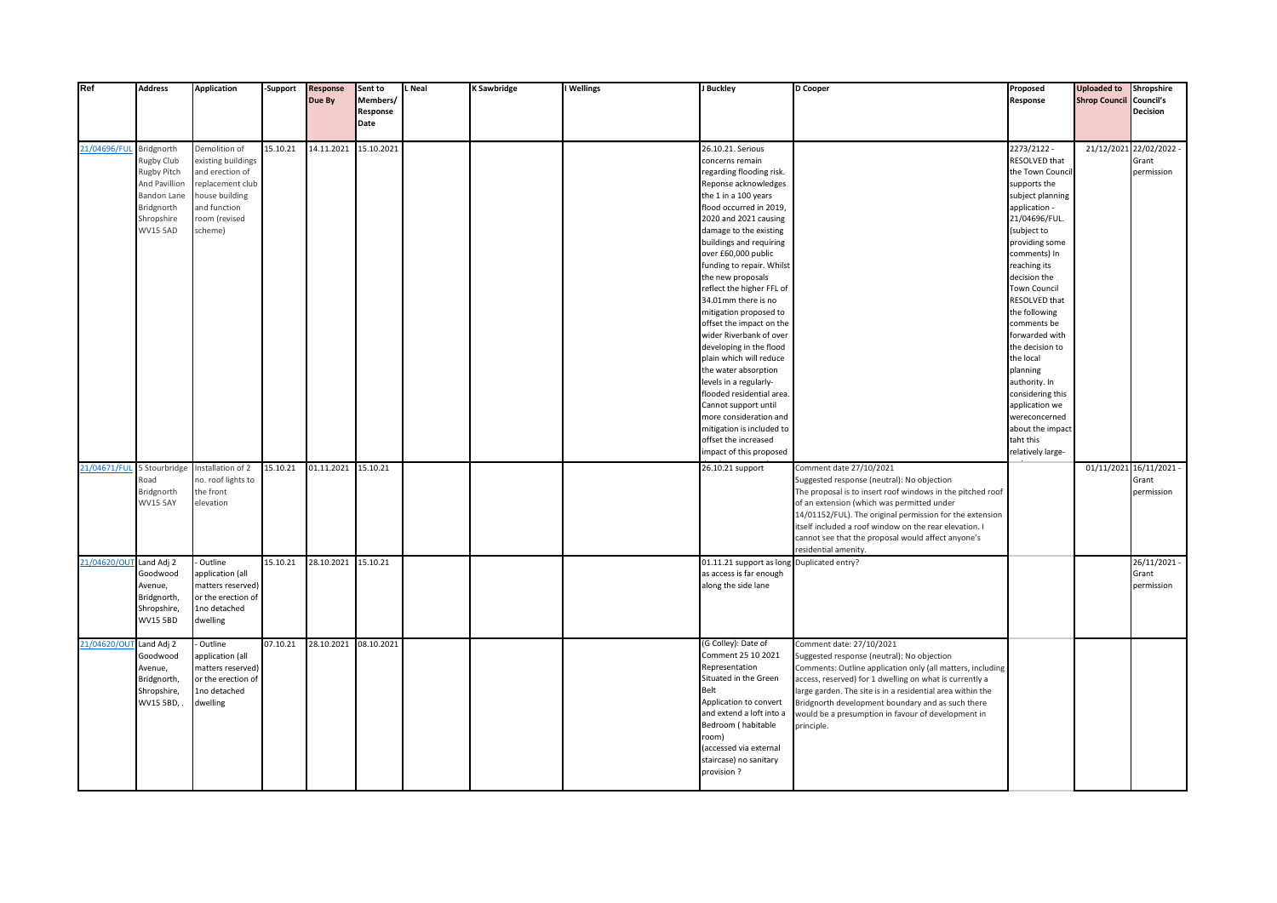| Ref                        | <b>Address</b>                 | <b>Application</b>                 | <b>Support</b> | <b>Response</b>       | Sent to              | <b>L</b> Neal | K Sawbridge | I Wellings | J Buckley                                         | D Cooper                                                   | Proposed                        | <b>Uploaded to</b>             | Shropshire              |
|----------------------------|--------------------------------|------------------------------------|----------------|-----------------------|----------------------|---------------|-------------|------------|---------------------------------------------------|------------------------------------------------------------|---------------------------------|--------------------------------|-------------------------|
|                            |                                |                                    |                | Due By                | Members/<br>Response |               |             |            |                                                   |                                                            | Response                        | <b>Shrop Council Council's</b> | Decision                |
|                            |                                |                                    |                |                       | Date                 |               |             |            |                                                   |                                                            |                                 |                                |                         |
|                            |                                |                                    |                |                       |                      |               |             |            |                                                   |                                                            |                                 |                                |                         |
| 21/04696/FUI               | Bridgnorth                     | Demolition of                      | 15.10.21       | 14.11.2021            | 15.10.2021           |               |             |            | 26.10.21. Serious                                 |                                                            | 2273/2122 -                     |                                | 21/12/2021 22/02/2022 - |
|                            | Rugby Club                     | existing buildings                 |                |                       |                      |               |             |            | concerns remain                                   |                                                            | RESOLVED that                   |                                | Grant                   |
|                            | Rugby Pitch                    | and erection of                    |                |                       |                      |               |             |            | regarding flooding risk.                          |                                                            | the Town Council                |                                | permission              |
|                            | And Pavillion                  | replacement club                   |                |                       |                      |               |             |            | Reponse acknowledges                              |                                                            | supports the                    |                                |                         |
|                            | <b>Bandon Lane</b>             | house building                     |                |                       |                      |               |             |            | the 1 in a 100 years                              |                                                            | subject planning                |                                |                         |
|                            | Bridgnorth                     | and function                       |                |                       |                      |               |             |            | flood occurred in 2019,                           |                                                            | application -                   |                                |                         |
|                            | Shropshire                     | room (revised                      |                |                       |                      |               |             |            | 2020 and 2021 causing                             |                                                            | 21/04696/FUL.                   |                                |                         |
|                            | <b>WV15 5AD</b>                | scheme)                            |                |                       |                      |               |             |            | damage to the existing<br>buildings and requiring |                                                            | (subject to<br>providing some   |                                |                         |
|                            |                                |                                    |                |                       |                      |               |             |            | over £60,000 public                               |                                                            | comments) In                    |                                |                         |
|                            |                                |                                    |                |                       |                      |               |             |            | funding to repair. Whilst                         |                                                            | reaching its                    |                                |                         |
|                            |                                |                                    |                |                       |                      |               |             |            | the new proposals                                 |                                                            | decision the                    |                                |                         |
|                            |                                |                                    |                |                       |                      |               |             |            | reflect the higher FFL of                         |                                                            | <b>Town Council</b>             |                                |                         |
|                            |                                |                                    |                |                       |                      |               |             |            | 34.01mm there is no                               |                                                            | RESOLVED that                   |                                |                         |
|                            |                                |                                    |                |                       |                      |               |             |            | mitigation proposed to                            |                                                            | the following                   |                                |                         |
|                            |                                |                                    |                |                       |                      |               |             |            | offset the impact on the                          |                                                            | comments be                     |                                |                         |
|                            |                                |                                    |                |                       |                      |               |             |            | wider Riverbank of over                           |                                                            | forwarded with                  |                                |                         |
|                            |                                |                                    |                |                       |                      |               |             |            | developing in the flood                           |                                                            | the decision to                 |                                |                         |
|                            |                                |                                    |                |                       |                      |               |             |            | plain which will reduce                           |                                                            | the local                       |                                |                         |
|                            |                                |                                    |                |                       |                      |               |             |            | the water absorption                              |                                                            | planning                        |                                |                         |
|                            |                                |                                    |                |                       |                      |               |             |            | levels in a regularly-                            |                                                            | authority. In                   |                                |                         |
|                            |                                |                                    |                |                       |                      |               |             |            | flooded residential area                          |                                                            | considering this                |                                |                         |
|                            |                                |                                    |                |                       |                      |               |             |            | Cannot support until<br>more consideration and    |                                                            | application we<br>wereconcerned |                                |                         |
|                            |                                |                                    |                |                       |                      |               |             |            | mitigation is included to                         |                                                            | about the impact                |                                |                         |
|                            |                                |                                    |                |                       |                      |               |             |            | offset the increased                              |                                                            | taht this                       |                                |                         |
|                            |                                |                                    |                |                       |                      |               |             |            | impact of this proposed                           |                                                            | relatively large-               |                                |                         |
| 21/04671/FUL 5 Stourbridge |                                | Installation of 2                  | 15.10.21       | 01.11.2021 15.10.21   |                      |               |             |            | 26.10.21 support                                  | Comment date 27/10/2021                                    |                                 |                                | 01/11/2021 16/11/2021 - |
|                            | Road                           | no. roof lights to                 |                |                       |                      |               |             |            |                                                   | Suggested response (neutral): No objection                 |                                 |                                | Grant                   |
|                            | Bridgnorth                     | the front                          |                |                       |                      |               |             |            |                                                   | The proposal is to insert roof windows in the pitched roof |                                 |                                | permission              |
|                            | <b>WV15 5AY</b>                | elevation                          |                |                       |                      |               |             |            |                                                   | of an extension (which was permitted under                 |                                 |                                |                         |
|                            |                                |                                    |                |                       |                      |               |             |            |                                                   | 14/01152/FUL). The original permission for the extension   |                                 |                                |                         |
|                            |                                |                                    |                |                       |                      |               |             |            |                                                   | itself included a roof window on the rear elevation. I     |                                 |                                |                         |
|                            |                                |                                    |                |                       |                      |               |             |            |                                                   | cannot see that the proposal would affect anyone's         |                                 |                                |                         |
|                            |                                |                                    |                |                       |                      |               |             |            |                                                   | residential amenity.                                       |                                 |                                |                         |
| 21/04620/OUT               | Land Adj 2                     | Outline                            | 15.10.21       | 28.10.2021 15.10.21   |                      |               |             |            | 01.11.21 support as long                          | Duplicated entry?                                          |                                 |                                | 26/11/2021-             |
|                            | Goodwood                       | application (all                   |                |                       |                      |               |             |            | as access is far enough                           |                                                            |                                 |                                | Grant                   |
|                            | Avenue,                        | matters reserved)                  |                |                       |                      |               |             |            | along the side lane                               |                                                            |                                 |                                | permission              |
|                            | Bridgnorth,                    | or the erection of<br>1no detached |                |                       |                      |               |             |            |                                                   |                                                            |                                 |                                |                         |
|                            | Shropshire,<br><b>WV15 5BD</b> | dwelling                           |                |                       |                      |               |             |            |                                                   |                                                            |                                 |                                |                         |
|                            |                                |                                    |                |                       |                      |               |             |            |                                                   |                                                            |                                 |                                |                         |
| 21/04620/Ol                | Land Adj 2                     | Outline                            | 07.10.21       | 28.10.2021 08.10.2021 |                      |               |             |            | (G Colley): Date of                               | Comment date: 27/10/2021                                   |                                 |                                |                         |
|                            | Goodwood                       | application (all                   |                |                       |                      |               |             |            | Comment 25 10 2021                                | Suggested response (neutral): No objection                 |                                 |                                |                         |
|                            | Avenue,                        | matters reserved)                  |                |                       |                      |               |             |            | Representation                                    | Comments: Outline application only (all matters, including |                                 |                                |                         |
|                            | Bridgnorth,                    | or the erection of                 |                |                       |                      |               |             |            | Situated in the Green                             | access, reserved) for 1 dwelling on what is currently a    |                                 |                                |                         |
|                            | Shropshire,                    | 1no detached                       |                |                       |                      |               |             |            | Belt                                              | arge garden. The site is in a residential area within the  |                                 |                                |                         |
|                            | WV15 5BD,                      | dwelling                           |                |                       |                      |               |             |            | Application to convert                            | Bridgnorth development boundary and as such there          |                                 |                                |                         |
|                            |                                |                                    |                |                       |                      |               |             |            | and extend a loft into a                          | would be a presumption in favour of development in         |                                 |                                |                         |
|                            |                                |                                    |                |                       |                      |               |             |            | Bedroom (habitable<br>room)                       | principle.                                                 |                                 |                                |                         |
|                            |                                |                                    |                |                       |                      |               |             |            | (accessed via external                            |                                                            |                                 |                                |                         |
|                            |                                |                                    |                |                       |                      |               |             |            | staircase) no sanitary                            |                                                            |                                 |                                |                         |
|                            |                                |                                    |                |                       |                      |               |             |            | provision?                                        |                                                            |                                 |                                |                         |
|                            |                                |                                    |                |                       |                      |               |             |            |                                                   |                                                            |                                 |                                |                         |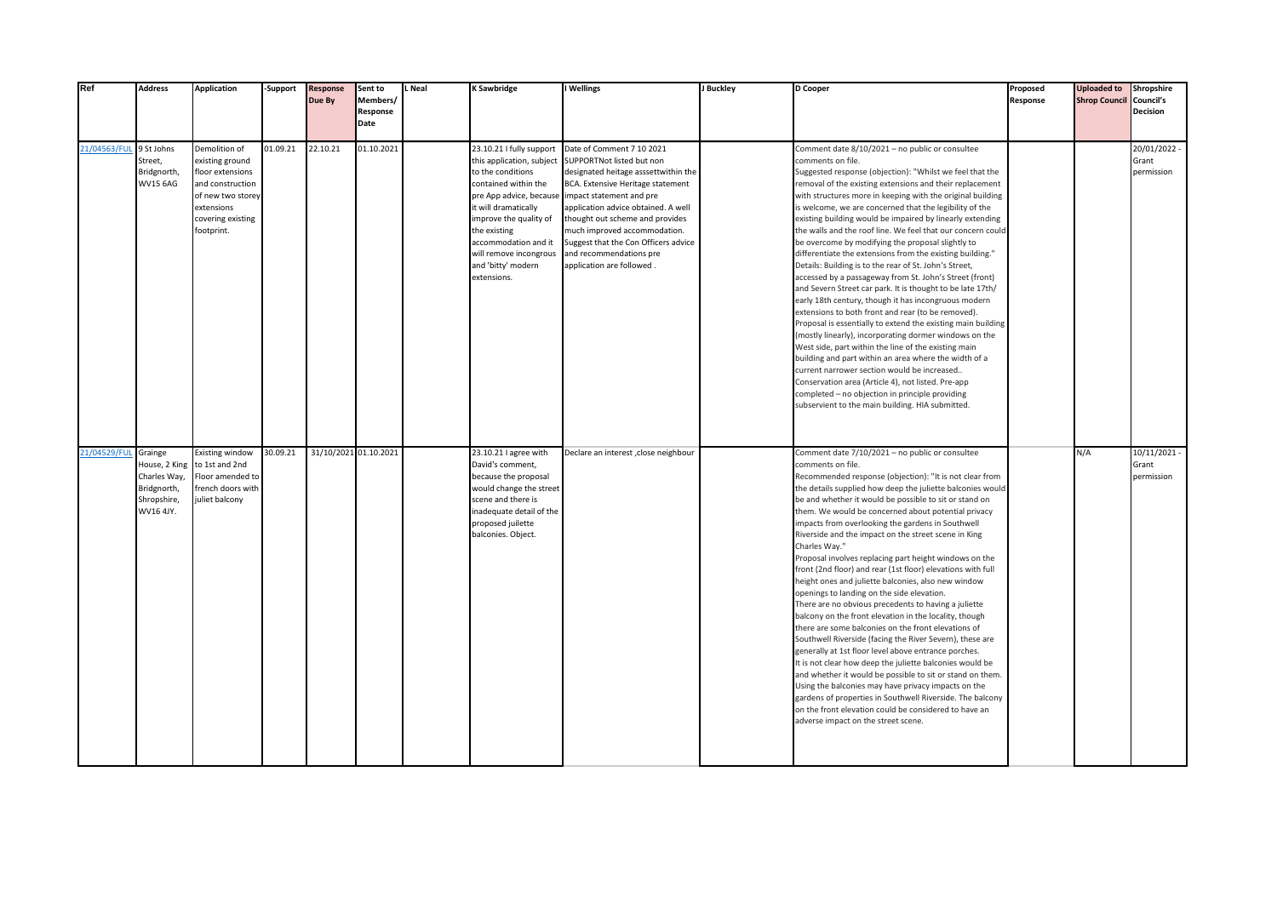| Ref                     | <b>Address</b>                                                     | <b>Application</b>                                                                                                                             | -Support | <b>Response</b><br>Due By | Sent to<br>Members/<br>Response<br>Date | L Neal | K Sawbridge                                                                                                                                                                                                                                                                            | I Wellings                                                                                                                                                                                                                                                                                                                                                                | J Buckley | <b>D</b> Cooper                                                                                                                                                                                                                                                                                                                                                                                                                                                                                                                                                                                                                                                                                                                                                                                                                                                                                                                                                                                                                                                                                                                                                                                                                                                                                                           | Proposed<br>Response | <b>Uploaded to</b><br><b>Shrop Council Council's</b> | Shropshire<br><b>Decision</b>         |
|-------------------------|--------------------------------------------------------------------|------------------------------------------------------------------------------------------------------------------------------------------------|----------|---------------------------|-----------------------------------------|--------|----------------------------------------------------------------------------------------------------------------------------------------------------------------------------------------------------------------------------------------------------------------------------------------|---------------------------------------------------------------------------------------------------------------------------------------------------------------------------------------------------------------------------------------------------------------------------------------------------------------------------------------------------------------------------|-----------|---------------------------------------------------------------------------------------------------------------------------------------------------------------------------------------------------------------------------------------------------------------------------------------------------------------------------------------------------------------------------------------------------------------------------------------------------------------------------------------------------------------------------------------------------------------------------------------------------------------------------------------------------------------------------------------------------------------------------------------------------------------------------------------------------------------------------------------------------------------------------------------------------------------------------------------------------------------------------------------------------------------------------------------------------------------------------------------------------------------------------------------------------------------------------------------------------------------------------------------------------------------------------------------------------------------------------|----------------------|------------------------------------------------------|---------------------------------------|
| 21/04563/FUL 9 St Johns | Street,<br>Bridgnorth,<br><b>WV15 6AG</b>                          | Demolition of<br>existing ground<br>floor extensions<br>and construction<br>of new two storey<br>extensions<br>covering existing<br>footprint. | 01.09.21 | 22.10.21                  | 01.10.2021                              |        | 23.10.21 I fully support<br>this application, subject<br>to the conditions<br>contained within the<br>pre App advice, because<br>it will dramatically<br>improve the quality of<br>the existing<br>accommodation and it<br>will remove incongrous<br>and 'bitty' modern<br>extensions. | Date of Comment 7 10 2021<br>SUPPORTNot listed but non<br>designated heitage asssettwithin the<br>BCA. Extensive Heritage statement<br>impact statement and pre<br>application advice obtained. A well<br>thought out scheme and provides<br>much improved accommodation.<br>Suggest that the Con Officers advice<br>and recommendations pre<br>application are followed. |           | Comment date 8/10/2021 - no public or consultee<br>comments on file.<br>Suggested response (objection): "Whilst we feel that the<br>removal of the existing extensions and their replacement<br>with structures more in keeping with the original building<br>s welcome, we are concerned that the legibility of the<br>existing building would be impaired by linearly extending<br>the walls and the roof line. We feel that our concern could<br>be overcome by modifying the proposal slightly to<br>differentiate the extensions from the existing building."<br>Details: Building is to the rear of St. John's Street,<br>accessed by a passageway from St. John's Street (front)<br>and Severn Street car park. It is thought to be late 17th/<br>early 18th century, though it has incongruous modern<br>extensions to both front and rear (to be removed).<br>Proposal is essentially to extend the existing main building<br>mostly linearly), incorporating dormer windows on the<br>West side, part within the line of the existing main<br>building and part within an area where the width of a<br>current narrower section would be increased<br>Conservation area (Article 4), not listed. Pre-app<br>completed - no objection in principle providing<br>subservient to the main building. HIA submitted. |                      |                                                      | 20/01/2022 -<br>Grant<br>permission   |
| 21/04529/FUL            | Grainge<br>Charles Way,<br>Bridgnorth,<br>Shropshire,<br>WV16 4JY. | <b>Existing window</b><br>House, 2 King to 1st and 2nd<br>Floor amended to<br>french doors with<br>juliet balcony                              | 30.09.21 | 31/10/2021 01.10.2021     |                                         |        | 23.10.21 I agree with<br>David's comment,<br>because the proposal<br>would change the street<br>scene and there is<br>inadequate detail of the<br>proposed juilette<br>balconies. Object.                                                                                              | Declare an interest , close neighbour                                                                                                                                                                                                                                                                                                                                     |           | Comment date 7/10/2021 - no public or consultee<br>comments on file.<br>Recommended response (objection): "It is not clear from<br>the details supplied how deep the juliette balconies would<br>be and whether it would be possible to sit or stand on<br>them. We would be concerned about potential privacy<br>impacts from overlooking the gardens in Southwell<br>Riverside and the impact on the street scene in King<br>Charles Way."<br>Proposal involves replacing part height windows on the<br>front (2nd floor) and rear (1st floor) elevations with full<br>height ones and juliette balconies, also new window<br>openings to landing on the side elevation.<br>There are no obvious precedents to having a juliette<br>balcony on the front elevation in the locality, though<br>there are some balconies on the front elevations of<br>Southwell Riverside (facing the River Severn), these are<br>generally at 1st floor level above entrance porches.<br>It is not clear how deep the juliette balconies would be<br>and whether it would be possible to sit or stand on them.<br>Using the balconies may have privacy impacts on the<br>gardens of properties in Southwell Riverside. The balcony<br>on the front elevation could be considered to have an<br>adverse impact on the street scene.      |                      | N/A                                                  | $10/11/2021 -$<br>Grant<br>permission |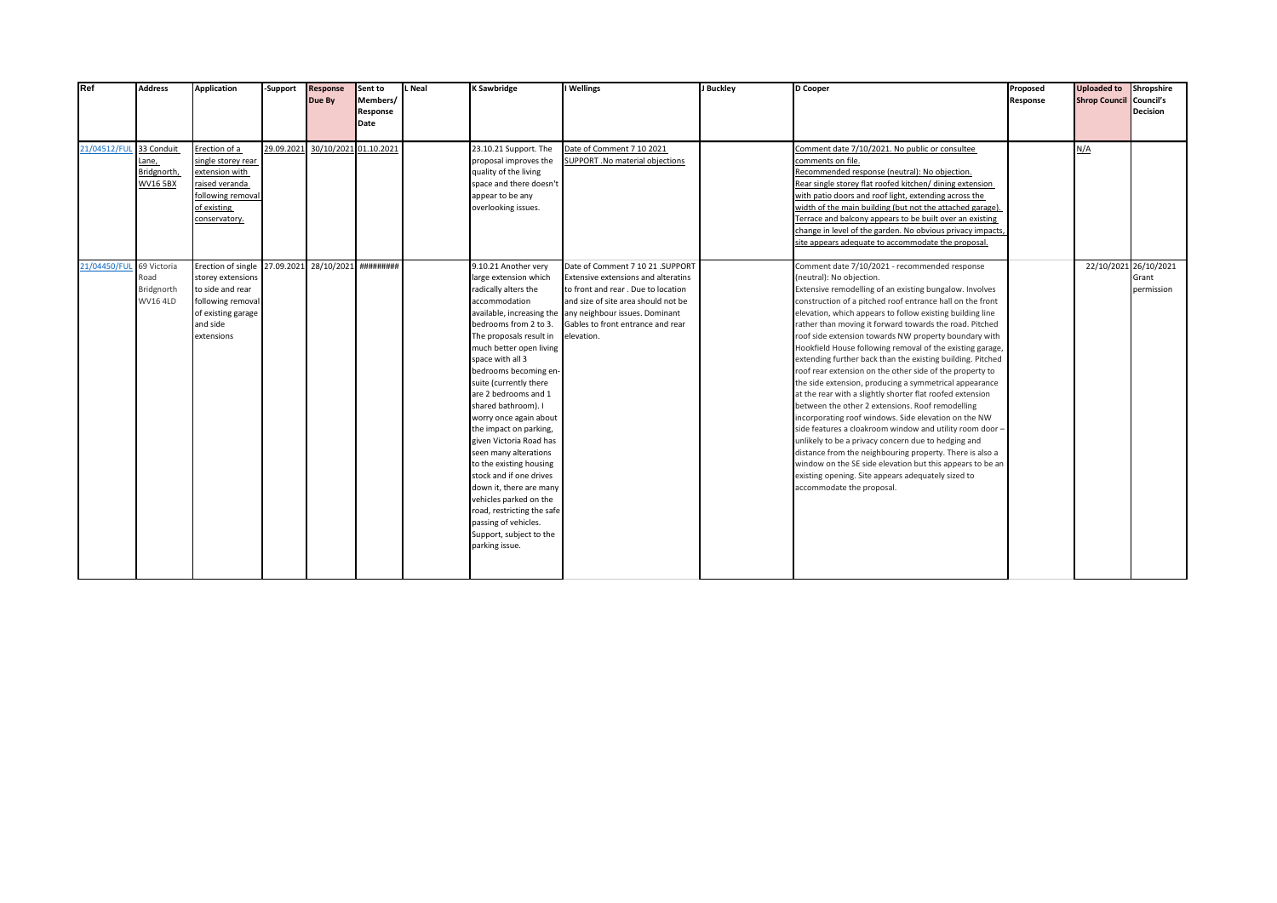| Ref                      | <b>Address</b>                                       | <b>Application</b>                                                                                                               | -Support   | <b>Response</b><br>Due By       | Sent to<br>Members/<br>Response<br>Date | L Neal | <b>K Sawbridge</b>                                                                                                                                                                                                                                                                                                                                                                                                                                                                                                                                                                                                | I Wellings                                                                                                                                                                                                                                                          | J Buckley | D Cooper                                                                                                                                                                                                                                                                                                                                                                                                                                                                                                                                                                                                                                                                                                                                                                                                                                                                                                                                                                                                                                                                                                                                    | Proposed<br>Response | <b>Uploaded to</b><br><b>Shrop Council Council's</b> | Shropshire<br>Decision |
|--------------------------|------------------------------------------------------|----------------------------------------------------------------------------------------------------------------------------------|------------|---------------------------------|-----------------------------------------|--------|-------------------------------------------------------------------------------------------------------------------------------------------------------------------------------------------------------------------------------------------------------------------------------------------------------------------------------------------------------------------------------------------------------------------------------------------------------------------------------------------------------------------------------------------------------------------------------------------------------------------|---------------------------------------------------------------------------------------------------------------------------------------------------------------------------------------------------------------------------------------------------------------------|-----------|---------------------------------------------------------------------------------------------------------------------------------------------------------------------------------------------------------------------------------------------------------------------------------------------------------------------------------------------------------------------------------------------------------------------------------------------------------------------------------------------------------------------------------------------------------------------------------------------------------------------------------------------------------------------------------------------------------------------------------------------------------------------------------------------------------------------------------------------------------------------------------------------------------------------------------------------------------------------------------------------------------------------------------------------------------------------------------------------------------------------------------------------|----------------------|------------------------------------------------------|------------------------|
| 21/04512/FUL             | 33 Conduit<br>Lane,<br>Bridgnorth,<br><b>WV165BX</b> | Erection of a<br>single storey rear<br>extension with<br>raised veranda<br>following removal<br>of existing<br>conservatory.     | 29.09.2021 |                                 | 30/10/2021 01.10.2021                   |        | 23.10.21 Support. The<br>proposal improves the<br>quality of the living<br>space and there doesn't<br>appear to be any<br>overlooking issues.                                                                                                                                                                                                                                                                                                                                                                                                                                                                     | Date of Comment 7 10 2021<br>SUPPORT .No material objections                                                                                                                                                                                                        |           | Comment date 7/10/2021. No public or consultee<br>comments on file.<br>Recommended response (neutral): No objection.<br>Rear single storey flat roofed kitchen/ dining extension<br>with patio doors and roof light, extending across the<br>width of the main building (but not the attached garage).<br>Terrace and balcony appears to be built over an existing<br>change in level of the garden. No obvious privacy impacts,<br>site appears adequate to accommodate the proposal.                                                                                                                                                                                                                                                                                                                                                                                                                                                                                                                                                                                                                                                      |                      | N/A                                                  |                        |
| 21/04450/FUL 69 Victoria | Road<br>Bridgnorth<br><b>WV16 4LD</b>                | Erection of single<br>storey extensions<br>to side and rear<br>following removal<br>of existing garage<br>and side<br>extensions |            | 27.09.2021 28/10/2021 ######### |                                         |        | 9.10.21 Another very<br>large extension which<br>radically alters the<br>accommodation<br>bedrooms from 2 to 3.<br>The proposals result in<br>much better open living<br>space with all 3<br>bedrooms becoming en-<br>suite (currently there<br>are 2 bedrooms and 1<br>shared bathroom). I<br>worry once again about<br>the impact on parking,<br>given Victoria Road has<br>seen many alterations<br>to the existing housing<br>stock and if one drives<br>down it, there are many<br>vehicles parked on the<br>road, restricting the safe<br>passing of vehicles.<br>Support, subject to the<br>parking issue. | Date of Comment 7 10 21 .SUPPORT<br>Extensive extensions and alteratins<br>to front and rear. Due to location<br>and size of site area should not be<br>available, increasing the any neighbour issues. Dominant<br>Gables to front entrance and rear<br>elevation. |           | Comment date 7/10/2021 - recommended response<br>(neutral): No objection.<br>Extensive remodelling of an existing bungalow. Involves<br>construction of a pitched roof entrance hall on the front<br>elevation, which appears to follow existing building line<br>rather than moving it forward towards the road. Pitched<br>roof side extension towards NW property boundary with<br>Hookfield House following removal of the existing garage,<br>extending further back than the existing building. Pitched<br>roof rear extension on the other side of the property to<br>the side extension, producing a symmetrical appearance<br>at the rear with a slightly shorter flat roofed extension<br>between the other 2 extensions. Roof remodelling<br>incorporating roof windows. Side elevation on the NW<br>side features a cloakroom window and utility room door -<br>unlikely to be a privacy concern due to hedging and<br>distance from the neighbouring property. There is also a<br>window on the SE side elevation but this appears to be an<br>existing opening. Site appears adequately sized to<br>accommodate the proposal. |                      | 22/10/2021 26/10/2021                                | Grant<br>permission    |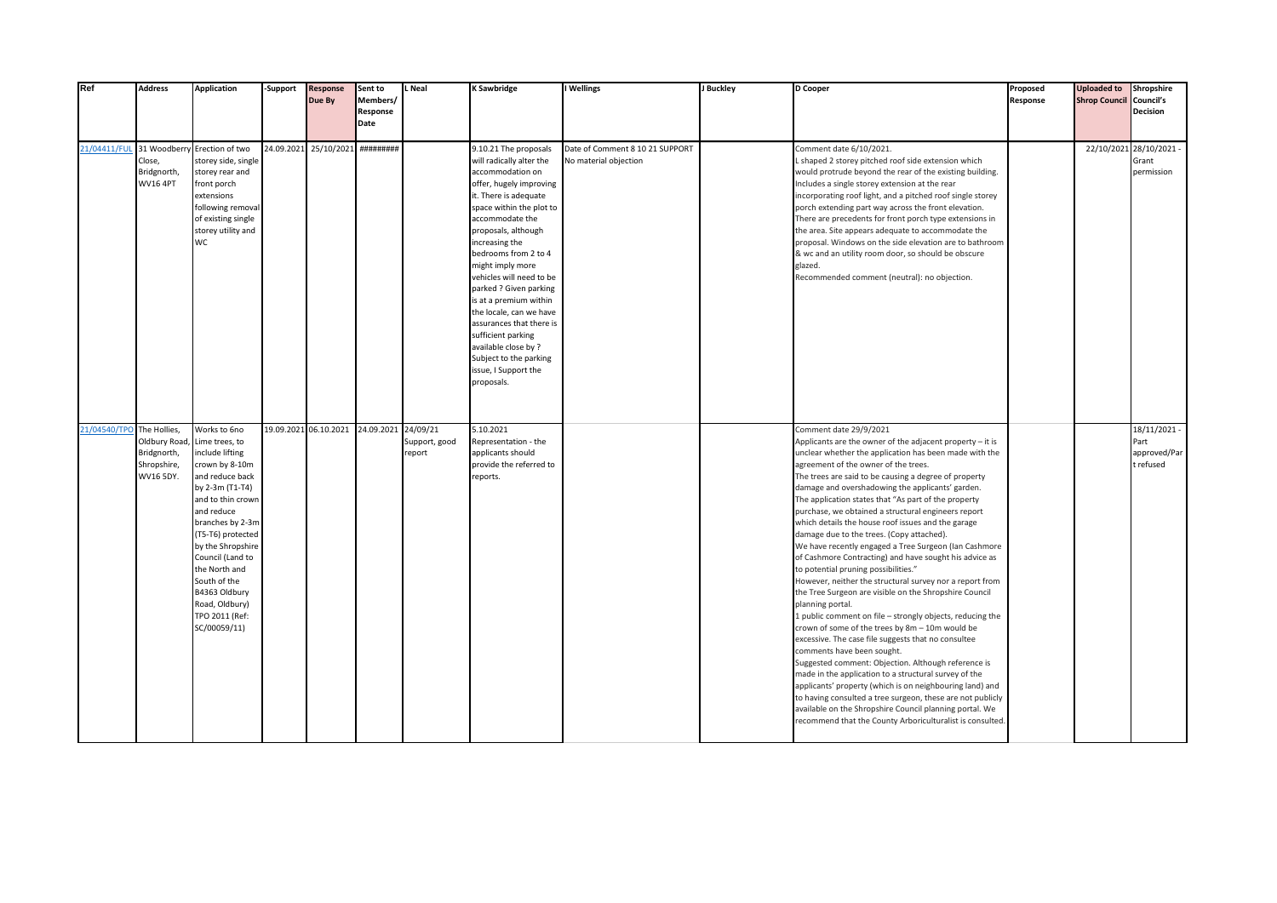| Ref                      | <b>Address</b>                                                          | <b>Application</b>                                                                                                                                                                                                                                                                                                                   | -Support   | <b>Response</b><br>Due By | Sent to<br>Members/<br>Response<br>Date | Neal                    | <b>K Sawbridge</b>                                                                                                                                                                                                                                                                                                                                                                                                                                                                                                 | I Wellings                                               | J Buckley | D Cooper                                                                                                                                                                                                                                                                                                                                                                                                                                                                                                                                                                                                                                                                                                                                                                                                                                                                                                                                                                                                                                                                                                                                                                                                                                                                                                                                                                                         | Proposed<br>Response | <b>Uploaded to</b><br><b>Shrop Council Council's</b> | Shropshire<br>Decision                            |
|--------------------------|-------------------------------------------------------------------------|--------------------------------------------------------------------------------------------------------------------------------------------------------------------------------------------------------------------------------------------------------------------------------------------------------------------------------------|------------|---------------------------|-----------------------------------------|-------------------------|--------------------------------------------------------------------------------------------------------------------------------------------------------------------------------------------------------------------------------------------------------------------------------------------------------------------------------------------------------------------------------------------------------------------------------------------------------------------------------------------------------------------|----------------------------------------------------------|-----------|--------------------------------------------------------------------------------------------------------------------------------------------------------------------------------------------------------------------------------------------------------------------------------------------------------------------------------------------------------------------------------------------------------------------------------------------------------------------------------------------------------------------------------------------------------------------------------------------------------------------------------------------------------------------------------------------------------------------------------------------------------------------------------------------------------------------------------------------------------------------------------------------------------------------------------------------------------------------------------------------------------------------------------------------------------------------------------------------------------------------------------------------------------------------------------------------------------------------------------------------------------------------------------------------------------------------------------------------------------------------------------------------------|----------------------|------------------------------------------------------|---------------------------------------------------|
| 21/04411/FUL 31 Woodberr | Close,<br>Bridgnorth,<br><b>WV16 4PT</b>                                | Erection of two<br>storey side, single<br>storey rear and<br>front porch<br>extensions<br>following removal<br>of existing single<br>storey utility and<br><b>WC</b>                                                                                                                                                                 | 24.09.2021 | 25/10/2021                | ***********                             |                         | 9.10.21 The proposals<br>will radically alter the<br>accommodation on<br>offer, hugely improving<br>it. There is adequate<br>space within the plot to<br>accommodate the<br>proposals, although<br>increasing the<br>bedrooms from 2 to 4<br>might imply more<br>vehicles will need to be<br>parked ? Given parking<br>is at a premium within<br>the locale, can we have<br>assurances that there is<br>sufficient parking<br>available close by ?<br>Subject to the parking<br>issue, I Support the<br>proposals. | Date of Comment 8 10 21 SUPPORT<br>No material objection |           | Comment date 6/10/2021.<br>L shaped 2 storey pitched roof side extension which<br>would protrude beyond the rear of the existing building.<br>Includes a single storey extension at the rear<br>incorporating roof light, and a pitched roof single storey<br>porch extending part way across the front elevation.<br>There are precedents for front porch type extensions in<br>the area. Site appears adequate to accommodate the<br>proposal. Windows on the side elevation are to bathroom<br>& wc and an utility room door, so should be obscure<br>glazed.<br>Recommended comment (neutral): no objection.                                                                                                                                                                                                                                                                                                                                                                                                                                                                                                                                                                                                                                                                                                                                                                                 |                      |                                                      | 22/10/2021 28/10/2021 -<br>Grant<br>permission    |
| 21/04540/TPO             | The Hollies,<br>Oldbury Road<br>Bridgnorth,<br>Shropshire,<br>WV16 5DY. | Works to 6no<br>Lime trees, to<br>include lifting<br>crown by 8-10m<br>and reduce back<br>by 2-3m (T1-T4)<br>and to thin crown<br>and reduce<br>branches by 2-3m<br>(T5-T6) protected<br>by the Shropshire<br>Council (Land to<br>the North and<br>South of the<br>B4363 Oldbury<br>Road, Oldbury)<br>TPO 2011 (Ref:<br>SC/00059/11) |            | 19.09.2021 06.10.2021     | 24.09.2021 24/09/21                     | Support, good<br>report | 5.10.2021<br>Representation - the<br>applicants should<br>provide the referred to<br>reports.                                                                                                                                                                                                                                                                                                                                                                                                                      |                                                          |           | Comment date 29/9/2021<br>Applicants are the owner of the adjacent property - it is<br>unclear whether the application has been made with the<br>agreement of the owner of the trees.<br>The trees are said to be causing a degree of property<br>damage and overshadowing the applicants' garden.<br>The application states that "As part of the property<br>purchase, we obtained a structural engineers report<br>which details the house roof issues and the garage<br>damage due to the trees. (Copy attached).<br>We have recently engaged a Tree Surgeon (Ian Cashmore<br>of Cashmore Contracting) and have sought his advice as<br>to potential pruning possibilities."<br>However, neither the structural survey nor a report from<br>the Tree Surgeon are visible on the Shropshire Council<br>planning portal.<br>1 public comment on file - strongly objects, reducing the<br>crown of some of the trees by 8m - 10m would be<br>excessive. The case file suggests that no consultee<br>comments have been sought.<br>Suggested comment: Objection. Although reference is<br>made in the application to a structural survey of the<br>applicants' property (which is on neighbouring land) and<br>to having consulted a tree surgeon, these are not publicly<br>available on the Shropshire Council planning portal. We<br>recommend that the County Arboriculturalist is consulted. |                      |                                                      | 18/11/2021 -<br>Part<br>approved/Par<br>t refused |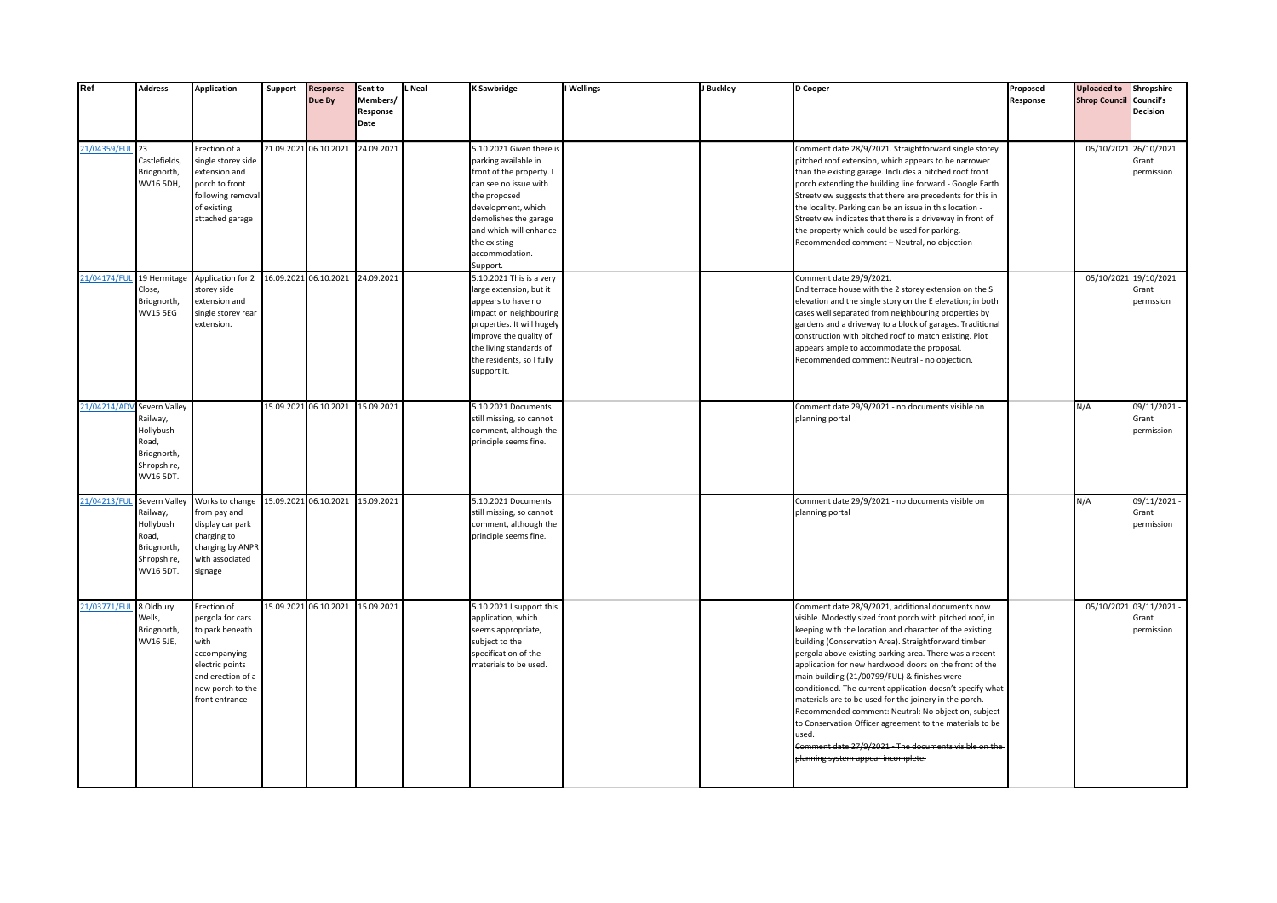| Ref                        | <b>Address</b>                                                                             | <b>Application</b>                                                                                                                                       | -Support | <b>Response</b><br>Due By        | Sent to<br>Members/<br>Response<br>Date | L Neal | K Sawbridge                                                                                                                                                                                                                                  | I Wellings | J Buckley | D Cooper                                                                                                                                                                                                                                                                                                                                                                                                                                                                                                                                                                                                                                                                                                                                                | Proposed<br>Response | <b>Uploaded to</b><br><b>Shrop Council</b> | Shropshire<br>Council's<br><b>Decision</b>     |
|----------------------------|--------------------------------------------------------------------------------------------|----------------------------------------------------------------------------------------------------------------------------------------------------------|----------|----------------------------------|-----------------------------------------|--------|----------------------------------------------------------------------------------------------------------------------------------------------------------------------------------------------------------------------------------------------|------------|-----------|---------------------------------------------------------------------------------------------------------------------------------------------------------------------------------------------------------------------------------------------------------------------------------------------------------------------------------------------------------------------------------------------------------------------------------------------------------------------------------------------------------------------------------------------------------------------------------------------------------------------------------------------------------------------------------------------------------------------------------------------------------|----------------------|--------------------------------------------|------------------------------------------------|
| 21/04359/FUL 23            | Castlefields,<br>Bridgnorth,<br>WV16 5DH,                                                  | Erection of a<br>ingle storey side<br>extension and<br>porch to front<br>following removal<br>of existing<br>attached garage                             |          | 21.09.2021 06.10.2021            | 24.09.2021                              |        | 5.10.2021 Given there is<br>parking available in<br>front of the property. I<br>can see no issue with<br>the proposed<br>development, which<br>demolishes the garage<br>and which will enhance<br>the existing<br>accommodation.<br>Support. |            |           | Comment date 28/9/2021. Straightforward single storey<br>pitched roof extension, which appears to be narrower<br>than the existing garage. Includes a pitched roof front<br>porch extending the building line forward - Google Earth<br>Streetview suggests that there are precedents for this in<br>the locality. Parking can be an issue in this location -<br>Streetview indicates that there is a driveway in front of<br>the property which could be used for parking.<br>Recommended comment - Neutral, no objection                                                                                                                                                                                                                              |                      | 05/10/2021 26/10/2021                      | Grant<br>permission                            |
| 21/04174/FUL               | 19 Hermitage<br>Close,<br>Bridgnorth,<br><b>WV15 5EG</b>                                   | Application for 2<br>storey side<br>extension and<br>single storey rear<br>extension.                                                                    |          | 16.09.2021 06.10.2021 24.09.2021 |                                         |        | 5.10.2021 This is a very<br>large extension, but it<br>appears to have no<br>mpact on neighbouring<br>properties. It will hugely<br>improve the quality of<br>the living standards of<br>the residents, so I fully<br>support it.            |            |           | Comment date 29/9/2021.<br>End terrace house with the 2 storey extension on the S<br>elevation and the single story on the E elevation; in both<br>cases well separated from neighbouring properties by<br>gardens and a driveway to a block of garages. Traditional<br>construction with pitched roof to match existing. Plot<br>appears ample to accommodate the proposal.<br>Recommended comment: Neutral - no objection.                                                                                                                                                                                                                                                                                                                            |                      |                                            | 05/10/2021 19/10/2021<br>Grant<br>permssion    |
| 21/04214/ADV Severn Valley | Railway,<br>Hollybush<br>Road,<br>Bridgnorth,<br>Shropshire,<br>WV16 5DT.                  |                                                                                                                                                          |          | 15.09.2021 06.10.2021 15.09.2021 |                                         |        | 5.10.2021 Documents<br>still missing, so cannot<br>comment, although the<br>principle seems fine.                                                                                                                                            |            |           | Comment date 29/9/2021 - no documents visible on<br>planning portal                                                                                                                                                                                                                                                                                                                                                                                                                                                                                                                                                                                                                                                                                     |                      | N/A                                        | 09/11/2021 -<br>Grant<br>permission            |
| 21/04213/FUL               | Severn Valley<br>Railway,<br>Hollybush<br>Road,<br>Bridgnorth,<br>Shropshire,<br>WV16 5DT. | Works to change<br>from pay and<br>display car park<br>charging to<br>charging by ANPR<br>with associated<br>signage                                     |          | 15.09.2021 06.10.2021 15.09.2021 |                                         |        | 5.10.2021 Documents<br>still missing, so cannot<br>comment, although the<br>principle seems fine.                                                                                                                                            |            |           | Comment date 29/9/2021 - no documents visible on<br>planning portal                                                                                                                                                                                                                                                                                                                                                                                                                                                                                                                                                                                                                                                                                     |                      | N/A                                        | 09/11/2021 -<br>Grant<br>permission            |
| 21/03771/FUL               | 8 Oldbury<br>Wells,<br>Bridgnorth,<br>WV16 5JE,                                            | Erection of<br>pergola for cars<br>to park beneath<br>with<br>accompanying<br>electric points<br>and erection of a<br>new porch to the<br>front entrance |          | 15.09.2021 06.10.2021 15.09.2021 |                                         |        | 5.10.2021 I support this<br>application, which<br>seems appropriate,<br>subject to the<br>specification of the<br>materials to be used.                                                                                                      |            |           | Comment date 28/9/2021, additional documents now<br>visible. Modestly sized front porch with pitched roof, in<br>keeping with the location and character of the existing<br>building (Conservation Area). Straightforward timber<br>pergola above existing parking area. There was a recent<br>application for new hardwood doors on the front of the<br>main building (21/00799/FUL) & finishes were<br>conditioned. The current application doesn't specify what<br>materials are to be used for the joinery in the porch.<br>Recommended comment: Neutral: No objection, subject<br>to Conservation Officer agreement to the materials to be<br>used.<br>Comment date 27/9/2021 - The documents visible on the<br>planning system appear incomplete. |                      |                                            | 05/10/2021 03/11/2021 -<br>Grant<br>permission |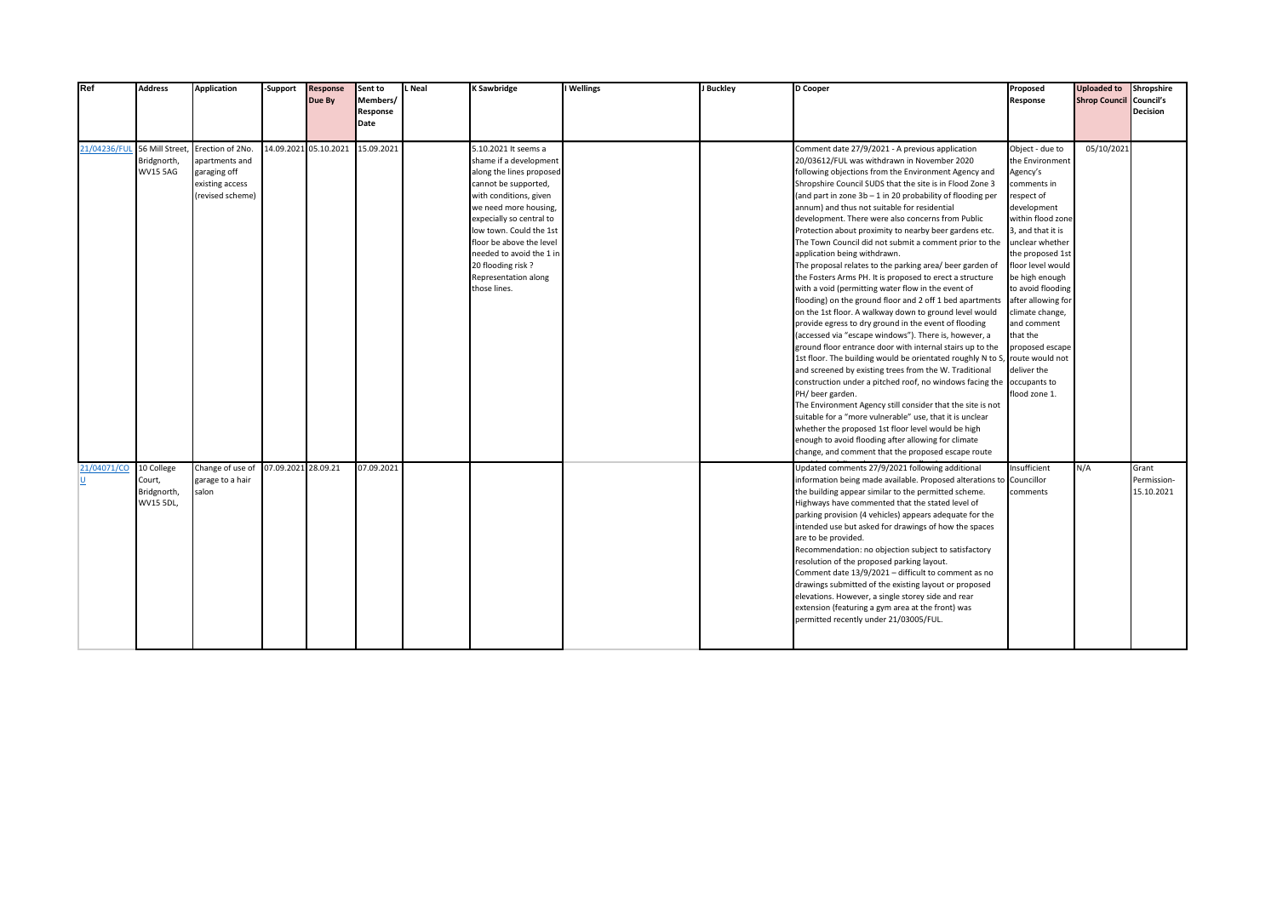| Ref                         | <b>Address</b>  | Application      | -Support            | <b>Response</b>      | Sent to    | Neal | <b>K Sawbridge</b>       | I Wellings | J Buckley | D Cooper                                                              | Proposed           | <b>Uploaded to</b>             | Shropshire  |
|-----------------------------|-----------------|------------------|---------------------|----------------------|------------|------|--------------------------|------------|-----------|-----------------------------------------------------------------------|--------------------|--------------------------------|-------------|
|                             |                 |                  |                     | Due By               | Members/   |      |                          |            |           |                                                                       | Response           | <b>Shrop Council Council's</b> |             |
|                             |                 |                  |                     |                      | Response   |      |                          |            |           |                                                                       |                    |                                | Decision    |
|                             |                 |                  |                     |                      | Date       |      |                          |            |           |                                                                       |                    |                                |             |
|                             |                 |                  |                     |                      |            |      |                          |            |           |                                                                       |                    |                                |             |
| 21/04236/FUL 56 Mill Street |                 | Erection of 2No. |                     | 4.09.2021 05.10.2021 | 15.09.2021 |      | 5.10.2021 It seems a     |            |           | Comment date 27/9/2021 - A previous application                       | Object - due to    | 05/10/2021                     |             |
|                             | Bridgnorth,     | apartments and   |                     |                      |            |      | shame if a development   |            |           | 20/03612/FUL was withdrawn in November 2020                           | the Environment    |                                |             |
|                             | <b>WV15 5AG</b> | garaging off     |                     |                      |            |      | along the lines proposed |            |           | following objections from the Environment Agency and                  | Agency's           |                                |             |
|                             |                 | existing access  |                     |                      |            |      | cannot be supported,     |            |           | Shropshire Council SUDS that the site is in Flood Zone 3              | comments in        |                                |             |
|                             |                 | revised scheme)  |                     |                      |            |      | with conditions, given   |            |           | (and part in zone 3b - 1 in 20 probability of flooding per            | respect of         |                                |             |
|                             |                 |                  |                     |                      |            |      | we need more housing,    |            |           | annum) and thus not suitable for residential                          | development        |                                |             |
|                             |                 |                  |                     |                      |            |      | expecially so central to |            |           | development. There were also concerns from Public                     | within flood zone  |                                |             |
|                             |                 |                  |                     |                      |            |      | low town. Could the 1st  |            |           | Protection about proximity to nearby beer gardens etc.                | 3, and that it is  |                                |             |
|                             |                 |                  |                     |                      |            |      | floor be above the level |            |           | The Town Council did not submit a comment prior to the                | unclear whether    |                                |             |
|                             |                 |                  |                     |                      |            |      | needed to avoid the 1 in |            |           | application being withdrawn.                                          | the proposed 1st   |                                |             |
|                             |                 |                  |                     |                      |            |      | 20 flooding risk?        |            |           | The proposal relates to the parking area/ beer garden of              | floor level would  |                                |             |
|                             |                 |                  |                     |                      |            |      | Representation along     |            |           | the Fosters Arms PH. It is proposed to erect a structure              | be high enough     |                                |             |
|                             |                 |                  |                     |                      |            |      | those lines.             |            |           | with a void (permitting water flow in the event of                    | to avoid flooding  |                                |             |
|                             |                 |                  |                     |                      |            |      |                          |            |           | flooding) on the ground floor and 2 off 1 bed apartments              | after allowing for |                                |             |
|                             |                 |                  |                     |                      |            |      |                          |            |           | on the 1st floor. A walkway down to ground level would                | climate change,    |                                |             |
|                             |                 |                  |                     |                      |            |      |                          |            |           | provide egress to dry ground in the event of flooding                 | and comment        |                                |             |
|                             |                 |                  |                     |                      |            |      |                          |            |           | (accessed via "escape windows"). There is, however, a                 | that the           |                                |             |
|                             |                 |                  |                     |                      |            |      |                          |            |           | ground floor entrance door with internal stairs up to the             | proposed escape    |                                |             |
|                             |                 |                  |                     |                      |            |      |                          |            |           | 1st floor. The building would be orientated roughly N to S,           | route would not    |                                |             |
|                             |                 |                  |                     |                      |            |      |                          |            |           | and screened by existing trees from the W. Traditional                | deliver the        |                                |             |
|                             |                 |                  |                     |                      |            |      |                          |            |           | construction under a pitched roof, no windows facing the occupants to |                    |                                |             |
|                             |                 |                  |                     |                      |            |      |                          |            |           | PH/ beer garden.                                                      | flood zone 1.      |                                |             |
|                             |                 |                  |                     |                      |            |      |                          |            |           | The Environment Agency still consider that the site is not            |                    |                                |             |
|                             |                 |                  |                     |                      |            |      |                          |            |           | suitable for a "more vulnerable" use, that it is unclear              |                    |                                |             |
|                             |                 |                  |                     |                      |            |      |                          |            |           | whether the proposed 1st floor level would be high                    |                    |                                |             |
|                             |                 |                  |                     |                      |            |      |                          |            |           | enough to avoid flooding after allowing for climate                   |                    |                                |             |
|                             |                 |                  |                     |                      |            |      |                          |            |           | change, and comment that the proposed escape route                    |                    |                                |             |
| 21/04071/CO 10 College      |                 | Change of use of | 07.09.2021 28.09.21 |                      | 07.09.2021 |      |                          |            |           | Updated comments 27/9/2021 following additional                       | Insufficient       | N/A                            | Grant       |
|                             | Court,          | garage to a hair |                     |                      |            |      |                          |            |           | information being made available. Proposed alterations to             | Councillor         |                                | Permission- |
|                             | Bridgnorth,     | salon            |                     |                      |            |      |                          |            |           | the building appear similar to the permitted scheme.                  | comments           |                                | 15.10.2021  |
|                             | WV15 5DL,       |                  |                     |                      |            |      |                          |            |           | Highways have commented that the stated level of                      |                    |                                |             |
|                             |                 |                  |                     |                      |            |      |                          |            |           | parking provision (4 vehicles) appears adequate for the               |                    |                                |             |
|                             |                 |                  |                     |                      |            |      |                          |            |           | intended use but asked for drawings of how the spaces                 |                    |                                |             |
|                             |                 |                  |                     |                      |            |      |                          |            |           | are to be provided.                                                   |                    |                                |             |
|                             |                 |                  |                     |                      |            |      |                          |            |           | Recommendation: no objection subject to satisfactory                  |                    |                                |             |
|                             |                 |                  |                     |                      |            |      |                          |            |           | resolution of the proposed parking layout.                            |                    |                                |             |
|                             |                 |                  |                     |                      |            |      |                          |            |           | Comment date 13/9/2021 - difficult to comment as no                   |                    |                                |             |
|                             |                 |                  |                     |                      |            |      |                          |            |           | drawings submitted of the existing layout or proposed                 |                    |                                |             |
|                             |                 |                  |                     |                      |            |      |                          |            |           | elevations. However, a single storey side and rear                    |                    |                                |             |
|                             |                 |                  |                     |                      |            |      |                          |            |           | extension (featuring a gym area at the front) was                     |                    |                                |             |
|                             |                 |                  |                     |                      |            |      |                          |            |           | permitted recently under 21/03005/FUL.                                |                    |                                |             |
|                             |                 |                  |                     |                      |            |      |                          |            |           |                                                                       |                    |                                |             |
|                             |                 |                  |                     |                      |            |      |                          |            |           |                                                                       |                    |                                |             |